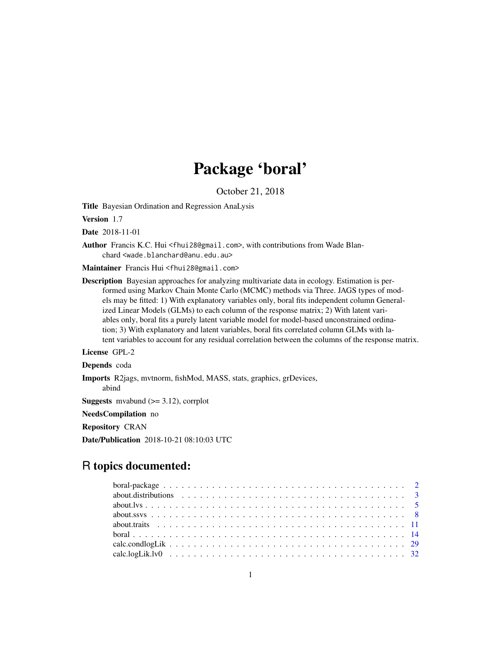# Package 'boral'

October 21, 2018

Title Bayesian Ordination and Regression AnaLysis

Version 1.7

Date 2018-11-01

Author Francis K.C. Hui <fhui28@gmail.com>, with contributions from Wade Blanchard <wade.blanchard@anu.edu.au>

Maintainer Francis Hui <fhui28@gmail.com>

Description Bayesian approaches for analyzing multivariate data in ecology. Estimation is performed using Markov Chain Monte Carlo (MCMC) methods via Three. JAGS types of models may be fitted: 1) With explanatory variables only, boral fits independent column Generalized Linear Models (GLMs) to each column of the response matrix; 2) With latent variables only, boral fits a purely latent variable model for model-based unconstrained ordination; 3) With explanatory and latent variables, boral fits correlated column GLMs with latent variables to account for any residual correlation between the columns of the response matrix.

License GPL-2

Depends coda

Imports R2jags, mvtnorm, fishMod, MASS, stats, graphics, grDevices,

abind

**Suggests** mvabund  $(>= 3.12)$ , corrplot

NeedsCompilation no

Repository CRAN

Date/Publication 2018-10-21 08:10:03 UTC

# R topics documented: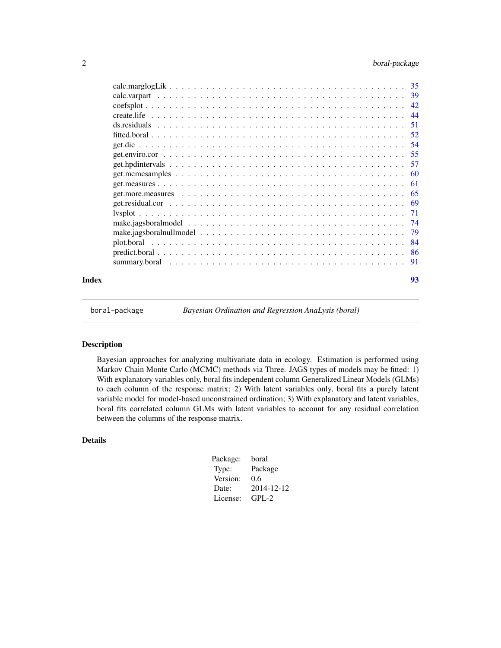<span id="page-1-0"></span>

| Index | 93 |
|-------|----|

boral-package *Bayesian Ordination and Regression AnaLysis (boral)*

#### Description

Bayesian approaches for analyzing multivariate data in ecology. Estimation is performed using Markov Chain Monte Carlo (MCMC) methods via Three. JAGS types of models may be fitted: 1) With explanatory variables only, boral fits independent column Generalized Linear Models (GLMs) to each column of the response matrix; 2) With latent variables only, boral fits a purely latent variable model for model-based unconstrained ordination; 3) With explanatory and latent variables, boral fits correlated column GLMs with latent variables to account for any residual correlation between the columns of the response matrix.

# Details

| Package: | boral      |
|----------|------------|
| Type:    | Package    |
| Version: | 0.6        |
| Date:    | 2014-12-12 |
| License: | $GPI - 2$  |
|          |            |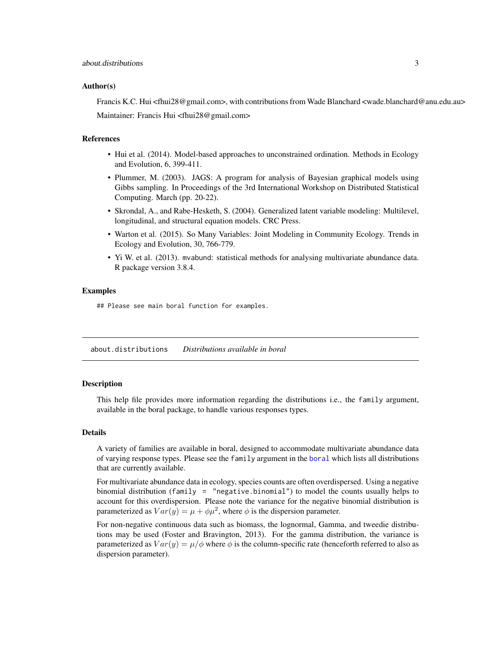#### <span id="page-2-0"></span>Author(s)

Francis K.C. Hui <fhui28@gmail.com>, with contributions from Wade Blanchard <wade.blanchard@anu.edu.au> Maintainer: Francis Hui <fhui28@gmail.com>

#### References

- Hui et al. (2014). Model-based approaches to unconstrained ordination. Methods in Ecology and Evolution, 6, 399-411.
- Plummer, M. (2003). JAGS: A program for analysis of Bayesian graphical models using Gibbs sampling. In Proceedings of the 3rd International Workshop on Distributed Statistical Computing. March (pp. 20-22).
- Skrondal, A., and Rabe-Hesketh, S. (2004). Generalized latent variable modeling: Multilevel, longitudinal, and structural equation models. CRC Press.
- Warton et al. (2015). So Many Variables: Joint Modeling in Community Ecology. Trends in Ecology and Evolution, 30, 766-779.
- Yi W. et al. (2013). mvabund: statistical methods for analysing multivariate abundance data. R package version 3.8.4.

#### Examples

## Please see main boral function for examples.

<span id="page-2-1"></span>about.distributions *Distributions available in boral*

#### **Description**

This help file provides more information regarding the distributions i.e., the family argument, available in the boral package, to handle various responses types.

#### Details

A variety of families are available in boral, designed to accommodate multivariate abundance data of varying response types. Please see the family argument in the [boral](#page-13-1) which lists all distributions that are currently available.

For multivariate abundance data in ecology, species counts are often overdispersed. Using a negative binomial distribution (family = "negative.binomial") to model the counts usually helps to account for this overdispersion. Please note the variance for the negative binomial distribution is parameterized as  $Var(y) = \mu + \phi \mu^2$ , where  $\phi$  is the dispersion parameter.

For non-negative continuous data such as biomass, the lognormal, Gamma, and tweedie distributions may be used (Foster and Bravington, 2013). For the gamma distribution, the variance is parameterized as  $Var(y) = \mu/\phi$  where  $\phi$  is the column-specific rate (henceforth referred to also as dispersion parameter).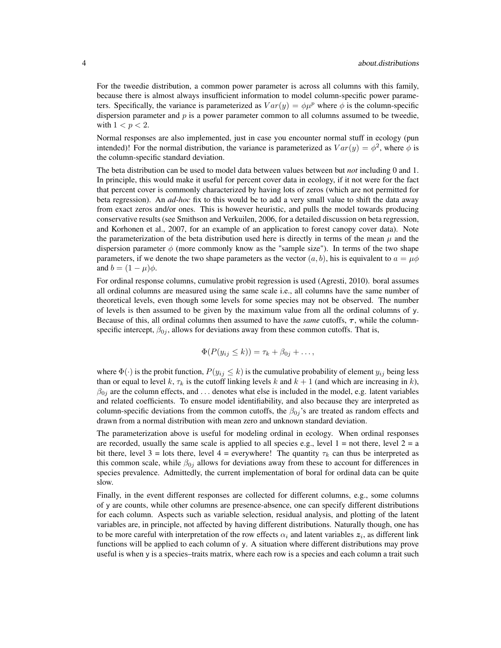For the tweedie distribution, a common power parameter is across all columns with this family, because there is almost always insufficient information to model column-specific power parameters. Specifically, the variance is parameterized as  $Var(y) = \phi \mu^p$  where  $\phi$  is the column-specific dispersion parameter and  $p$  is a power parameter common to all columns assumed to be tweedie, with  $1 < p < 2$ .

Normal responses are also implemented, just in case you encounter normal stuff in ecology (pun intended)! For the normal distribution, the variance is parameterized as  $Var(y) = \phi^2$ , where  $\phi$  is the column-specific standard deviation.

The beta distribution can be used to model data between values between but *not* including 0 and 1. In principle, this would make it useful for percent cover data in ecology, if it not were for the fact that percent cover is commonly characterized by having lots of zeros (which are not permitted for beta regression). An *ad-hoc* fix to this would be to add a very small value to shift the data away from exact zeros and/or ones. This is however heuristic, and pulls the model towards producing conservative results (see Smithson and Verkuilen, 2006, for a detailed discussion on beta regression, and Korhonen et al., 2007, for an example of an application to forest canopy cover data). Note the parameterization of the beta distribution used here is directly in terms of the mean  $\mu$  and the dispersion parameter  $\phi$  (more commonly know as the "sample size"). In terms of the two shape parameters, if we denote the two shape parameters as the vector  $(a, b)$ , his is equivalent to  $a = \mu \phi$ and  $b = (1 - \mu)\phi$ .

For ordinal response columns, cumulative probit regression is used (Agresti, 2010). boral assumes all ordinal columns are measured using the same scale i.e., all columns have the same number of theoretical levels, even though some levels for some species may not be observed. The number of levels is then assumed to be given by the maximum value from all the ordinal columns of y. Because of this, all ordinal columns then assumed to have the *same* cutoffs,  $\tau$ , while the columnspecific intercept,  $\beta_{0j}$ , allows for deviations away from these common cutoffs. That is,

$$
\Phi(P(y_{ij} \leq k)) = \tau_k + \beta_{0j} + \dots,
$$

where  $\Phi(\cdot)$  is the probit function,  $P(y_{ij} \leq k)$  is the cumulative probability of element  $y_{ij}$  being less than or equal to level k,  $\tau_k$  is the cutoff linking levels k and  $k + 1$  (and which are increasing in k),  $\beta_{0j}$  are the column effects, and ... denotes what else is included in the model, e.g. latent variables and related coefficients. To ensure model identifiability, and also because they are interpreted as column-specific deviations from the common cutoffs, the  $\beta_{0j}$ 's are treated as random effects and drawn from a normal distribution with mean zero and unknown standard deviation.

The parameterization above is useful for modeling ordinal in ecology. When ordinal responses are recorded, usually the same scale is applied to all species e.g., level  $1 =$  not there, level  $2 =$  a bit there, level 3 = lots there, level 4 = everywhere! The quantity  $\tau_k$  can thus be interpreted as this common scale, while  $\beta_{0j}$  allows for deviations away from these to account for differences in species prevalence. Admittedly, the current implementation of boral for ordinal data can be quite slow.

Finally, in the event different responses are collected for different columns, e.g., some columns of y are counts, while other columns are presence-absence, one can specify different distributions for each column. Aspects such as variable selection, residual analysis, and plotting of the latent variables are, in principle, not affected by having different distributions. Naturally though, one has to be more careful with interpretation of the row effects  $\alpha_i$  and latent variables  $z_i$ , as different link functions will be applied to each column of y. A situation where different distributions may prove useful is when y is a species–traits matrix, where each row is a species and each column a trait such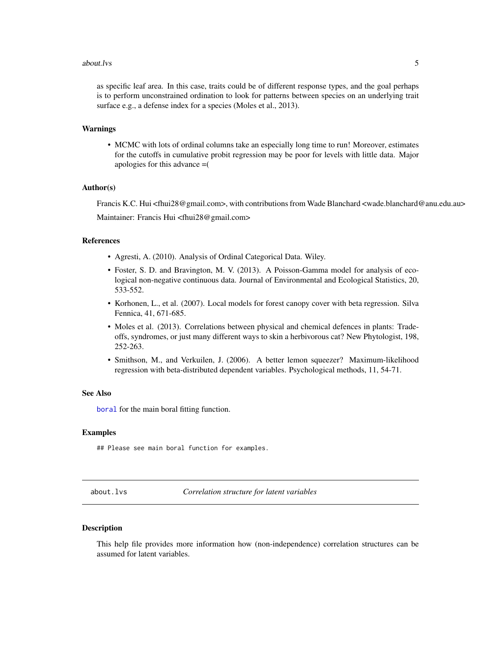#### <span id="page-4-0"></span>about.lys 5

as specific leaf area. In this case, traits could be of different response types, and the goal perhaps is to perform unconstrained ordination to look for patterns between species on an underlying trait surface e.g., a defense index for a species (Moles et al., 2013).

#### Warnings

• MCMC with lots of ordinal columns take an especially long time to run! Moreover, estimates for the cutoffs in cumulative probit regression may be poor for levels with little data. Major apologies for this advance =(

#### Author(s)

Francis K.C. Hui <fhui28@gmail.com>, with contributions from Wade Blanchard <wade.blanchard@anu.edu.au> Maintainer: Francis Hui <fhui28@gmail.com>

#### References

- Agresti, A. (2010). Analysis of Ordinal Categorical Data. Wiley.
- Foster, S. D. and Bravington, M. V. (2013). A Poisson-Gamma model for analysis of ecological non-negative continuous data. Journal of Environmental and Ecological Statistics, 20, 533-552.
- Korhonen, L., et al. (2007). Local models for forest canopy cover with beta regression. Silva Fennica, 41, 671-685.
- Moles et al. (2013). Correlations between physical and chemical defences in plants: Tradeoffs, syndromes, or just many different ways to skin a herbivorous cat? New Phytologist, 198, 252-263.
- Smithson, M., and Verkuilen, J. (2006). A better lemon squeezer? Maximum-likelihood regression with beta-distributed dependent variables. Psychological methods, 11, 54-71.

#### See Also

[boral](#page-13-1) for the main boral fitting function.

#### Examples

## Please see main boral function for examples.

<span id="page-4-1"></span>about.lvs *Correlation structure for latent variables*

#### **Description**

This help file provides more information how (non-independence) correlation structures can be assumed for latent variables.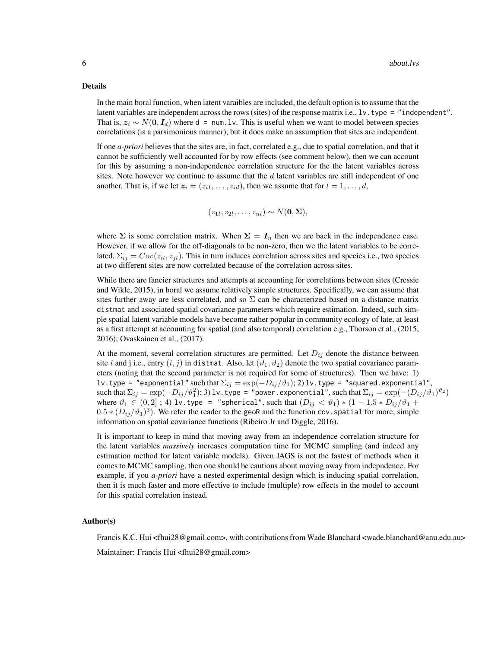#### Details

In the main boral function, when latent varaibles are included, the default option is to assume that the latent variables are independent across the rows (sites) of the response matrix i.e., lv.type = "independent". That is,  $z_i \sim N(0, I_d)$  where d = num.lv. This is useful when we want to model between species correlations (is a parsimonious manner), but it does make an assumption that sites are independent.

If one *a-priori* believes that the sites are, in fact, correlated e.g., due to spatial correlation, and that it cannot be sufficiently well accounted for by row effects (see comment below), then we can account for this by assuming a non-independence correlation structure for the the latent variables across sites. Note however we continue to assume that the  $d$  latent variables are still independent of one another. That is, if we let  $z_i = (z_{i1}, \ldots, z_{id})$ , then we assume that for  $l = 1, \ldots, d$ ,

$$
(z_{1l}, z_{2l}, \ldots, z_{nl}) \sim N(\mathbf{0}, \mathbf{\Sigma}),
$$

where  $\Sigma$  is some correlation matrix. When  $\Sigma = I_n$  then we are back in the independence case. However, if we allow for the off-diagonals to be non-zero, then we the latent variables to be correlated,  $\Sigma_{ij} = Cov(z_{il}, z_{jl})$ . This in turn induces correlation across sites and species i.e., two species at two different sites are now correlated because of the correlation across sites.

While there are fancier structures and attempts at accounting for correlations between sites (Cressie and Wikle, 2015), in boral we assume relatively simple structures. Specifically, we can assume that sites further away are less correlated, and so  $\Sigma$  can be characterized based on a distance matrix distmat and associated spatial covariance parameters which require estimation. Indeed, such simple spatial latent variable models have become rather popular in community ecology of late, at least as a first attempt at accounting for spatial (and also temporal) correlation e.g., Thorson et al., (2015, 2016); Ovaskainen et al., (2017).

At the moment, several correlation structures are permitted. Let  $D_{ij}$  denote the distance between site i and j i.e., entry  $(i, j)$  in distmat. Also, let  $(\vartheta_1, \vartheta_2)$  denote the two spatial covariance parameters (noting that the second parameter is not required for some of structures). Then we have: 1) lv.type = "exponential" such that  $\Sigma_{ij} = \exp(-D_{ij}/\vartheta_1);2$ )lv.type = "squared.exponential", such that  $\Sigma_{ij}=\exp(-D_{ij}/\vartheta_1^2);$   $3)$  lv.type = "power.exponential", such that  $\Sigma_{ij}=\exp(-(D_{ij}/\vartheta_1)^{\vartheta_2})$ where  $\vartheta_1 \in (0,2]$ ; 4) lv.type = "spherical", such that  $(D_{ij} < \vartheta_1) * (1 - 1.5 * D_{ij}/\vartheta_1 +$  $(0.5*(D_{ij}/\vartheta_1)^3)$ . We refer the reader to the geoR and the function cov. spatial for more, simple information on spatial covariance functions (Ribeiro Jr and Diggle, 2016).

It is important to keep in mind that moving away from an independence correlation structure for the latent variables *massively* increases computation time for MCMC sampling (and indeed any estimation method for latent variable models). Given JAGS is not the fastest of methods when it comes to MCMC sampling, then one should be cautious about moving away from indepndence. For example, if you *a-priori* have a nested experimental design which is inducing spatial correlation, then it is much faster and more effective to include (multiple) row effects in the model to account for this spatial correlation instead.

#### Author(s)

Francis K.C. Hui <fhui28@gmail.com>, with contributions from Wade Blanchard <wade.blanchard@anu.edu.au>

Maintainer: Francis Hui <fhui28@gmail.com>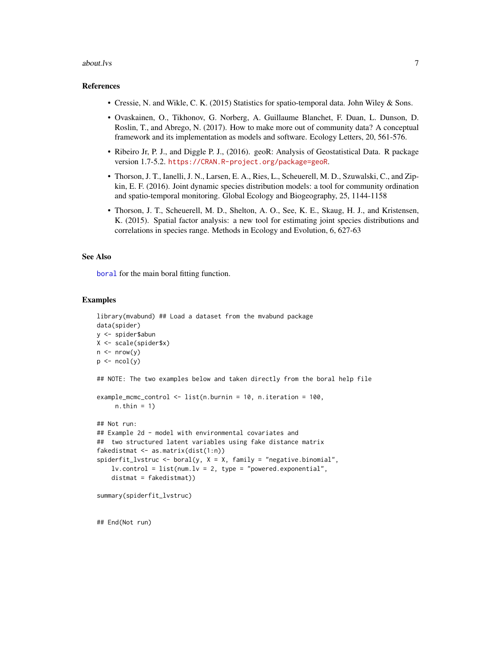#### about.lys 2008 and 2008 and 2008 and 2008 and 2008 and 2008 and 2008 and 2008 and 2008 and 2008 and 2008 and 20

#### References

- Cressie, N. and Wikle, C. K. (2015) Statistics for spatio-temporal data. John Wiley & Sons.
- Ovaskainen, O., Tikhonov, G. Norberg, A. Guillaume Blanchet, F. Duan, L. Dunson, D. Roslin, T., and Abrego, N. (2017). How to make more out of community data? A conceptual framework and its implementation as models and software. Ecology Letters, 20, 561-576.
- Ribeiro Jr, P. J., and Diggle P. J., (2016). geoR: Analysis of Geostatistical Data. R package version 1.7-5.2. <https://CRAN.R-project.org/package=geoR>.
- Thorson, J. T., Ianelli, J. N., Larsen, E. A., Ries, L., Scheuerell, M. D., Szuwalski, C., and Zipkin, E. F. (2016). Joint dynamic species distribution models: a tool for community ordination and spatio-temporal monitoring. Global Ecology and Biogeography, 25, 1144-1158
- Thorson, J. T., Scheuerell, M. D., Shelton, A. O., See, K. E., Skaug, H. J., and Kristensen, K. (2015). Spatial factor analysis: a new tool for estimating joint species distributions and correlations in species range. Methods in Ecology and Evolution, 6, 627-63

#### See Also

[boral](#page-13-1) for the main boral fitting function.

#### Examples

```
library(mvabund) ## Load a dataset from the mvabund package
data(spider)
y <- spider$abun
X <- scale(spider$x)
n \leq -nrow(y)p \leftarrow \text{ncol}(y)## NOTE: The two examples below and taken directly from the boral help file
example_mcmc_control <- list(n.burnin = 10, n.iteration = 100,
     n.thin = 1)
## Not run:
## Example 2d - model with environmental covariates and
## two structured latent variables using fake distance matrix
fakedistmat <- as.matrix(dist(1:n))
spiderfit_lvstruc <- boral(y, X = X, family = "negative.binomial",
    lv.control = list(num.lv = 2, type = "powered.exponential",distmat = fakedistmat))
summary(spiderfit_lvstruc)
```
## End(Not run)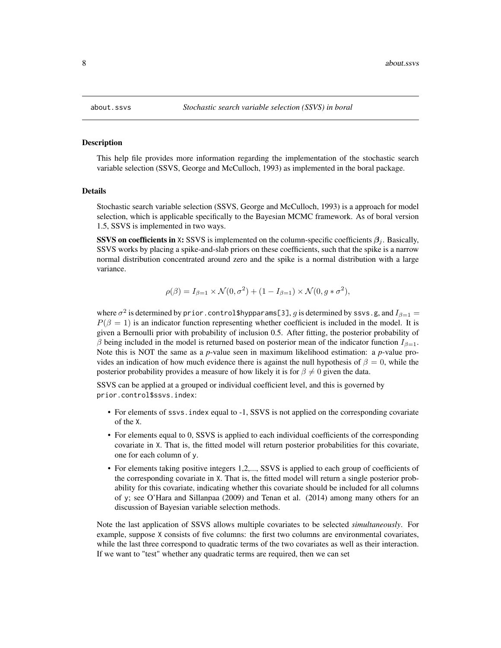<span id="page-7-1"></span><span id="page-7-0"></span>

#### **Description**

This help file provides more information regarding the implementation of the stochastic search variable selection (SSVS, George and McCulloch, 1993) as implemented in the boral package.

#### Details

Stochastic search variable selection (SSVS, George and McCulloch, 1993) is a approach for model selection, which is applicable specifically to the Bayesian MCMC framework. As of boral version 1.5, SSVS is implemented in two ways.

**SSVS on coefficients in** X: SSVS is implemented on the column-specific coefficients  $\beta_i$ . Basically, SSVS works by placing a spike-and-slab priors on these coefficients, such that the spike is a narrow normal distribution concentrated around zero and the spike is a normal distribution with a large variance.

$$
\rho(\beta) = I_{\beta=1} \times \mathcal{N}(0, \sigma^2) + (1 - I_{\beta=1}) \times \mathcal{N}(0, g * \sigma^2),
$$

where  $\sigma^2$  is determined by prior . control\$hypparams[3],  $g$  is determined by <code>ssvs.g</code>, and  $I_{\beta=1}=$  $P(\beta = 1)$  is an indicator function representing whether coefficient is included in the model. It is given a Bernoulli prior with probability of inclusion 0.5. After fitting, the posterior probability of β being included in the model is returned based on posterior mean of the indicator function  $I_{β=1}$ . Note this is NOT the same as a *p*-value seen in maximum likelihood estimation: a *p*-value provides an indication of how much evidence there is against the null hypothesis of  $\beta = 0$ , while the posterior probability provides a measure of how likely it is for  $\beta \neq 0$  given the data.

SSVS can be applied at a grouped or individual coefficient level, and this is governed by prior.control\$ssvs.index:

- For elements of ssvs. index equal to -1, SSVS is not applied on the corresponding covariate of the X.
- For elements equal to 0, SSVS is applied to each individual coefficients of the corresponding covariate in X. That is, the fitted model will return posterior probabilities for this covariate, one for each column of y.
- For elements taking positive integers 1,2,..., SSVS is applied to each group of coefficients of the corresponding covariate in X. That is, the fitted model will return a single posterior probability for this covariate, indicating whether this covariate should be included for all columns of y; see O'Hara and Sillanpaa (2009) and Tenan et al. (2014) among many others for an discussion of Bayesian variable selection methods.

Note the last application of SSVS allows multiple covariates to be selected *simultaneously*. For example, suppose X consists of five columns: the first two columns are environmental covariates, while the last three correspond to quadratic terms of the two covariates as well as their interaction. If we want to "test" whether any quadratic terms are required, then we can set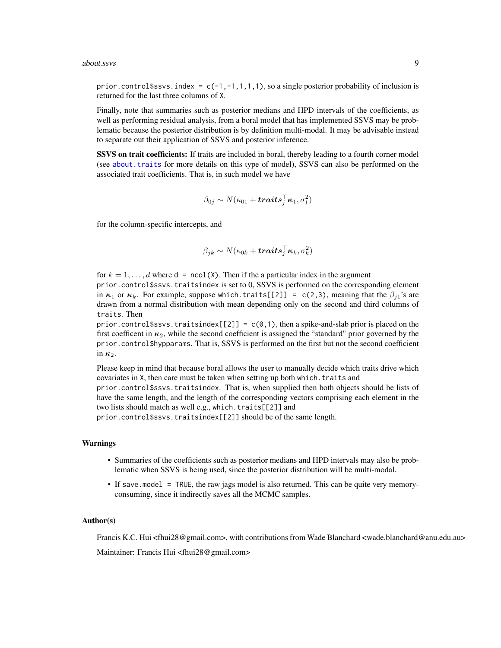#### about.ssvs **9**

prior.control \$ssvs.index =  $c(-1, -1, 1, 1, 1)$ , so a single posterior probability of inclusion is returned for the last three columns of X.

Finally, note that summaries such as posterior medians and HPD intervals of the coefficients, as well as performing residual analysis, from a boral model that has implemented SSVS may be problematic because the posterior distribution is by definition multi-modal. It may be advisable instead to separate out their application of SSVS and posterior inference.

SSVS on trait coefficients: If traits are included in boral, thereby leading to a fourth corner model (see about. traits for more details on this type of model), SSVS can also be performed on the associated trait coefficients. That is, in such model we have

$$
\beta_{0j} \sim N(\kappa_{01} + \textbf{traits}_j^{\top} \kappa_1, \sigma_1^2)
$$

for the column-specific intercepts, and

$$
\beta_{jk} \sim N(\kappa_{0k} + \bm{traits}_{j}^{\top}\bm{\kappa}_{k}, \sigma^{2}_{k})
$$

for  $k = 1, \ldots, d$  where  $d = \text{ncol}(X)$ . Then if the a particular index in the argument prior.control\$ssvs.traitsindex is set to 0, SSVS is performed on the corresponding element in  $\kappa_1$  or  $\kappa_k$ . For example, suppose which.traits[[2]] = c(2,3), meaning that the  $\beta_{i1}$ 's are drawn from a normal distribution with mean depending only on the second and third columns of traits. Then

prior.control\$ssvs.traitsindex[[2]] =  $c(0,1)$ , then a spike-and-slab prior is placed on the first coefficent in  $\kappa_2$ , while the second coefficient is assigned the "standard" prior governed by the prior.control\$hypparams. That is, SSVS is performed on the first but not the second coefficient in  $\kappa_2$ .

Please keep in mind that because boral allows the user to manually decide which traits drive which covariates in X, then care must be taken when setting up both which. traits and prior.control\$ssvs.traitsindex. That is, when supplied then both objects should be lists of have the same length, and the length of the corresponding vectors comprising each element in the two lists should match as well e.g., which.traits[[2]] and

prior.control\$ssvs.traitsindex[[2]] should be of the same length.

#### Warnings

- Summaries of the coefficients such as posterior medians and HPD intervals may also be problematic when SSVS is being used, since the posterior distribution will be multi-modal.
- If save.model = TRUE, the raw jags model is also returned. This can be quite very memoryconsuming, since it indirectly saves all the MCMC samples.

#### Author(s)

Francis K.C. Hui <fhui28@gmail.com>, with contributions from Wade Blanchard <wade.blanchard@anu.edu.au>

Maintainer: Francis Hui <fhui28@gmail.com>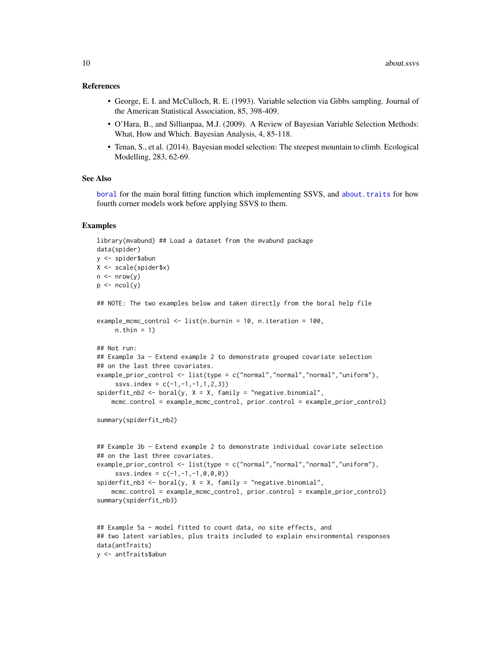#### References

- George, E. I. and McCulloch, R. E. (1993). Variable selection via Gibbs sampling. Journal of the American Statistical Association, 85, 398-409.
- O'Hara, B., and Sillianpaa, M.J. (2009). A Review of Bayesian Variable Selection Methods: What, How and Which. Bayesian Analysis, 4, 85-118.
- Tenan, S., et al. (2014). Bayesian model selection: The steepest mountain to climb. Ecological Modelling, 283, 62-69.

#### See Also

[boral](#page-13-1) for the main boral fitting function which implementing SSVS, and [about.traits](#page-10-1) for how fourth corner models work before applying SSVS to them.

#### Examples

data(antTraits) y <- antTraits\$abun

```
library(mvabund) ## Load a dataset from the mvabund package
data(spider)
y <- spider$abun
X <- scale(spider$x)
n \leq -nrow(y)p \leftarrow \text{ncol}(y)## NOTE: The two examples below and taken directly from the boral help file
example_mcmc_control <- list(n.burnin = 10, n.iteration = 100,
     n.thin = 1)
## Not run:
## Example 3a - Extend example 2 to demonstrate grouped covariate selection
## on the last three covariates.
example_prior_control <- list(type = c("normal","normal","normal","uniform"),
     ssvs.index = c(-1, -1, -1, 1, 2, 3)spiderfit_m b2 \leq -\text{boral}(y, X = X, family = "negative-binomial",mcmc.control = example_mcmc_control, prior.control = example_prior_control)
summary(spiderfit_nb2)
## Example 3b - Extend example 2 to demonstrate individual covariate selection
## on the last three covariates.
example_prior_control <- list(type = c("normal","normal","normal","uniform"),
     ssvs.index = c(-1, -1, -1, 0, 0, 0)spiderfit_{nb3} < - boral(y, X = X, family = "negative.binomial",
    mcmc.control = example_mcmc_control, prior.control = example_prior_control)
summary(spiderfit_nb3)
## Example 5a - model fitted to count data, no site effects, and
## two latent variables, plus traits included to explain environmental responses
```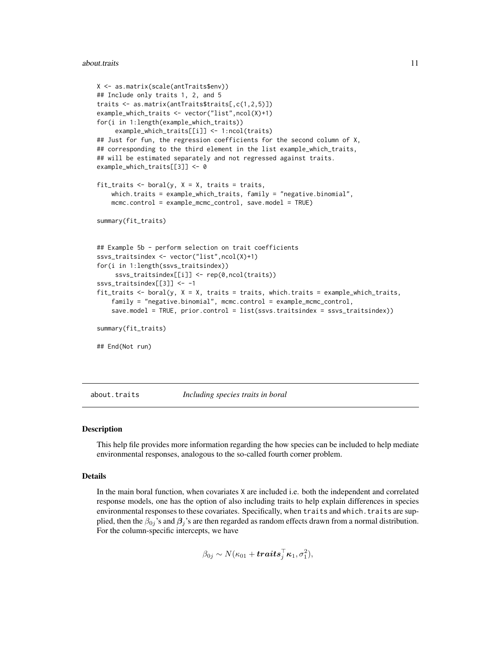#### <span id="page-10-0"></span>about.traits 11

```
X <- as.matrix(scale(antTraits$env))
## Include only traits 1, 2, and 5
traits <- as.matrix(antTraits$traits[,c(1,2,5)])
example_which_traits <- vector("list",ncol(X)+1)
for(i in 1:length(example_which_traits))
     example_which_traits[[i]] <- 1:ncol(traits)
## Just for fun, the regression coefficients for the second column of X,
## corresponding to the third element in the list example_which_traits,
## will be estimated separately and not regressed against traits.
example_which_traits[[3]] <- 0
fit_traits \leq boral(y, X = X, traits = traits,
    which.traits = example_which_traits, family = "negative.binomial",
   mcmc.control = example_mcmc_control, save.model = TRUE)
summary(fit_traits)
## Example 5b - perform selection on trait coefficients
ssvs_traitsindex <- vector("list",ncol(X)+1)
for(i in 1:length(ssvs_traitsindex))
     ssvs_traitsindex[[i]] <- rep(0,ncol(traits))
ssvs_traitsindex[[3]] <- -1
fit_traits \le boral(y, X = X, traits = traits, which.traits = example_which_traits,
    family = "negative.binomial", mcmc.control = example_mcmc_control,
    save.model = TRUE, prior.control = list(ssvs.traitsindex = ssvs_traitsindex))
summary(fit_traits)
## End(Not run)
```
<span id="page-10-1"></span>about.traits *Including species traits in boral*

#### **Description**

This help file provides more information regarding the how species can be included to help mediate environmental responses, analogous to the so-called fourth corner problem.

#### Details

In the main boral function, when covariates X are included i.e. both the independent and correlated response models, one has the option of also including traits to help explain differences in species environmental responses to these covariates. Specifically, when traits and which. traits are supplied, then the  $\beta_{0i}$ 's and  $\beta_i$ 's are then regarded as random effects drawn from a normal distribution. For the column-specific intercepts, we have

$$
\beta_{0j} \sim N(\kappa_{01} + \textbf{traits}_j^{\top} \kappa_1, \sigma_1^2),
$$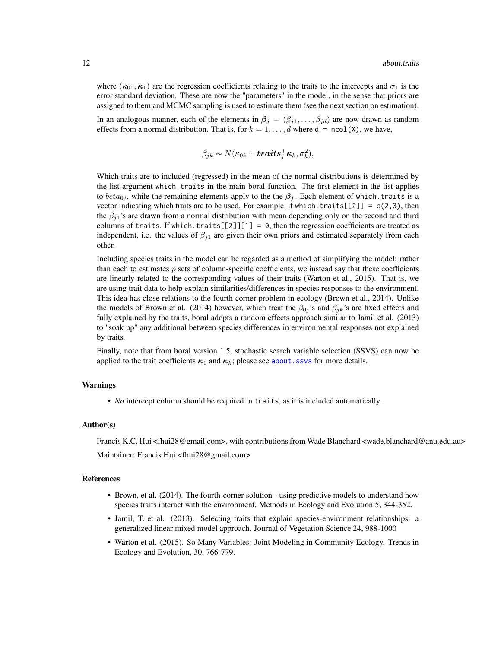where  $(\kappa_{01}, \kappa_1)$  are the regression coefficients relating to the traits to the intercepts and  $\sigma_1$  is the error standard deviation. These are now the "parameters" in the model, in the sense that priors are assigned to them and MCMC sampling is used to estimate them (see the next section on estimation).

In an analogous manner, each of the elements in  $\beta_j = (\beta_{j1}, \dots, \beta_{jd})$  are now drawn as random effects from a normal distribution. That is, for  $k = 1, \ldots, d$  where  $d = \text{ncol}(X)$ , we have,

$$
\beta_{jk} \sim N(\kappa_{0k} + \boldsymbol{traits}_{j}^{\top}\boldsymbol{\kappa}_{k}, \sigma_{k}^{2}),
$$

Which traits are to included (regressed) in the mean of the normal distributions is determined by the list argument which.traits in the main boral function. The first element in the list applies to  $beta_{ij}$ , while the remaining elements apply to the the  $\beta_j$ . Each element of which.traits is a vector indicating which traits are to be used. For example, if which.traits[[2]] =  $c(2,3)$ , then the  $\beta_{i1}$ 's are drawn from a normal distribution with mean depending only on the second and third columns of traits. If which.traits $[2]$ ][1] = 0, then the regression coefficients are treated as independent, i.e. the values of  $\beta_{j1}$  are given their own priors and estimated separately from each other.

Including species traits in the model can be regarded as a method of simplifying the model: rather than each to estimates  $p$  sets of column-specific coefficients, we instead say that these coefficients are linearly related to the corresponding values of their traits (Warton et al., 2015). That is, we are using trait data to help explain similarities/differences in species responses to the environment. This idea has close relations to the fourth corner problem in ecology (Brown et al., 2014). Unlike the models of Brown et al. (2014) however, which treat the  $\beta_{0j}$ 's and  $\beta_{jk}$ 's are fixed effects and fully explained by the traits, boral adopts a random effects approach similar to Jamil et al. (2013) to "soak up" any additional between species differences in environmental responses not explained by traits.

Finally, note that from boral version 1.5, stochastic search variable selection (SSVS) can now be applied to the trait coefficients  $\kappa_1$  and  $\kappa_k$ ; please see about. ssvs for more details.

#### Warnings

• *No* intercept column should be required in traits, as it is included automatically.

#### Author(s)

Francis K.C. Hui <fhui28@gmail.com>, with contributions from Wade Blanchard <wade.blanchard@anu.edu.au> Maintainer: Francis Hui <fhui28@gmail.com>

#### References

- Brown, et al. (2014). The fourth-corner solution using predictive models to understand how species traits interact with the environment. Methods in Ecology and Evolution 5, 344-352.
- Jamil, T. et al. (2013). Selecting traits that explain species-environment relationships: a generalized linear mixed model approach. Journal of Vegetation Science 24, 988-1000
- Warton et al. (2015). So Many Variables: Joint Modeling in Community Ecology. Trends in Ecology and Evolution, 30, 766-779.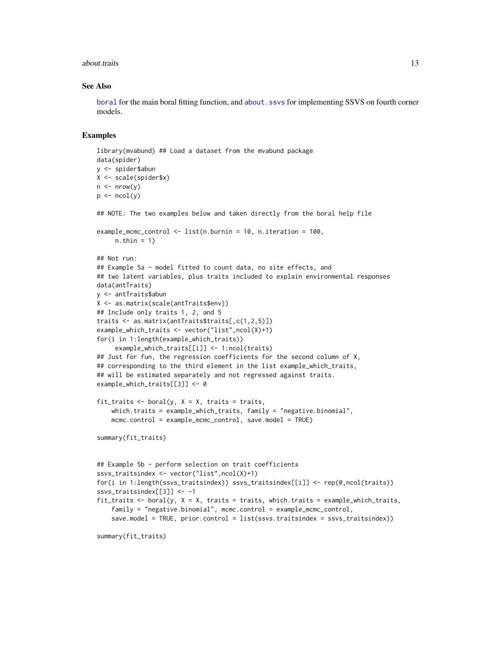#### about.traits and the set of the set of the set of the set of the set of the set of the set of the set of the set of the set of the set of the set of the set of the set of the set of the set of the set of the set of the set

#### See Also

[boral](#page-13-1) for the main boral fitting function, and [about.ssvs](#page-7-1) for implementing SSVS on fourth corner models.

#### Examples

```
library(mvabund) ## Load a dataset from the mvabund package
data(spider)
y <- spider$abun
X <- scale(spider$x)
n \leq -nrow(y)p \leftarrow \text{ncol}(y)## NOTE: The two examples below and taken directly from the boral help file
example_mcmc_control <- list(n.burnin = 10, n.iteration = 100,
     n.thin = 1)
## Not run:
## Example 5a - model fitted to count data, no site effects, and
## two latent variables, plus traits included to explain environmental responses
data(antTraits)
y <- antTraits$abun
X <- as.matrix(scale(antTraits$env))
## Include only traits 1, 2, and 5
traits <- as.matrix(antTraits$traits[,c(1,2,5)])
example_which_traits <- vector("list",ncol(X)+1)
for(i in 1:length(example_which_traits))
     example_which_traits[[i]] <- 1:ncol(traits)
## Just for fun, the regression coefficients for the second column of X,
## corresponding to the third element in the list example_which_traits,
## will be estimated separately and not regressed against traits.
example_which_traits[[3]] <- 0
fit_traits \le boral(y, X = X, traits = traits,
    which.traits = example_which_traits, family = "negative.binomial",
    mcmc.control = example_mcmc_control, save.model = TRUE)
summary(fit_traits)
## Example 5b - perform selection on trait coefficients
ssvs_traitsindex <- vector("list",ncol(X)+1)
for(i in 1:length(ssvs_traitsindex)) ssvs_traitsindex[[i]] <- rep(0,ncol(traits))
ssvs_traitsindex[[3]] <- -1
fit_traits \le boral(y, X = X, traits = traits, which.traits = example_which_traits,
    family = "negative.binomial", mcmc.control = example_mcmc_control,
    save.model = TRUE, prior.control = list(ssvs.traitsindex = ssvs_traitsindex))
summary(fit_traits)
```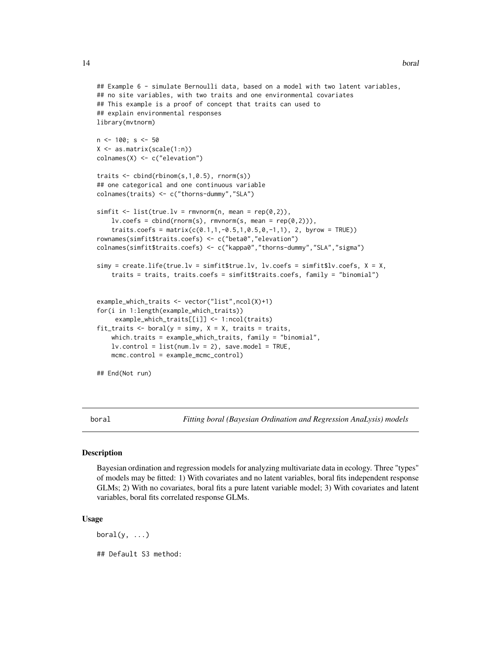```
## Example 6 - simulate Bernoulli data, based on a model with two latent variables,
## no site variables, with two traits and one environmental covariates
## This example is a proof of concept that traits can used to
## explain environmental responses
library(mvtnorm)
n <- 100; s <- 50
X \leftarrow \text{as_matrix}(\text{scale}(1:n))colnames(X) <- c("elevation")
traits <- cbind(rbinom(s,1,0.5), rnorm(s))
## one categorical and one continuous variable
colnames(traits) <- c("thorns-dummy","SLA")
simfit <- list(true.lv = rmvnorm(n, mean = rep(0,2)),
    lv.\text{coeffs} = \text{cbind}(rnorm(s), rmvnorm(s, mean = rep(0,2))),traits.coefs = matrix(c(0.1, 1, -0.5, 1, 0.5, 0, -1, 1), 2, byrow = TRUE))
rownames(simfit$traits.coefs) <- c("beta0","elevation")
colnames(simfit$traits.coefs) <- c("kappa0","thorns-dummy","SLA","sigma")
simy = create.life(true.lv = simfit$true.lv, lv.coefs = simfit$lv.coefs, X = X,
    traits = traits, traits.coefs = simfit$traits.coefs, family = "binomial")
example_which_traits <- vector("list",ncol(X)+1)
for(i in 1:length(example_which_traits))
     example_which_traits[[i]] <- 1:ncol(traits)
fit_traits <- boral(y = simy, X = X, traits = traits,
    which.traits = example_which_traits, family = "binomial",
    lv.contrib = list(num.lv = 2), save.model = TRUE,
    mcmc.control = example_mcmc_control)
## End(Not run)
```
<span id="page-13-1"></span>boral *Fitting boral (Bayesian Ordination and Regression AnaLysis) models*

#### Description

Bayesian ordination and regression models for analyzing multivariate data in ecology. Three "types" of models may be fitted: 1) With covariates and no latent variables, boral fits independent response GLMs; 2) With no covariates, boral fits a pure latent variable model; 3) With covariates and latent variables, boral fits correlated response GLMs.

#### Usage

boral $(y, \ldots)$ ## Default S3 method:

<span id="page-13-0"></span>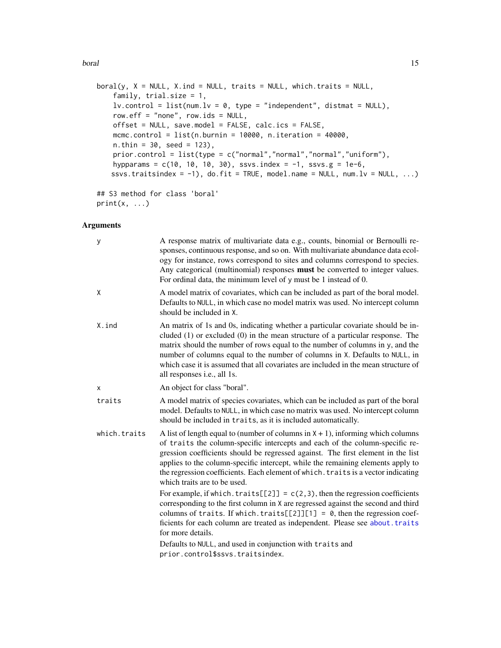boral and the contract of the contract of the contract of the contract of the contract of the contract of the contract of the contract of the contract of the contract of the contract of the contract of the contract of the

```
boral(y, X = NULL, X.ind = NULL, traits = NULL, which traits = NULL,family, trial.size = 1,
    lv. control = list(num.lv = 0, type = "independent", distmat = NULL),
    row.eff = "none", row.ids = NULL,
   offset = NULL, save.model = FALSE, calc.ics = FALSE,
   mcmc.control = list(n.burnin = 10000, n.iteration = 40000,
   n. thin = 30, seed = 123),
   prior.control = list(type = c("normal","normal","normal","uniform"),
   hypparams = c(10, 10, 10, 30), ssvs.index = -1, ssvs.g = 1e-6,
   ssvs.traitsindex = -1), do.fit = TRUE, model.name = NULL, num.lv = NULL, ...)
## S3 method for class 'boral'
```

```
print(x, \ldots)
```
# Arguments

| y            | A response matrix of multivariate data e.g., counts, binomial or Bernoulli re-<br>sponses, continuous response, and so on. With multivariate abundance data ecol-<br>ogy for instance, rows correspond to sites and columns correspond to species.<br>Any categorical (multinomial) responses must be converted to integer values.<br>For ordinal data, the minimum level of y must be 1 instead of 0.                                                         |
|--------------|----------------------------------------------------------------------------------------------------------------------------------------------------------------------------------------------------------------------------------------------------------------------------------------------------------------------------------------------------------------------------------------------------------------------------------------------------------------|
| X            | A model matrix of covariates, which can be included as part of the boral model.<br>Defaults to NULL, in which case no model matrix was used. No intercept column<br>should be included in X.                                                                                                                                                                                                                                                                   |
| X.ind        | An matrix of 1s and 0s, indicating whether a particular covariate should be in-<br>cluded $(1)$ or excluded $(0)$ in the mean structure of a particular response. The<br>matrix should the number of rows equal to the number of columns in y, and the<br>number of columns equal to the number of columns in X. Defaults to NULL, in<br>which case it is assumed that all covariates are included in the mean structure of<br>all responses i.e., all 1s.     |
| X            | An object for class "boral".                                                                                                                                                                                                                                                                                                                                                                                                                                   |
| traits       | A model matrix of species covariates, which can be included as part of the boral<br>model. Defaults to NULL, in which case no matrix was used. No intercept column<br>should be included in traits, as it is included automatically.                                                                                                                                                                                                                           |
| which.traits | A list of length equal to (number of columns in $X + 1$ ), informing which columns<br>of traits the column-specific intercepts and each of the column-specific re-<br>gression coefficients should be regressed against. The first element in the list<br>applies to the column-specific intercept, while the remaining elements apply to<br>the regression coefficients. Each element of which. traits is a vector indicating<br>which traits are to be used. |
|              | For example, if which. traits $[2]$ = $c(2,3)$ , then the regression coefficients<br>corresponding to the first column in X are regressed against the second and third<br>columns of traits. If which.traits[ $[2]$ ][1] = 0, then the regression coef-<br>ficients for each column are treated as independent. Please see about. traits<br>for more details.                                                                                                  |
|              | Defaults to NULL, and used in conjunction with traits and<br>prior.control\$ssvs.traitsindex.                                                                                                                                                                                                                                                                                                                                                                  |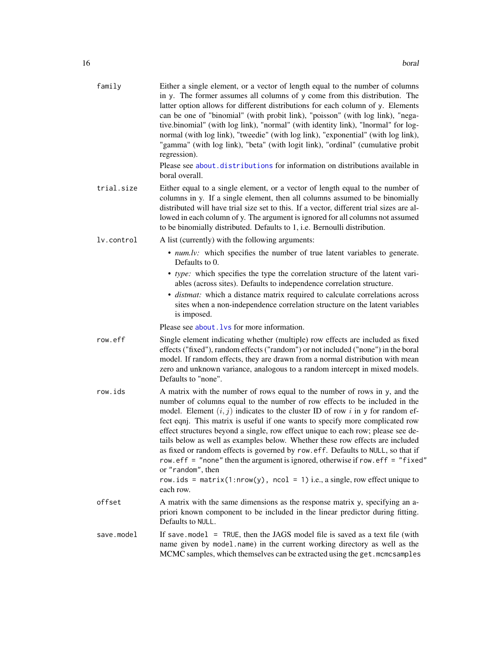| family     | Either a single element, or a vector of length equal to the number of columns<br>in y. The former assumes all columns of y come from this distribution. The<br>latter option allows for different distributions for each column of y. Elements<br>can be one of "binomial" (with probit link), "poisson" (with log link), "nega-<br>tive.binomial" (with log link), "normal" (with identity link), "lnormal" for log-<br>normal (with log link), "tweedie" (with log link), "exponential" (with log link),<br>"gamma" (with log link), "beta" (with logit link), "ordinal" (cumulative probit<br>regression).<br>Please see about distributions for information on distributions available in<br>boral overall.                                                           |
|------------|---------------------------------------------------------------------------------------------------------------------------------------------------------------------------------------------------------------------------------------------------------------------------------------------------------------------------------------------------------------------------------------------------------------------------------------------------------------------------------------------------------------------------------------------------------------------------------------------------------------------------------------------------------------------------------------------------------------------------------------------------------------------------|
| trial.size | Either equal to a single element, or a vector of length equal to the number of<br>columns in y. If a single element, then all columns assumed to be binomially<br>distributed will have trial size set to this. If a vector, different trial sizes are al-<br>lowed in each column of y. The argument is ignored for all columns not assumed<br>to be binomially distributed. Defaults to 1, i.e. Bernoulli distribution.                                                                                                                                                                                                                                                                                                                                                 |
| lv.control | A list (currently) with the following arguments:                                                                                                                                                                                                                                                                                                                                                                                                                                                                                                                                                                                                                                                                                                                          |
|            | • num.lv: which specifies the number of true latent variables to generate.<br>Defaults to 0.                                                                                                                                                                                                                                                                                                                                                                                                                                                                                                                                                                                                                                                                              |
|            | • type: which specifies the type the correlation structure of the latent vari-<br>ables (across sites). Defaults to independence correlation structure.<br>· distmat: which a distance matrix required to calculate correlations across<br>sites when a non-independence correlation structure on the latent variables<br>is imposed.                                                                                                                                                                                                                                                                                                                                                                                                                                     |
|            | Please see about. Lys for more information.                                                                                                                                                                                                                                                                                                                                                                                                                                                                                                                                                                                                                                                                                                                               |
| row.eff    | Single element indicating whether (multiple) row effects are included as fixed<br>effects ("fixed"), random effects ("random") or not included ("none") in the boral<br>model. If random effects, they are drawn from a normal distribution with mean<br>zero and unknown variance, analogous to a random intercept in mixed models.<br>Defaults to "none".                                                                                                                                                                                                                                                                                                                                                                                                               |
| row.ids    | A matrix with the number of rows equal to the number of rows in y, and the<br>number of columns equal to the number of row effects to be included in the<br>model. Element $(i, j)$ indicates to the cluster ID of row i in y for random ef-<br>fect eqnj. This matrix is useful if one wants to specify more complicated row<br>effect structures beyond a single, row effect unique to each row; please see de-<br>tails below as well as examples below. Whether these row effects are included<br>as fixed or random effects is governed by row.eff. Defaults to NULL, so that if<br>row.eff = "none" then the argument is ignored, otherwise if row.eff = "fixed"<br>or "random", then<br>row.ids = matrix(1:nrow(y), ncol = 1) i.e., a single, row effect unique to |
|            | each row.                                                                                                                                                                                                                                                                                                                                                                                                                                                                                                                                                                                                                                                                                                                                                                 |
| offset     | A matrix with the same dimensions as the response matrix y, specifying an a-<br>priori known component to be included in the linear predictor during fitting.<br>Defaults to NULL.                                                                                                                                                                                                                                                                                                                                                                                                                                                                                                                                                                                        |
| save.model | If save $model$ = TRUE, then the JAGS model file is saved as a text file (with<br>name given by model.name) in the current working directory as well as the<br>MCMC samples, which themselves can be extracted using the get. mcmcsamples                                                                                                                                                                                                                                                                                                                                                                                                                                                                                                                                 |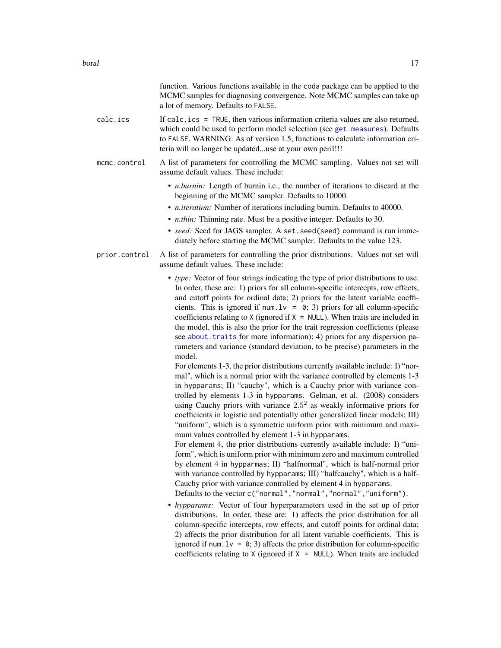|               | function. Various functions available in the coda package can be applied to the<br>MCMC samples for diagnosing convergence. Note MCMC samples can take up<br>a lot of memory. Defaults to FALSE.                                                                                                                                                                                                                                                                                                                                                                                                                                                                                                                                                                                                                                                                                                                                                                                                                                                                                                                                                                                                                                                                                                                                                                                                                                                                                                                                                                                                                                                                                                                                                                |
|---------------|-----------------------------------------------------------------------------------------------------------------------------------------------------------------------------------------------------------------------------------------------------------------------------------------------------------------------------------------------------------------------------------------------------------------------------------------------------------------------------------------------------------------------------------------------------------------------------------------------------------------------------------------------------------------------------------------------------------------------------------------------------------------------------------------------------------------------------------------------------------------------------------------------------------------------------------------------------------------------------------------------------------------------------------------------------------------------------------------------------------------------------------------------------------------------------------------------------------------------------------------------------------------------------------------------------------------------------------------------------------------------------------------------------------------------------------------------------------------------------------------------------------------------------------------------------------------------------------------------------------------------------------------------------------------------------------------------------------------------------------------------------------------|
| calc.ics      | If $calc.ics = TRUE$ , then various information criteria values are also returned,<br>which could be used to perform model selection (see get. measures). Defaults<br>to FALSE. WARNING: As of version 1.5, functions to calculate information cri-<br>teria will no longer be updateduse at your own peril!!!                                                                                                                                                                                                                                                                                                                                                                                                                                                                                                                                                                                                                                                                                                                                                                                                                                                                                                                                                                                                                                                                                                                                                                                                                                                                                                                                                                                                                                                  |
| mcmc.control  | A list of parameters for controlling the MCMC sampling. Values not set will<br>assume default values. These include:                                                                                                                                                                                                                                                                                                                                                                                                                                                                                                                                                                                                                                                                                                                                                                                                                                                                                                                                                                                                                                                                                                                                                                                                                                                                                                                                                                                                                                                                                                                                                                                                                                            |
|               | • <i>n.burnin</i> : Length of burnin i.e., the number of iterations to discard at the<br>beginning of the MCMC sampler. Defaults to 10000.<br>• <i>n.iteration:</i> Number of iterations including burnin. Defaults to 40000.<br>• <i>n.thin:</i> Thinning rate. Must be a positive integer. Defaults to 30.<br>• seed: Seed for JAGS sampler. A set. seed(seed) command is run imme-<br>diately before starting the MCMC sampler. Defaults to the value 123.                                                                                                                                                                                                                                                                                                                                                                                                                                                                                                                                                                                                                                                                                                                                                                                                                                                                                                                                                                                                                                                                                                                                                                                                                                                                                                   |
| prior.control | A list of parameters for controlling the prior distributions. Values not set will<br>assume default values. These include:                                                                                                                                                                                                                                                                                                                                                                                                                                                                                                                                                                                                                                                                                                                                                                                                                                                                                                                                                                                                                                                                                                                                                                                                                                                                                                                                                                                                                                                                                                                                                                                                                                      |
|               | • type: Vector of four strings indicating the type of prior distributions to use.<br>In order, these are: 1) priors for all column-specific intercepts, row effects,<br>and cutoff points for ordinal data; 2) priors for the latent variable coeffi-<br>cients. This is ignored if num. $1v = 0$ ; 3) priors for all column-specific<br>coefficients relating to $X$ (ignored if $X = NULL$ ). When traits are included in<br>the model, this is also the prior for the trait regression coefficients (please<br>see about. traits for more information); 4) priors for any dispersion pa-<br>rameters and variance (standard deviation, to be precise) parameters in the<br>model.<br>For elements 1-3, the prior distributions currently available include: I) "nor-<br>mal", which is a normal prior with the variance controlled by elements 1-3<br>in hypparams; II) "cauchy", which is a Cauchy prior with variance con-<br>trolled by elements 1-3 in hypparams. Gelman, et al. (2008) considers<br>using Cauchy priors with variance $2.52$ as weakly informative priors for<br>coefficients in logistic and potentially other generalized linear models; III)<br>"uniform", which is a symmetric uniform prior with minimum and maxi-<br>mum values controlled by element 1-3 in hypparams.<br>For element 4, the prior distributions currently available include: I) "uni-<br>form", which is uniform prior with minimum zero and maximum controlled<br>by element 4 in hypparmas; II) "halfnormal", which is half-normal prior<br>with variance controlled by hypparams; III) "halfcauchy", which is a half-<br>Cauchy prior with variance controlled by element 4 in hypparams.<br>Defaults to the vector c("normal","normal","normal","uniform"). |
|               | • hypparams: Vector of four hyperparameters used in the set up of prior<br>distributions. In order, these are: 1) affects the prior distribution for all<br>column-specific intercepts, row effects, and cutoff points for ordinal data;<br>2) affects the prior distribution for all latent variable coefficients. This is<br>ignored if num. $1v = 0$ ; 3) affects the prior distribution for column-specific<br>coefficients relating to $X$ (ignored if $X = NULL$ ). When traits are included                                                                                                                                                                                                                                                                                                                                                                                                                                                                                                                                                                                                                                                                                                                                                                                                                                                                                                                                                                                                                                                                                                                                                                                                                                                              |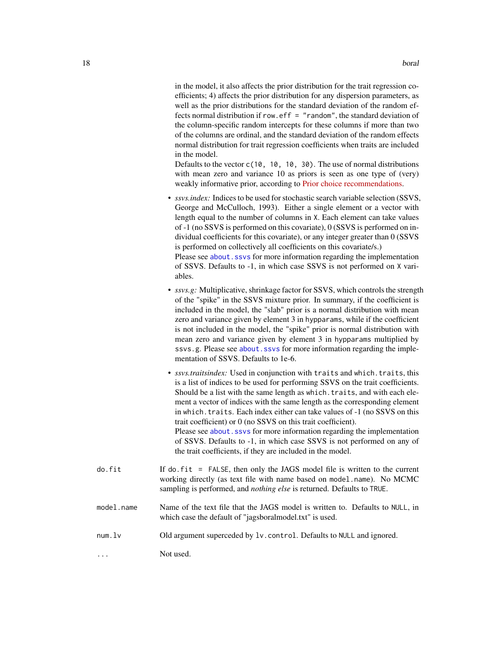in the model, it also affects the prior distribution for the trait regression coefficients; 4) affects the prior distribution for any dispersion parameters, as well as the prior distributions for the standard deviation of the random effects normal distribution if row.eff = "random", the standard deviation of the column-specific random intercepts for these columns if more than two of the columns are ordinal, and the standard deviation of the random effects normal distribution for trait regression coefficients when traits are included in the model.

Defaults to the vector c(10, 10, 10, 30). The use of normal distributions with mean zero and variance 10 as priors is seen as one type of (very) weakly informative prior, according to [Prior choice recommendations.](https://github.com/stan-dev/stan/wiki/Prior-Choice-Recommendations)

- *ssvs.index:* Indices to be used for stochastic search variable selection (SSVS, George and McCulloch, 1993). Either a single element or a vector with length equal to the number of columns in X. Each element can take values of -1 (no SSVS is performed on this covariate), 0 (SSVS is performed on individual coefficients for this covariate), or any integer greater than 0 (SSVS is performed on collectively all coefficients on this covariate/s.) Please see about. ssvs for more information regarding the implementation of SSVS. Defaults to -1, in which case SSVS is not performed on X variables.
- *ssvs.g:* Multiplicative, shrinkage factor for SSVS, which controls the strength of the "spike" in the SSVS mixture prior. In summary, if the coefficient is included in the model, the "slab" prior is a normal distribution with mean zero and variance given by element 3 in hypparams, while if the coefficient is not included in the model, the "spike" prior is normal distribution with mean zero and variance given by element 3 in hypparams multiplied by ssvs.g. Please see about. ssvs for more information regarding the implementation of SSVS. Defaults to 1e-6.
- *ssvs.traitsindex:* Used in conjunction with traits and which.traits, this is a list of indices to be used for performing SSVS on the trait coefficients. Should be a list with the same length as which.traits, and with each element a vector of indices with the same length as the corresponding element in which.traits. Each index either can take values of -1 (no SSVS on this trait coefficient) or 0 (no SSVS on this trait coefficient). Please see about. ssvs for more information regarding the implementation of SSVS. Defaults to -1, in which case SSVS is not performed on any of the trait coefficients, if they are included in the model.
- do.fit If do.fit = FALSE, then only the JAGS model file is written to the current working directly (as text file with name based on model.name). No MCMC sampling is performed, and *nothing else* is returned. Defaults to TRUE.
- model.name Name of the text file that the JAGS model is written to. Defaults to NULL, in which case the default of "jagsboralmodel.txt" is used.
- num.lv Old argument superceded by lv.control. Defaults to NULL and ignored.
- ... Not used.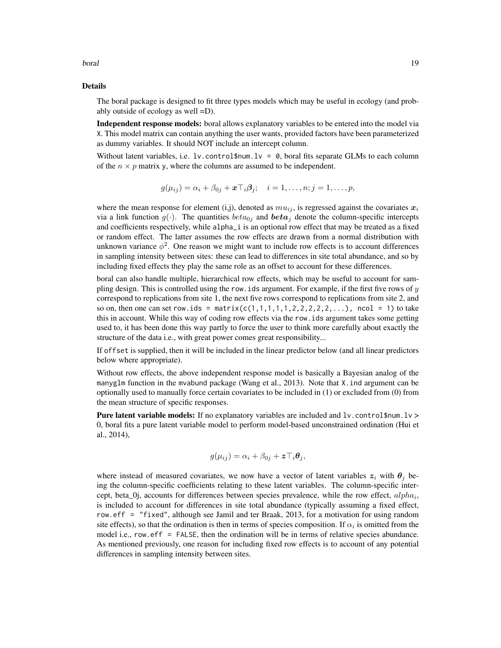#### boral and the contract of the contract of the contract of the contract of the contract of the contract of the contract of the contract of the contract of the contract of the contract of the contract of the contract of the

#### Details

The boral package is designed to fit three types models which may be useful in ecology (and probably outside of ecology as well =D).

Independent response models: boral allows explanatory variables to be entered into the model via X. This model matrix can contain anything the user wants, provided factors have been parameterized as dummy variables. It should NOT include an intercept column.

Without latent variables, i.e.  $1v$ .control\$num.lv = 0, boral fits separate GLMs to each column of the  $n \times p$  matrix y, where the columns are assumed to be independent.

$$
g(\mu_{ij}) = \alpha_i + \beta_{0j} + \boldsymbol{x} \top_i \boldsymbol{\beta}_j; \quad i = 1, \ldots, n; j = 1, \ldots, p,
$$

where the mean response for element (i,j), denoted as  $mu_{ij}$ , is regressed against the covariates  $x_i$ via a link function  $g(\cdot)$ . The quantities  $beta_{0j}$  and  $beta_j$  denote the column-specific intercepts and coefficients respectively, while alpha\_i is an optional row effect that may be treated as a fixed or random effect. The latter assumes the row effects are drawn from a normal distribution with unknown variance  $\phi^2$ . One reason we might want to include row effects is to account differences in sampling intensity between sites: these can lead to differences in site total abundance, and so by including fixed effects they play the same role as an offset to account for these differences.

boral can also handle multiple, hierarchical row effects, which may be useful to account for sampling design. This is controlled using the row, ids argument. For example, if the first five rows of y correspond to replications from site 1, the next five rows correspond to replications from site 2, and so on, then one can set row.ids =  $matrix(c(1,1,1,1,1,2,2,2,2,2,...),$  rcol = 1) to take this in account. While this way of coding row effects via the row.ids argument takes some getting used to, it has been done this way partly to force the user to think more carefully about exactly the structure of the data i.e., with great power comes great responsibility...

If offset is supplied, then it will be included in the linear predictor below (and all linear predictors below where appropriate).

Without row effects, the above independent response model is basically a Bayesian analog of the manyglm function in the mvabund package (Wang et al., 2013). Note that X.ind argument can be optionally used to manually force certain covariates to be included in (1) or excluded from (0) from the mean structure of specific responses.

**Pure latent variable models:** If no explanatory variables are included and  $1v$ , control \$num.  $1v >$ 0, boral fits a pure latent variable model to perform model-based unconstrained ordination (Hui et al., 2014),

$$
g(\mu_{ij}) = \alpha_i + \beta_{0j} + \boldsymbol{z} \top_i \boldsymbol{\theta}_j,
$$

where instead of measured covariates, we now have a vector of latent variables  $z_i$  with  $\theta_j$  being the column-specific coefficients relating to these latent variables. The column-specific intercept, beta\_0j, accounts for differences between species prevalence, while the row effect,  $alpha_i$ , is included to account for differences in site total abundance (typically assuming a fixed effect, row.eff = "fixed", although see Jamil and ter Braak, 2013, for a motivation for using random site effects), so that the ordination is then in terms of species composition. If  $\alpha_i$  is omitted from the model i.e., row.eff = FALSE, then the ordination will be in terms of relative species abundance. As mentioned previously, one reason for including fixed row effects is to account of any potential differences in sampling intensity between sites.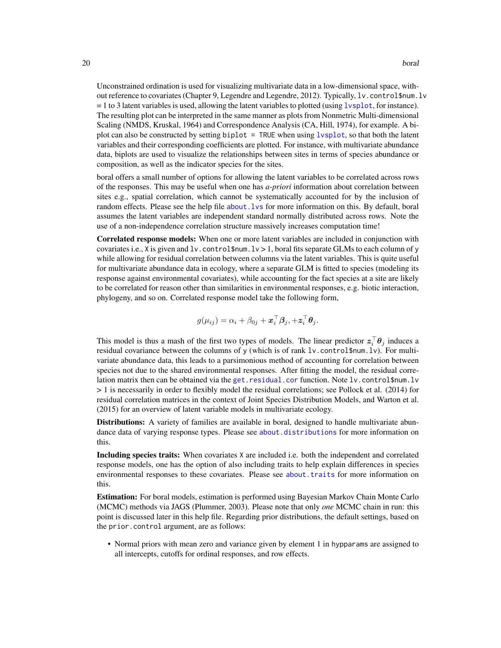Unconstrained ordination is used for visualizing multivariate data in a low-dimensional space, without reference to covariates (Chapter 9, Legendre and Legendre, 2012). Typically, lv.control\$num.lv  $= 1$  to 3 latent variables is used, allowing the latent variables to plotted (using lysplot, for instance). The resulting plot can be interpreted in the same manner as plots from Nonmetric Multi-dimensional Scaling (NMDS, Kruskal, 1964) and Correspondence Analysis (CA, Hill, 1974), for example. A biplot can also be constructed by setting biplot = TRUE when using [lvsplot](#page-70-1), so that both the latent variables and their corresponding coefficients are plotted. For instance, with multivariate abundance data, biplots are used to visualize the relationships between sites in terms of species abundance or composition, as well as the indicator species for the sites.

boral offers a small number of options for allowing the latent variables to be correlated across rows of the responses. This may be useful when one has *a-priori* information about correlation between sites e.g., spatial correlation, which cannot be systematically accounted for by the inclusion of random effects. Please see the help file about. Lys for more information on this. By default, boral assumes the latent variables are independent standard normally distributed across rows. Note the use of a non-independence correlation structure massively increases computation time!

Correlated response models: When one or more latent variables are included in conjunction with covariates i.e., X is given and  $l\nu$ . control\$num.  $l\nu > 1$ , boral fits separate GLMs to each column of y while allowing for residual correlation between columns via the latent variables. This is quite useful for multivariate abundance data in ecology, where a separate GLM is fitted to species (modeling its response against environmental covariates), while accounting for the fact species at a site are likely to be correlated for reason other than similarities in environmental responses, e.g. biotic interaction, phylogeny, and so on. Correlated response model take the following form,

$$
g(\mu_{ij}) = \alpha_i + \beta_{0j} + \boldsymbol{x}_i^{\top} \boldsymbol{\beta}_j, + \boldsymbol{z}_i^{\top} \boldsymbol{\theta}_j.
$$

This model is thus a mash of the first two types of models. The linear predictor  $z_i^{\top} \theta_j$  induces a residual covariance between the columns of y (which is of rank lv.control\$num.lv). For multivariate abundance data, this leads to a parsimonious method of accounting for correlation between species not due to the shared environmental responses. After fitting the model, the residual correlation matrix then can be obtained via the [get.residual.cor](#page-68-1) function. Note lv.control\$num.lv > 1 is necessarily in order to flexibly model the residual correlations; see Pollock et al. (2014) for residual correlation matrices in the context of Joint Species Distribution Models, and Warton et al. (2015) for an overview of latent variable models in multivariate ecology.

**Distributions:** A variety of families are available in boral, designed to handle multivariate abundance data of varying response types. Please see [about.distributions](#page-2-1) for more information on this.

Including species traits: When covariates X are included i.e. both the independent and correlated response models, one has the option of also including traits to help explain differences in species environmental responses to these covariates. Please see [about.traits](#page-10-1) for more information on this.

Estimation: For boral models, estimation is performed using Bayesian Markov Chain Monte Carlo (MCMC) methods via JAGS (Plummer, 2003). Please note that only *one* MCMC chain in run: this point is discussed later in this help file. Regarding prior distributions, the default settings, based on the prior.control argument, are as follows:

• Normal priors with mean zero and variance given by element 1 in hypparams are assigned to all intercepts, cutoffs for ordinal responses, and row effects.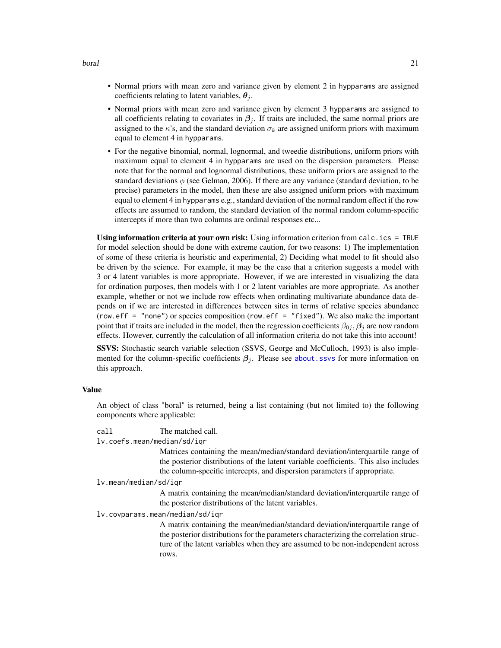- Normal priors with mean zero and variance given by element 2 in hypparams are assigned coefficients relating to latent variables,  $\theta_i$ .
- Normal priors with mean zero and variance given by element 3 hypparams are assigned to all coefficients relating to covariates in  $\beta_i$ . If traits are included, the same normal priors are assigned to the  $\kappa$ 's, and the standard deviation  $\sigma_k$  are assigned uniform priors with maximum equal to element 4 in hypparams.
- For the negative binomial, normal, lognormal, and tweedie distributions, uniform priors with maximum equal to element 4 in hypparams are used on the dispersion parameters. Please note that for the normal and lognormal distributions, these uniform priors are assigned to the standard deviations  $\phi$  (see Gelman, 2006). If there are any variance (standard deviation, to be precise) parameters in the model, then these are also assigned uniform priors with maximum equal to element 4 in hypparams e.g., standard deviation of the normal random effect if the row effects are assumed to random, the standard deviation of the normal random column-specific intercepts if more than two columns are ordinal responses etc...

Using information criteria at your own risk: Using information criterion from calc.ics = TRUE for model selection should be done with extreme caution, for two reasons: 1) The implementation of some of these criteria is heuristic and experimental, 2) Deciding what model to fit should also be driven by the science. For example, it may be the case that a criterion suggests a model with 3 or 4 latent variables is more appropriate. However, if we are interested in visualizing the data for ordination purposes, then models with 1 or 2 latent variables are more appropriate. As another example, whether or not we include row effects when ordinating multivariate abundance data depends on if we are interested in differences between sites in terms of relative species abundance (row.eff = "none") or species composition (row.eff = "fixed"). We also make the important point that if traits are included in the model, then the regression coefficients  $\beta_{0i}$ ,  $\beta_i$  are now random effects. However, currently the calculation of all information criteria do not take this into account!

SSVS: Stochastic search variable selection (SSVS, George and McCulloch, 1993) is also implemented for the column-specific coefficients  $\beta_i$ . Please see [about.ssvs](#page-7-1) for more information on this approach.

#### Value

An object of class "boral" is returned, being a list containing (but not limited to) the following components where applicable:

call The matched call.

lv.coefs.mean/median/sd/iqr

Matrices containing the mean/median/standard deviation/interquartile range of the posterior distributions of the latent variable coefficients. This also includes the column-specific intercepts, and dispersion parameters if appropriate.

```
lv.mean/median/sd/iqr
```
A matrix containing the mean/median/standard deviation/interquartile range of the posterior distributions of the latent variables.

lv.covparams.mean/median/sd/iqr

A matrix containing the mean/median/standard deviation/interquartile range of the posterior distributions for the parameters characterizing the correlation structure of the latent variables when they are assumed to be non-independent across rows.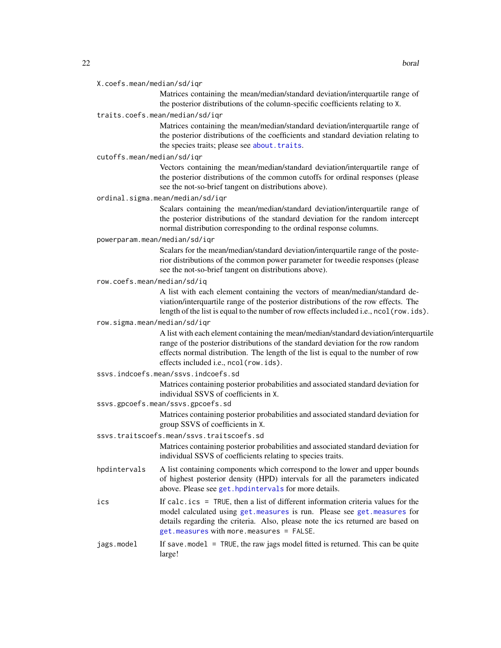#### X.coefs.mean/median/sd/iqr

Matrices containing the mean/median/standard deviation/interquartile range of the posterior distributions of the column-specific coefficients relating to X.

#### traits.coefs.mean/median/sd/iqr

Matrices containing the mean/median/standard deviation/interquartile range of the posterior distributions of the coefficients and standard deviation relating to the species traits; please see [about.traits](#page-10-1).

#### cutoffs.mean/median/sd/iqr

Vectors containing the mean/median/standard deviation/interquartile range of the posterior distributions of the common cutoffs for ordinal responses (please see the not-so-brief tangent on distributions above).

# ordinal.sigma.mean/median/sd/iqr

Scalars containing the mean/median/standard deviation/interquartile range of the posterior distributions of the standard deviation for the random intercept normal distribution corresponding to the ordinal response columns.

#### powerparam.mean/median/sd/iqr

Scalars for the mean/median/standard deviation/interquartile range of the posterior distributions of the common power parameter for tweedie responses (please see the not-so-brief tangent on distributions above).

#### row.coefs.mean/median/sd/iq

A list with each element containing the vectors of mean/median/standard deviation/interquartile range of the posterior distributions of the row effects. The length of the list is equal to the number of row effects included i.e., ncol(row.ids).

# row.sigma.mean/median/sd/iqr

A list with each element containing the mean/median/standard deviation/interquartile range of the posterior distributions of the standard deviation for the row random effects normal distribution. The length of the list is equal to the number of row effects included i.e., ncol(row.ids).

#### ssvs.indcoefs.mean/ssvs.indcoefs.sd

Matrices containing posterior probabilities and associated standard deviation for individual SSVS of coefficients in X.

# ssvs.gpcoefs.mean/ssvs.gpcoefs.sd

Matrices containing posterior probabilities and associated standard deviation for group SSVS of coefficients in X.

#### ssvs.traitscoefs.mean/ssvs.traitscoefs.sd

Matrices containing posterior probabilities and associated standard deviation for individual SSVS of coefficients relating to species traits.

- hpdintervals A list containing components which correspond to the lower and upper bounds of highest posterior density (HPD) intervals for all the parameters indicated above. Please see [get.hpdintervals](#page-56-1) for more details.
- ics If calc.ics = TRUE, then a list of different information criteria values for the model calculated using [get.measures](#page-60-1) is run. Please see [get.measures](#page-60-1) for details regarding the criteria. Also, please note the ics returned are based on [get.measures](#page-60-1) with more.measures = FALSE.
- jags.model If save.model = TRUE, the raw jags model fitted is returned. This can be quite large!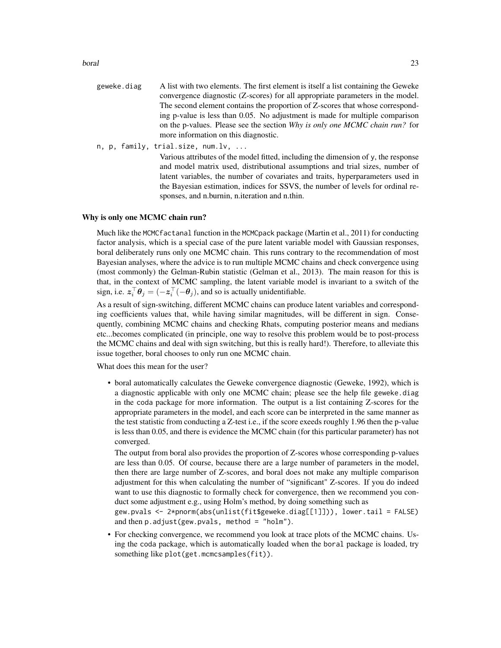boral 23

- geweke.diag A list with two elements. The first element is itself a list containing the Geweke convergence diagnostic (Z-scores) for all appropriate parameters in the model. The second element contains the proportion of Z-scores that whose corresponding p-value is less than 0.05. No adjustment is made for multiple comparison on the p-values. Please see the section *Why is only one MCMC chain run?* for more information on this diagnostic.
- n, p, family, trial.size, num.lv, ...

Various attributes of the model fitted, including the dimension of y, the response and model matrix used, distributional assumptions and trial sizes, number of latent variables, the number of covariates and traits, hyperparameters used in the Bayesian estimation, indices for SSVS, the number of levels for ordinal responses, and n.burnin, n.iteration and n.thin.

#### Why is only one MCMC chain run?

Much like the MCMCfactanal function in the MCMCpack package (Martin et al., 2011) for conducting factor analysis, which is a special case of the pure latent variable model with Gaussian responses, boral deliberately runs only one MCMC chain. This runs contrary to the recommendation of most Bayesian analyses, where the advice is to run multiple MCMC chains and check convergence using (most commonly) the Gelman-Rubin statistic (Gelman et al., 2013). The main reason for this is that, in the context of MCMC sampling, the latent variable model is invariant to a switch of the sign, i.e.  $\mathbf{z}_i^{\top} \boldsymbol{\theta}_j = (-\mathbf{z}_i^{\top}(-\boldsymbol{\theta}_j))$ , and so is actually unidentifiable.

As a result of sign-switching, different MCMC chains can produce latent variables and corresponding coefficients values that, while having similar magnitudes, will be different in sign. Consequently, combining MCMC chains and checking Rhats, computing posterior means and medians etc...becomes complicated (in principle, one way to resolve this problem would be to post-process the MCMC chains and deal with sign switching, but this is really hard!). Therefore, to alleviate this issue together, boral chooses to only run one MCMC chain.

What does this mean for the user?

• boral automatically calculates the Geweke convergence diagnostic (Geweke, 1992), which is a diagnostic applicable with only one MCMC chain; please see the help file geweke.diag in the coda package for more information. The output is a list containing Z-scores for the appropriate parameters in the model, and each score can be interpreted in the same manner as the test statistic from conducting a Z-test i.e., if the score exeeds roughly 1.96 then the p-value is less than 0.05, and there is evidence the MCMC chain (for this particular parameter) has not converged.

The output from boral also provides the proportion of Z-scores whose corresponding p-values are less than 0.05. Of course, because there are a large number of parameters in the model, then there are large number of Z-scores, and boral does not make any multiple comparison adjustment for this when calculating the number of "significant" Z-scores. If you do indeed want to use this diagnostic to formally check for convergence, then we recommend you conduct some adjustment e.g., using Holm's method, by doing something such as

gew.pvals <- 2\*pnorm(abs(unlist(fit\$geweke.diag[[1]])), lower.tail = FALSE) and then  $p.addjust(gew.pvals, method = "holm").$ 

• For checking convergence, we recommend you look at trace plots of the MCMC chains. Using the coda package, which is automatically loaded when the boral package is loaded, try something like plot(get.mcmcsamples(fit)).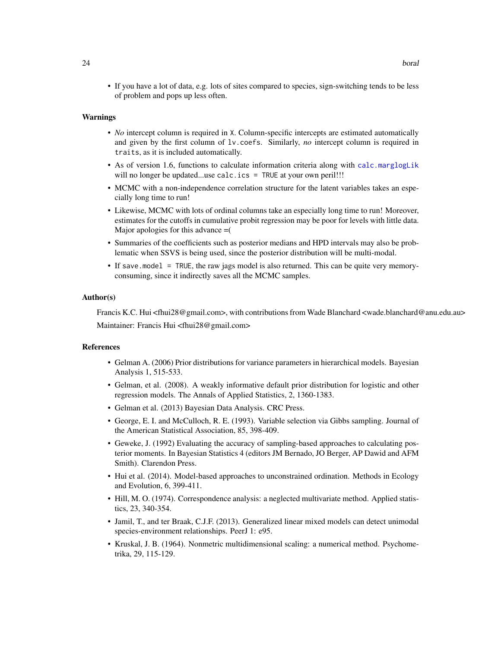• If you have a lot of data, e.g. lots of sites compared to species, sign-switching tends to be less of problem and pops up less often.

#### Warnings

- *No* intercept column is required in X. Column-specific intercepts are estimated automatically and given by the first column of lv.coefs. Similarly, *no* intercept column is required in traits, as it is included automatically.
- As of version 1.6, functions to calculate information criteria along with [calc.marglogLik](#page-34-1) will no longer be updated...use calc.ics = TRUE at your own peril!!!
- MCMC with a non-independence correlation structure for the latent variables takes an especially long time to run!
- Likewise, MCMC with lots of ordinal columns take an especially long time to run! Moreover, estimates for the cutoffs in cumulative probit regression may be poor for levels with little data. Major apologies for this advance =(
- Summaries of the coefficients such as posterior medians and HPD intervals may also be problematic when SSVS is being used, since the posterior distribution will be multi-modal.
- If save.model = TRUE, the raw jags model is also returned. This can be quite very memoryconsuming, since it indirectly saves all the MCMC samples.

#### Author(s)

Francis K.C. Hui <fhui28@gmail.com>, with contributions from Wade Blanchard <wade.blanchard@anu.edu.au> Maintainer: Francis Hui <fhui28@gmail.com>

#### References

- Gelman A. (2006) Prior distributions for variance parameters in hierarchical models. Bayesian Analysis 1, 515-533.
- Gelman, et al. (2008). A weakly informative default prior distribution for logistic and other regression models. The Annals of Applied Statistics, 2, 1360-1383.
- Gelman et al. (2013) Bayesian Data Analysis. CRC Press.
- George, E. I. and McCulloch, R. E. (1993). Variable selection via Gibbs sampling. Journal of the American Statistical Association, 85, 398-409.
- Geweke, J. (1992) Evaluating the accuracy of sampling-based approaches to calculating posterior moments. In Bayesian Statistics 4 (editors JM Bernado, JO Berger, AP Dawid and AFM Smith). Clarendon Press.
- Hui et al. (2014). Model-based approaches to unconstrained ordination. Methods in Ecology and Evolution, 6, 399-411.
- Hill, M. O. (1974). Correspondence analysis: a neglected multivariate method. Applied statistics, 23, 340-354.
- Jamil, T., and ter Braak, C.J.F. (2013). Generalized linear mixed models can detect unimodal species-environment relationships. PeerJ 1: e95.
- Kruskal, J. B. (1964). Nonmetric multidimensional scaling: a numerical method. Psychometrika, 29, 115-129.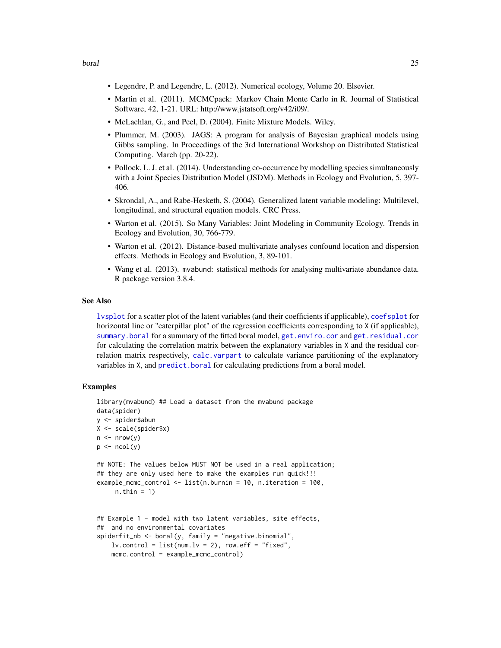- Legendre, P. and Legendre, L. (2012). Numerical ecology, Volume 20. Elsevier.
- Martin et al. (2011). MCMCpack: Markov Chain Monte Carlo in R. Journal of Statistical Software, 42, 1-21. URL: http://www.jstatsoft.org/v42/i09/.
- McLachlan, G., and Peel, D. (2004). Finite Mixture Models. Wiley.
- Plummer, M. (2003). JAGS: A program for analysis of Bayesian graphical models using Gibbs sampling. In Proceedings of the 3rd International Workshop on Distributed Statistical Computing. March (pp. 20-22).
- Pollock, L. J. et al. (2014). Understanding co-occurrence by modelling species simultaneously with a Joint Species Distribution Model (JSDM). Methods in Ecology and Evolution, 5, 397- 406.
- Skrondal, A., and Rabe-Hesketh, S. (2004). Generalized latent variable modeling: Multilevel, longitudinal, and structural equation models. CRC Press.
- Warton et al. (2015). So Many Variables: Joint Modeling in Community Ecology. Trends in Ecology and Evolution, 30, 766-779.
- Warton et al. (2012). Distance-based multivariate analyses confound location and dispersion effects. Methods in Ecology and Evolution, 3, 89-101.
- Wang et al. (2013). mvabund: statistical methods for analysing multivariate abundance data. R package version 3.8.4.

### See Also

[lvsplot](#page-70-1) for a scatter plot of the latent variables (and their coefficients if applicable), [coefsplot](#page-41-1) for horizontal line or "caterpillar plot" of the regression coefficients corresponding to X (if applicable), [summary.boral](#page-90-1) for a summary of the fitted boral model, [get.enviro.cor](#page-54-1) and [get.residual.cor](#page-68-1) for calculating the correlation matrix between the explanatory variables in X and the residual correlation matrix respectively, [calc.varpart](#page-38-1) to calculate variance partitioning of the explanatory variables in X, and [predict.boral](#page-85-1) for calculating predictions from a boral model.

# **Examples**

```
library(mvabund) ## Load a dataset from the mvabund package
data(spider)
y <- spider$abun
X <- scale(spider$x)
n \leq -nrow(y)p \leftarrow \text{ncol}(y)## NOTE: The values below MUST NOT be used in a real application;
## they are only used here to make the examples run quick!!!
example_mcmc_control <- list(n.burnin = 10, n.iteration = 100,
     n.thin = 1)
## Example 1 - model with two latent variables, site effects,
## and no environmental covariates
spiderfit_nb <- boral(y, family = "negative.binomial",
   lv. control = list(num.lv = 2), row.eff = "fixed",
    mcmc.control = example_mcmc_control)
```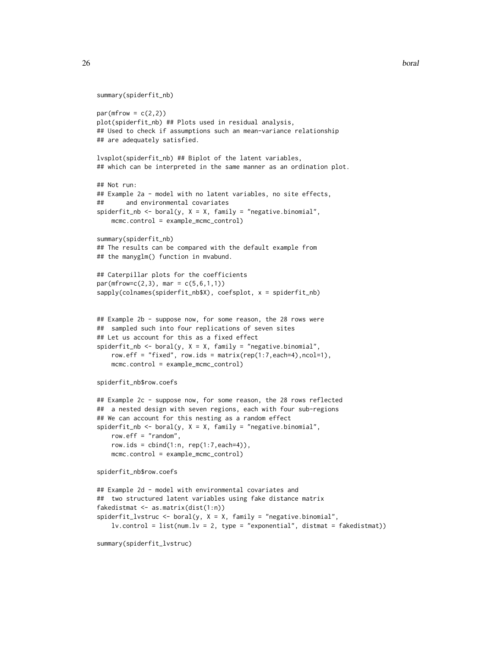```
summary(spiderfit_nb)
```

```
par(mfrow = c(2,2))plot(spiderfit_nb) ## Plots used in residual analysis,
## Used to check if assumptions such an mean-variance relationship
## are adequately satisfied.
lvsplot(spiderfit_nb) ## Biplot of the latent variables,
## which can be interpreted in the same manner as an ordination plot.
## Not run:
## Example 2a - model with no latent variables, no site effects,
## and environmental covariates
spiderfit_nb <- boral(y, X = X, family = "negative.binomial",
   mcmc.control = example_mcmc_control)
summary(spiderfit_nb)
## The results can be compared with the default example from
## the manyglm() function in mvabund.
## Caterpillar plots for the coefficients
par(mfrow=c(2,3), mar = c(5,6,1,1))sapply(colnames(spiderfit_nb$X), coefsplot, x = spiderfit_nb)
## Example 2b - suppose now, for some reason, the 28 rows were
## sampled such into four replications of seven sites
## Let us account for this as a fixed effect
spiderfit_nb \leftarrow boral(y, X = X, family = "negative.binomial",row.eff = "fixed", row.ids = matrix(rep(1:7,each=4),ncol=1),
   mcmc.control = example_mcmc_control)
```

```
spiderfit_nb$row.coefs
```

```
## Example 2c - suppose now, for some reason, the 28 rows reflected
## a nested design with seven regions, each with four sub-regions
## We can account for this nesting as a random effect
spiderfit_nb <- boral(y, X = X, family = "negative.binomial",
   row.eff = "random",
   row.ids = cbind(1:n, rep(1:7, each=4)),mcmc.control = example_mcmc_control)
```

```
spiderfit_nb$row.coefs
```

```
## Example 2d - model with environmental covariates and
## two structured latent variables using fake distance matrix
fakedistmat <- as.matrix(dist(1:n))
spiderfit_lvstruc <- boral(y, X = X, family = "negative.binomial",
    lv.contrib = list(num.lv = 2, type = "exponential", distant = fakedistmat))
```

```
summary(spiderfit_lvstruc)
```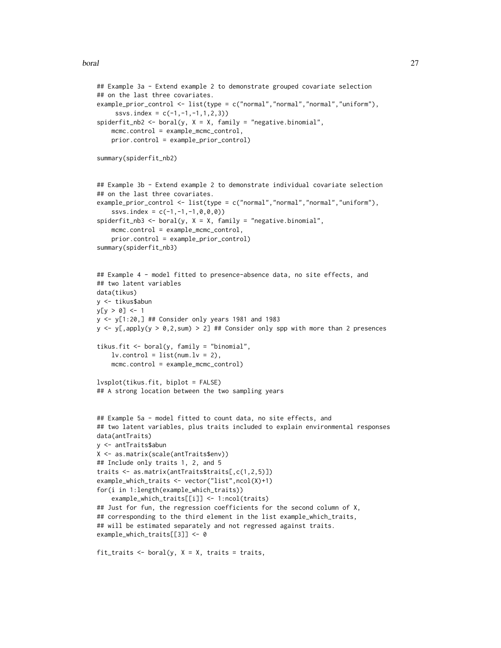```
## Example 3a - Extend example 2 to demonstrate grouped covariate selection
## on the last three covariates.
example_prior_control <- list(type = c("normal","normal","normal","uniform"),
     ssvs.index = c(-1, -1, -1, 1, 2, 3)spiderfit_nb2 <- boral(y, X = X, family = "negative.binomial",
    mcmc.control = example_mcmc_control,
    prior.control = example_prior_control)
summary(spiderfit_nb2)
## Example 3b - Extend example 2 to demonstrate individual covariate selection
## on the last three covariates.
example_prior_control <- list(type = c("normal","normal","normal","uniform"),
    ssvs.index = c(-1,-1,-1,0,0,0))
spiderfit_nb3 \leq boral(y, X = X, family = "negative.binomial",mcmc.control = example_mcmc_control,
    prior.control = example_prior_control)
summary(spiderfit_nb3)
## Example 4 - model fitted to presence-absence data, no site effects, and
## two latent variables
data(tikus)
y <- tikus$abun
y[y > 0] <- 1
y <- y[1:20,] ## Consider only years 1981 and 1983
y \leftarrow y[,apply(y > 0,2,sum) > 2] ## Consider only spp with more than 2 presences
tikus.fit <- boral(y, family = "binomial",
    lv.contrib = list(num.lv = 2),
    mcmc.control = example_mcmc_control)
lvsplot(tikus.fit, biplot = FALSE)
## A strong location between the two sampling years
## Example 5a - model fitted to count data, no site effects, and
## two latent variables, plus traits included to explain environmental responses
data(antTraits)
y <- antTraits$abun
X <- as.matrix(scale(antTraits$env))
## Include only traits 1, 2, and 5
traits <- as.matrix(antTraits$traits[,c(1,2,5)])
example_which_traits <- vector("list",ncol(X)+1)
for(i in 1:length(example_which_traits))
    example_which_traits[[i]] <- 1:ncol(traits)
## Just for fun, the regression coefficients for the second column of X,
## corresponding to the third element in the list example_which_traits,
## will be estimated separately and not regressed against traits.
example_which_traits[[3]] <- 0
fit_traits \leq boral(y, X = X, traits = traits,
```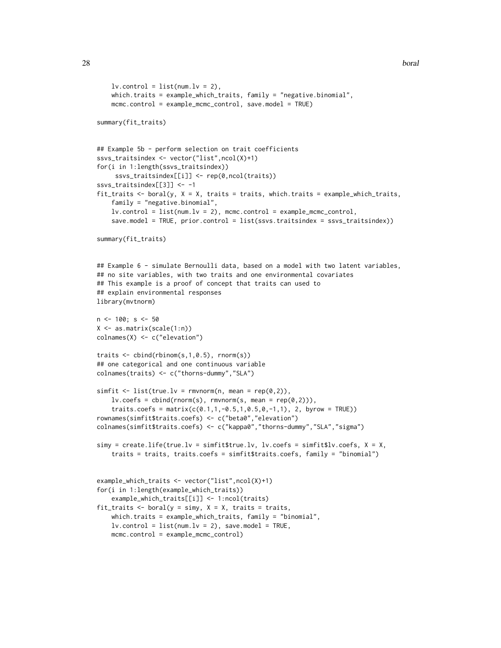```
lv.contrib = list(num.lv = 2),
    which.traits = example_which_traits, family = "negative.binomial",
    mcmc.control = example_mcmc_control, save.model = TRUE)
summary(fit_traits)
## Example 5b - perform selection on trait coefficients
ssvs_traitsindex <- vector("list",ncol(X)+1)
for(i in 1:length(ssvs_traitsindex))
     ssvs_traitsindex[[i]] <- rep(0,ncol(traits))
ssvs_traitsindex[[3]] <- -1
fit_traits \le boral(y, X = X, traits = traits, which.traits = example_which_traits,
    family = "negative.binomial",
    lv.control = list(num.lv = 2), mcmc.control = example_mcmc_control,
    save.model = TRUE, prior.control = list(ssvs.traitsindex = ssvs_traitsindex))
summary(fit_traits)
## Example 6 - simulate Bernoulli data, based on a model with two latent variables,
## no site variables, with two traits and one environmental covariates
## This example is a proof of concept that traits can used to
## explain environmental responses
library(mvtnorm)
n < -100; s < -50X <- as.matrix(scale(1:n))
colnames(X) <- c("elevation")
traits <- cbind(rbinom(s,1,0.5), rnorm(s))
## one categorical and one continuous variable
colnames(traits) <- c("thorns-dummy","SLA")
simfit \leq list(true.lv = rmvnorm(n, mean = rep(0,2)),
    lv.\csc s = \text{cbind}(rnorm(s), rmvnorm(s, mean = rep(0,2))),traits.coefs = matrix(c(0.1, 1, -0.5, 1, 0.5, 0, -1, 1), 2, byrow = TRUE)rownames(simfit$traits.coefs) <- c("beta0","elevation")
colnames(simfit$traits.coefs) <- c("kappa0","thorns-dummy","SLA","sigma")
simy = createuife(true.lv = simfit$true.lv, lv.coefs = simfit$lv.coefs, X = X,
    traits = traits, traits.coefs = simfit$traits.coefs, family = "binomial")
example_which_traits <- vector("list",ncol(X)+1)
for(i in 1:length(example_which_traits))
    example_which_traits[[i]] <- 1:ncol(traits)
fit_traits \le boral(y = simy, X = X, traits = traits,
    which.traits = example_which_traits, family = "binomial",
    lv.contrib = list(num.lv = 2), save.model = TRUE,
    mcmc.control = example_mcmc_control)
```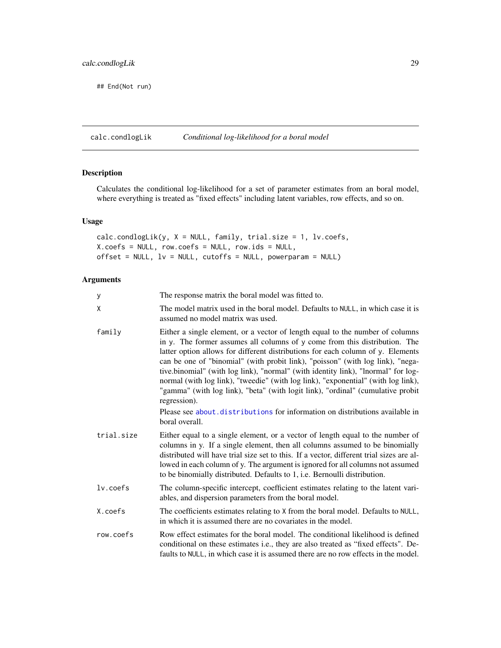<span id="page-28-0"></span>## End(Not run)

<span id="page-28-1"></span>calc.condlogLik *Conditional log-likelihood for a boral model*

# Description

Calculates the conditional log-likelihood for a set of parameter estimates from an boral model, where everything is treated as "fixed effects" including latent variables, row effects, and so on.

# Usage

calc.condlogLik(y, X = NULL, family, trial.size = 1, lv.coefs, X.coefs = NULL, row.coefs = NULL, row.ids = NULL,  $offset = NULL$ ,  $lv = NULL$ , cutoffs = NULL, powerparam = NULL)

# Arguments

| У          | The response matrix the boral model was fitted to.                                                                                                                                                                                                                                                                                                                                                                                                                                                                                                                                                            |
|------------|---------------------------------------------------------------------------------------------------------------------------------------------------------------------------------------------------------------------------------------------------------------------------------------------------------------------------------------------------------------------------------------------------------------------------------------------------------------------------------------------------------------------------------------------------------------------------------------------------------------|
| χ          | The model matrix used in the boral model. Defaults to NULL, in which case it is<br>assumed no model matrix was used.                                                                                                                                                                                                                                                                                                                                                                                                                                                                                          |
| family     | Either a single element, or a vector of length equal to the number of columns<br>in y. The former assumes all columns of y come from this distribution. The<br>latter option allows for different distributions for each column of y. Elements<br>can be one of "binomial" (with probit link), "poisson" (with log link), "nega-<br>tive.binomial" (with log link), "normal" (with identity link), "lnormal" for log-<br>normal (with log link), "tweedie" (with log link), "exponential" (with log link),<br>"gamma" (with log link), "beta" (with logit link), "ordinal" (cumulative probit<br>regression). |
|            | Please see about distributions for information on distributions available in<br>boral overall.                                                                                                                                                                                                                                                                                                                                                                                                                                                                                                                |
| trial.size | Either equal to a single element, or a vector of length equal to the number of<br>columns in y. If a single element, then all columns assumed to be binomially<br>distributed will have trial size set to this. If a vector, different trial sizes are al-<br>lowed in each column of y. The argument is ignored for all columns not assumed<br>to be binomially distributed. Defaults to 1, i.e. Bernoulli distribution.                                                                                                                                                                                     |
| lv.coefs   | The column-specific intercept, coefficient estimates relating to the latent vari-<br>ables, and dispersion parameters from the boral model.                                                                                                                                                                                                                                                                                                                                                                                                                                                                   |
| X.coefs    | The coefficients estimates relating to X from the boral model. Defaults to NULL,<br>in which it is assumed there are no covariates in the model.                                                                                                                                                                                                                                                                                                                                                                                                                                                              |
| row.coefs  | Row effect estimates for the boral model. The conditional likelihood is defined<br>conditional on these estimates i.e., they are also treated as "fixed effects". De-<br>faults to NULL, in which case it is assumed there are no row effects in the model.                                                                                                                                                                                                                                                                                                                                                   |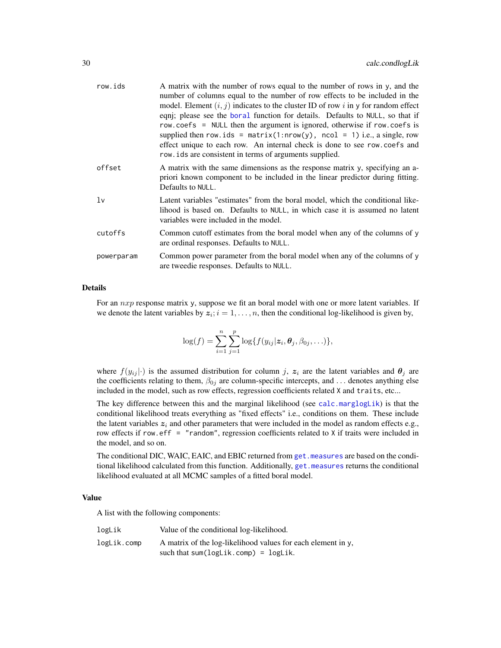| row.ids    | A matrix with the number of rows equal to the number of rows in y, and the<br>number of columns equal to the number of row effects to be included in the<br>model. Element $(i, j)$ indicates to the cluster ID of row i in y for random effect<br>eqni; please see the boral function for details. Defaults to NULL, so that if<br>row.coefs = NULL then the argument is ignored, otherwise if row.coefs is<br>supplied then row.ids = $matrix(1: nrow(y), ncol = 1)$ i.e., a single, row<br>effect unique to each row. An internal check is done to see row.coefs and<br>row, ids are consistent in terms of arguments supplied. |
|------------|------------------------------------------------------------------------------------------------------------------------------------------------------------------------------------------------------------------------------------------------------------------------------------------------------------------------------------------------------------------------------------------------------------------------------------------------------------------------------------------------------------------------------------------------------------------------------------------------------------------------------------|
| offset     | A matrix with the same dimensions as the response matrix y, specifying an a-<br>priori known component to be included in the linear predictor during fitting.<br>Defaults to NULL.                                                                                                                                                                                                                                                                                                                                                                                                                                                 |
| lv         | Latent variables "estimates" from the boral model, which the conditional like-<br>lihood is based on. Defaults to NULL, in which case it is assumed no latent<br>variables were included in the model.                                                                                                                                                                                                                                                                                                                                                                                                                             |
| cutoffs    | Common cutoff estimates from the boral model when any of the columns of y<br>are ordinal responses. Defaults to NULL.                                                                                                                                                                                                                                                                                                                                                                                                                                                                                                              |
| powerparam | Common power parameter from the boral model when any of the columns of y<br>are tweedie responses. Defaults to NULL.                                                                                                                                                                                                                                                                                                                                                                                                                                                                                                               |

## Details

For an  $nxp$  response matrix y, suppose we fit an boral model with one or more latent variables. If we denote the latent variables by  $z_i$ ;  $i = 1, ..., n$ , then the conditional log-likelihood is given by,

$$
\log(f) = \sum_{i=1}^n \sum_{j=1}^p \log\{f(y_{ij}|\mathbf{z}_i,\boldsymbol{\theta}_j,\beta_{0j},\ldots)\},\,
$$

where  $f(y_{ij}|\cdot)$  is the assumed distribution for column j,  $z_i$  are the latent variables and  $\theta_j$  are the coefficients relating to them,  $\beta_{0j}$  are column-specific intercepts, and ... denotes anything else included in the model, such as row effects, regression coefficients related X and traits, etc...

The key difference between this and the marginal likelihood (see [calc.marglogLik](#page-34-1)) is that the conditional likelihood treats everything as "fixed effects" i.e., conditions on them. These include the latent variables  $z_i$  and other parameters that were included in the model as random effects e.g., row effects if row.eff = "random", regression coefficients related to X if traits were included in the model, and so on.

The conditional DIC, WAIC, EAIC, and EBIC returned from get. measures are based on the conditional likelihood calculated from this function. Additionally, [get.measures](#page-60-1) returns the conditional likelihood evaluated at all MCMC samples of a fitted boral model.

#### Value

A list with the following components:

| logLik      | Value of the conditional log-likelihood.                             |
|-------------|----------------------------------------------------------------------|
| logLik.comp | A matrix of the log-likelihood values for each element in $\gamma$ , |
|             | such that sum( $logLik.comp$ ) = $logLik$ .                          |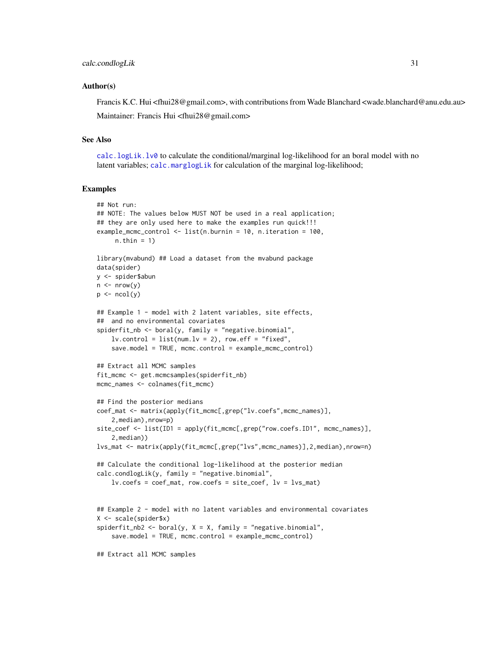#### Author(s)

Francis K.C. Hui <fhui28@gmail.com>, with contributions from Wade Blanchard <wade.blanchard@anu.edu.au> Maintainer: Francis Hui <fhui28@gmail.com>

#### See Also

[calc.logLik.lv0](#page-31-1) to calculate the conditional/marginal log-likelihood for an boral model with no latent variables; [calc.marglogLik](#page-34-1) for calculation of the marginal log-likelihood;

#### Examples

```
## Not run:
## NOTE: The values below MUST NOT be used in a real application;
## they are only used here to make the examples run quick!!!
example_mcmc_control <- list(n.burnin = 10, n.iteration = 100,
     n.thin = 1)
library(mvabund) ## Load a dataset from the mvabund package
data(spider)
y <- spider$abun
n \leq -nrow(y)p \leftarrow \text{ncol}(y)## Example 1 - model with 2 latent variables, site effects,
## and no environmental covariates
spiderfit\_nb \leq box benally = "negative.binomial",lv. control = list(num.lv = 2), row.eff = "fixed",
    save.model = TRUE, mcmc.control = example_mcmc_control)
## Extract all MCMC samples
fit_mcmc <- get.mcmcsamples(spiderfit_nb)
mcmc_names <- colnames(fit_mcmc)
## Find the posterior medians
coef_mat <- matrix(apply(fit_mcmc[,grep("lv.coefs",mcmc_names)],
    2,median),nrow=p)
site_coef <- list(ID1 = apply(fit_mcmc[,grep("row.coefs.ID1", mcmc_names)],
    2,median))
lvs_mat <- matrix(apply(fit_mcmc[,grep("lvs",mcmc_names)],2,median),nrow=n)
## Calculate the conditional log-likelihood at the posterior median
calc.condlogLik(y, family = "negative.binomial",
    lv.coefs = coef_mat, row.coefs = site_coef, lv = lvs_mat)
## Example 2 - model with no latent variables and environmental covariates
X <- scale(spider$x)
spiderfit_nb2 <- boral(y, X = X, family = "negative.binomial",
    save.model = TRUE, mcmc.control = example_mcmc_control)
## Extract all MCMC samples
```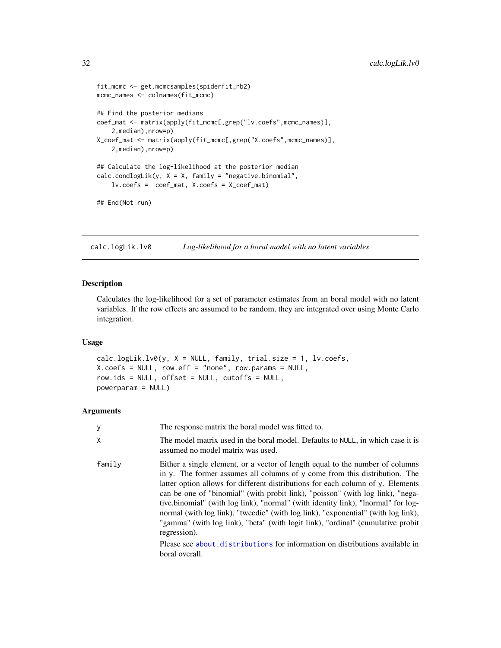```
fit_mcmc <- get.mcmcsamples(spiderfit_nb2)
mcmc_names <- colnames(fit_mcmc)
## Find the posterior medians
coef_mat <- matrix(apply(fit_mcmc[,grep("lv.coefs",mcmc_names)],
    2,median),nrow=p)
X_coef_mat <- matrix(apply(fit_mcmc[,grep("X.coefs",mcmc_names)],
    2,median),nrow=p)
## Calculate the log-likelihood at the posterior median
calc.condlogLik(y, X = X, family = "negative.binomial",
    lv.coefs = coef_mat, X.coefs = X_coef_mat)
## End(Not run)
```
<span id="page-31-1"></span>calc.logLik.lv0 *Log-likelihood for a boral model with no latent variables*

# Description

Calculates the log-likelihood for a set of parameter estimates from an boral model with no latent variables. If the row effects are assumed to be random, they are integrated over using Monte Carlo integration.

#### Usage

calc.logLik.lv0(y, X = NULL, family, trial.size = 1, lv.coefs, X.coefs = NULL, row.eff = "none", row.params = NULL, row.ids = NULL, offset = NULL, cutoffs = NULL, powerparam = NULL)

#### Arguments

| У      | The response matrix the boral model was fitted to.                                                                                                                                                                                                                                                                                                                                                                                                                                                                                                                                                                                                                                                              |
|--------|-----------------------------------------------------------------------------------------------------------------------------------------------------------------------------------------------------------------------------------------------------------------------------------------------------------------------------------------------------------------------------------------------------------------------------------------------------------------------------------------------------------------------------------------------------------------------------------------------------------------------------------------------------------------------------------------------------------------|
| X      | The model matrix used in the boral model. Defaults to NULL, in which case it is<br>assumed no model matrix was used.                                                                                                                                                                                                                                                                                                                                                                                                                                                                                                                                                                                            |
| family | Either a single element, or a vector of length equal to the number of columns<br>in y. The former assumes all columns of y come from this distribution. The<br>latter option allows for different distributions for each column of y. Elements<br>can be one of "binomial" (with probit link), "poisson" (with log link), "nega-<br>tive.binomial" (with log link), "normal" (with identity link), "lnormal" for log-<br>normal (with log link), "tweedie" (with log link), "exponential" (with log link),<br>"gamma" (with log link), "beta" (with logit link), "ordinal" (cumulative probit<br>regression).<br>Please see about distributions for information on distributions available in<br>boral overall. |

<span id="page-31-0"></span>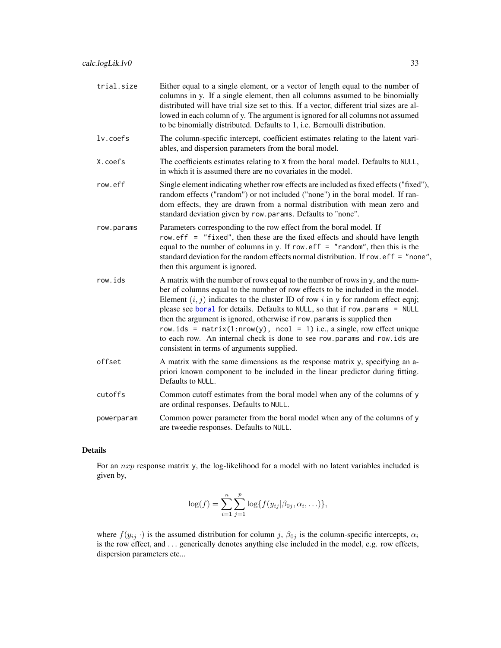| trial.size  | Either equal to a single element, or a vector of length equal to the number of<br>columns in y. If a single element, then all columns assumed to be binomially<br>distributed will have trial size set to this. If a vector, different trial sizes are al-<br>lowed in each column of y. The argument is ignored for all columns not assumed<br>to be binomially distributed. Defaults to 1, i.e. Bernoulli distribution.                                                                                                                                                                                                 |
|-------------|---------------------------------------------------------------------------------------------------------------------------------------------------------------------------------------------------------------------------------------------------------------------------------------------------------------------------------------------------------------------------------------------------------------------------------------------------------------------------------------------------------------------------------------------------------------------------------------------------------------------------|
| $lv.$ coefs | The column-specific intercept, coefficient estimates relating to the latent vari-<br>ables, and dispersion parameters from the boral model.                                                                                                                                                                                                                                                                                                                                                                                                                                                                               |
| X.coefs     | The coefficients estimates relating to X from the boral model. Defaults to NULL,<br>in which it is assumed there are no covariates in the model.                                                                                                                                                                                                                                                                                                                                                                                                                                                                          |
| row.eff     | Single element indicating whether row effects are included as fixed effects ("fixed"),<br>random effects ("random") or not included ("none") in the boral model. If ran-<br>dom effects, they are drawn from a normal distribution with mean zero and<br>standard deviation given by row.params. Defaults to "none".                                                                                                                                                                                                                                                                                                      |
| row.params  | Parameters corresponding to the row effect from the boral model. If<br>row.eff = "fixed", then these are the fixed effects and should have length<br>equal to the number of columns in y. If row. eff $=$ "random", then this is the<br>standard deviation for the random effects normal distribution. If row.eff = "none",<br>then this argument is ignored.                                                                                                                                                                                                                                                             |
| row.ids     | A matrix with the number of rows equal to the number of rows in y, and the num-<br>ber of columns equal to the number of row effects to be included in the model.<br>Element $(i, j)$ indicates to the cluster ID of row i in y for random effect eqni;<br>please see boral for details. Defaults to NULL, so that if row.params = NULL<br>then the argument is ignored, otherwise if row params is supplied then<br>row.ids = $matrix(1: nrow(y), ncol = 1)$ i.e., a single, row effect unique<br>to each row. An internal check is done to see row.params and row.ids are<br>consistent in terms of arguments supplied. |
| offset      | A matrix with the same dimensions as the response matrix y, specifying an a-<br>priori known component to be included in the linear predictor during fitting.<br>Defaults to NULL.                                                                                                                                                                                                                                                                                                                                                                                                                                        |
| cutoffs     | Common cutoff estimates from the boral model when any of the columns of y<br>are ordinal responses. Defaults to NULL.                                                                                                                                                                                                                                                                                                                                                                                                                                                                                                     |
| powerparam  | Common power parameter from the boral model when any of the columns of y<br>are tweedie responses. Defaults to NULL.                                                                                                                                                                                                                                                                                                                                                                                                                                                                                                      |

# Details

For an nxp response matrix y, the log-likelihood for a model with no latent variables included is given by,

$$
\log(f) = \sum_{i=1}^{n} \sum_{j=1}^{p} \log\{f(y_{ij}|\beta_{0j}, \alpha_i, \ldots)\},\,
$$

where  $f(y_{ij}|\cdot)$  is the assumed distribution for column j,  $\beta_{0j}$  is the column-specific intercepts,  $\alpha_i$ is the row effect, and . . . generically denotes anything else included in the model, e.g. row effects, dispersion parameters etc...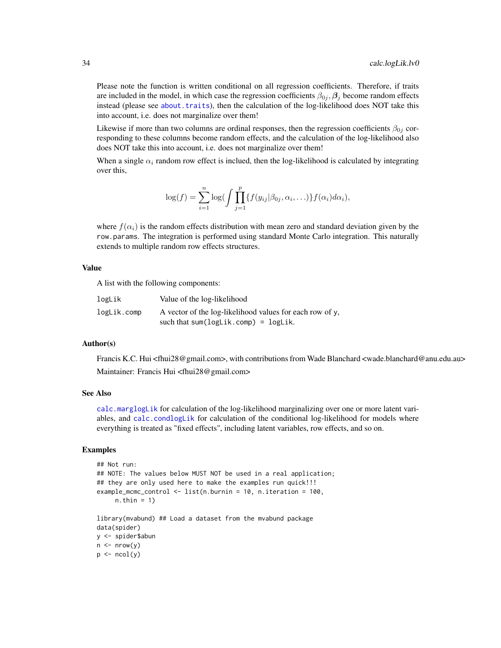Please note the function is written conditional on all regression coefficients. Therefore, if traits are included in the model, in which case the regression coefficients  $\beta_{0i}$ ,  $\beta_i$  become random effects instead (please see [about.traits](#page-10-1)), then the calculation of the log-likelihood does NOT take this into account, i.e. does not marginalize over them!

Likewise if more than two columns are ordinal responses, then the regression coefficients  $\beta_{0j}$  corresponding to these columns become random effects, and the calculation of the log-likelihood also does NOT take this into account, i.e. does not marginalize over them!

When a single  $\alpha_i$  random row effect is inclued, then the log-likelihood is calculated by integrating over this,

$$
\log(f) = \sum_{i=1}^n \log\left(\int \prod_{j=1}^p \{f(y_{ij}|\beta_{0j}, \alpha_i, \ldots)\} f(\alpha_i) d\alpha_i\right),
$$

where  $f(\alpha_i)$  is the random effects distribution with mean zero and standard deviation given by the row.params. The integration is performed using standard Monte Carlo integration. This naturally extends to multiple random row effects structures.

#### Value

A list with the following components:

| logLik      | Value of the log-likelihood                              |
|-------------|----------------------------------------------------------|
| logLik.comp | A vector of the log-likelihood values for each row of y. |
|             | such that sum( $\text{logLik.com}$ ) = $\text{logLik}$ . |

#### Author(s)

Francis K.C. Hui <fhui28@gmail.com>, with contributions from Wade Blanchard <wade.blanchard@anu.edu.au> Maintainer: Francis Hui <fhui28@gmail.com>

#### See Also

[calc.marglogLik](#page-34-1) for calculation of the log-likelihood marginalizing over one or more latent variables, and [calc.condlogLik](#page-28-1) for calculation of the conditional log-likelihood for models where everything is treated as "fixed effects", including latent variables, row effects, and so on.

#### Examples

```
## Not run:
## NOTE: The values below MUST NOT be used in a real application;
## they are only used here to make the examples run quick!!!
example_mcmc_control <- list(n.burnin = 10, n.iteration = 100,
     n.thin = 1)
library(mvabund) ## Load a dataset from the mvabund package
data(spider)
y <- spider$abun
n \leq -nrow(y)p \leftarrow \text{ncol}(y)
```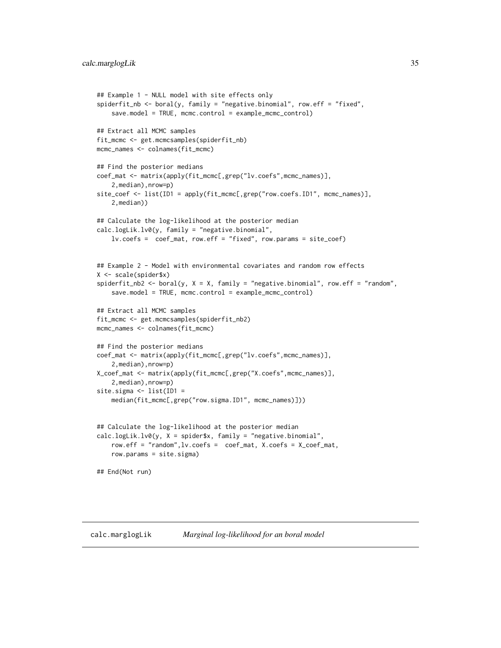```
## Example 1 - NULL model with site effects only
spiderfit_nb <- boral(y, family = "negative.binomial", row.eff = "fixed",
   save.model = TRUE, mcmc.control = example_mcmc_control)
## Extract all MCMC samples
fit_mcmc <- get.mcmcsamples(spiderfit_nb)
mcmc_names <- colnames(fit_mcmc)
## Find the posterior medians
coef_mat <- matrix(apply(fit_mcmc[,grep("lv.coefs",mcmc_names)],
    2,median),nrow=p)
site_coef <- list(ID1 = apply(fit_mcmc[,grep("row.coefs.ID1", mcmc_names)],
    2,median))
## Calculate the log-likelihood at the posterior median
calc.logLik.lv0(y, family = "negative.binomial",
    lv.coefs = coef_mat, row.eff = "fixed", row.params = site_coef)
## Example 2 - Model with environmental covariates and random row effects
X <- scale(spider$x)
spiderfit_nb2 <- boral(y, X = X, family = "negative.binomial", row.eff = "random",
    save.model = TRUE, mcmc.control = example_mcmc_control)
## Extract all MCMC samples
fit_mcmc <- get.mcmcsamples(spiderfit_nb2)
mcmc_names <- colnames(fit_mcmc)
## Find the posterior medians
coef_mat <- matrix(apply(fit_mcmc[,grep("lv.coefs",mcmc_names)],
    2,median),nrow=p)
X_coef_mat <- matrix(apply(fit_mcmc[,grep("X.coefs",mcmc_names)],
    2,median),nrow=p)
site.sigma <- list(ID1 =
    median(fit_mcmc[,grep("row.sigma.ID1", mcmc_names)]))
## Calculate the log-likelihood at the posterior median
calc.logLik.lv0(y, X = spider$x, family = "negative.binomial",
    row.eff = "random",lv.coefs = coef_mat, X.coefs = X_coef_mat,
   row.params = site.sigma)
## End(Not run)
```
#### <span id="page-34-1"></span>calc.marglogLik *Marginal log-likelihood for an boral model*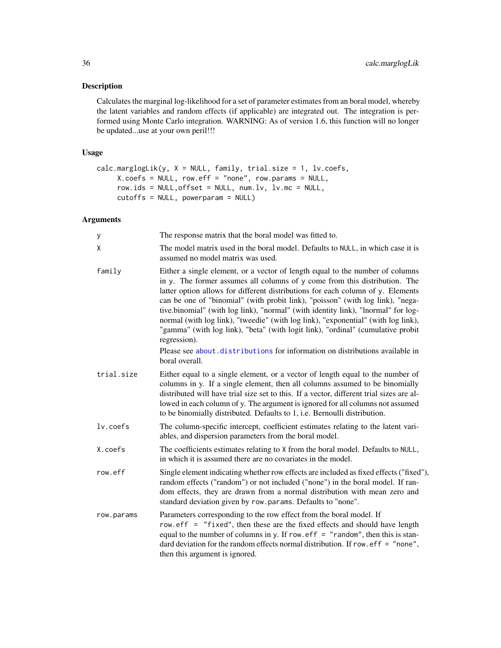# Description

Calculates the marginal log-likelihood for a set of parameter estimates from an boral model, whereby the latent variables and random effects (if applicable) are integrated out. The integration is performed using Monte Carlo integration. WARNING: As of version 1.6, this function will no longer be updated...use at your own peril!!!

# Usage

```
calc.marglogLik(y, X = NULL, family, trial.size = 1, lv.coefs,
     X.coefs = NULL, row.eff = "none", row.params = NULL,
     row.ids = NULL,offset = NULL, num.lv, lv.mc = NULL,cutoffs = NULL, powerparam = NULL)
```
#### Arguments

| y           | The response matrix that the boral model was fitted to.                                                                                                                                                                                                                                                                                                                                                                                                                                                                                                                                                                                                                                                         |
|-------------|-----------------------------------------------------------------------------------------------------------------------------------------------------------------------------------------------------------------------------------------------------------------------------------------------------------------------------------------------------------------------------------------------------------------------------------------------------------------------------------------------------------------------------------------------------------------------------------------------------------------------------------------------------------------------------------------------------------------|
| X           | The model matrix used in the boral model. Defaults to NULL, in which case it is<br>assumed no model matrix was used.                                                                                                                                                                                                                                                                                                                                                                                                                                                                                                                                                                                            |
| family      | Either a single element, or a vector of length equal to the number of columns<br>in y. The former assumes all columns of y come from this distribution. The<br>latter option allows for different distributions for each column of y. Elements<br>can be one of "binomial" (with probit link), "poisson" (with log link), "nega-<br>tive.binomial" (with log link), "normal" (with identity link), "lnormal" for log-<br>normal (with log link), "tweedie" (with log link), "exponential" (with log link),<br>"gamma" (with log link), "beta" (with logit link), "ordinal" (cumulative probit<br>regression).<br>Please see about distributions for information on distributions available in<br>boral overall. |
| trial.size  | Either equal to a single element, or a vector of length equal to the number of<br>columns in y. If a single element, then all columns assumed to be binomially<br>distributed will have trial size set to this. If a vector, different trial sizes are al-<br>lowed in each column of y. The argument is ignored for all columns not assumed<br>to be binomially distributed. Defaults to 1, i.e. Bernoulli distribution.                                                                                                                                                                                                                                                                                       |
| $lv.$ coefs | The column-specific intercept, coefficient estimates relating to the latent vari-<br>ables, and dispersion parameters from the boral model.                                                                                                                                                                                                                                                                                                                                                                                                                                                                                                                                                                     |
| X.coefs     | The coefficients estimates relating to X from the boral model. Defaults to NULL,<br>in which it is assumed there are no covariates in the model.                                                                                                                                                                                                                                                                                                                                                                                                                                                                                                                                                                |
| row.eff     | Single element indicating whether row effects are included as fixed effects ("fixed"),<br>random effects ("random") or not included ("none") in the boral model. If ran-<br>dom effects, they are drawn from a normal distribution with mean zero and<br>standard deviation given by row.params. Defaults to "none".                                                                                                                                                                                                                                                                                                                                                                                            |
| row.params  | Parameters corresponding to the row effect from the boral model. If<br>row.eff = "fixed", then these are the fixed effects and should have length<br>equal to the number of columns in y. If row. eff $=$ "random", then this is stan-<br>dard deviation for the random effects normal distribution. If row.eff = "none",<br>then this argument is ignored.                                                                                                                                                                                                                                                                                                                                                     |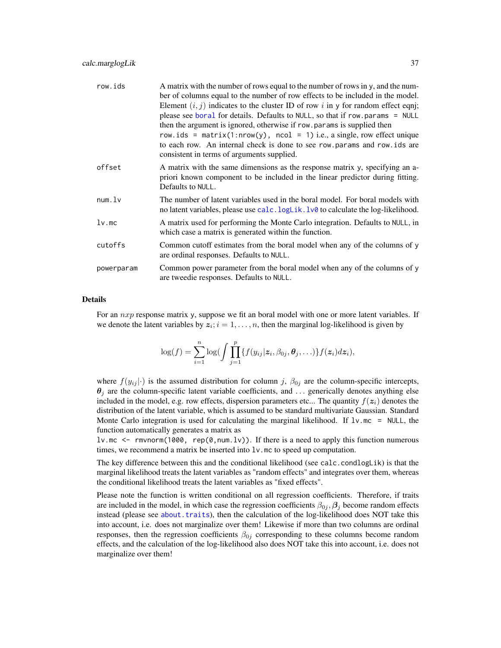| row.ids    | A matrix with the number of rows equal to the number of rows in y, and the num-<br>ber of columns equal to the number of row effects to be included in the model.<br>Element $(i, j)$ indicates to the cluster ID of row i in y for random effect eqni;<br>please see boral for details. Defaults to NULL, so that if row.params = NULL<br>then the argument is ignored, otherwise if row params is supplied then<br>row.ids = $matrix(1: nrow(y), ncol = 1)$ i.e., a single, row effect unique<br>to each row. An internal check is done to see row params and row ids are<br>consistent in terms of arguments supplied. |
|------------|---------------------------------------------------------------------------------------------------------------------------------------------------------------------------------------------------------------------------------------------------------------------------------------------------------------------------------------------------------------------------------------------------------------------------------------------------------------------------------------------------------------------------------------------------------------------------------------------------------------------------|
| offset     | A matrix with the same dimensions as the response matrix y, specifying an a-<br>priori known component to be included in the linear predictor during fitting.<br>Defaults to NULL.                                                                                                                                                                                                                                                                                                                                                                                                                                        |
| num.       | The number of latent variables used in the boral model. For boral models with<br>no latent variables, please use calc. logLik. lv0 to calculate the log-likelihood.                                                                                                                                                                                                                                                                                                                                                                                                                                                       |
| $lv$ .mc   | A matrix used for performing the Monte Carlo integration. Defaults to NULL, in<br>which case a matrix is generated within the function.                                                                                                                                                                                                                                                                                                                                                                                                                                                                                   |
| cutoffs    | Common cutoff estimates from the boral model when any of the columns of y<br>are ordinal responses. Defaults to NULL.                                                                                                                                                                                                                                                                                                                                                                                                                                                                                                     |
| powerparam | Common power parameter from the boral model when any of the columns of y<br>are tweedie responses. Defaults to NULL.                                                                                                                                                                                                                                                                                                                                                                                                                                                                                                      |

## Details

For an  $nxp$  response matrix y, suppose we fit an boral model with one or more latent variables. If we denote the latent variables by  $z_i$ ;  $i = 1, ..., n$ , then the marginal log-likelihood is given by

$$
\log(f) = \sum_{i=1}^n \log \bigl( \int \prod_{j=1}^p \{ f(y_{ij} | \mathbf{z}_i, \beta_{0j}, \boldsymbol{\theta}_j, \ldots) \} f(\mathbf{z}_i) d\mathbf{z}_i \bigr),
$$

where  $f(y_{ij}|\cdot)$  is the assumed distribution for column j,  $\beta_{0j}$  are the column-specific intercepts,  $\theta_j$  are the column-specific latent variable coefficients, and ... generically denotes anything else included in the model, e.g. row effects, dispersion parameters etc... The quantity  $f(z_i)$  denotes the distribution of the latent variable, which is assumed to be standard multivariate Gaussian. Standard Monte Carlo integration is used for calculating the marginal likelihood. If  $1v$  mc = NULL, the function automatically generates a matrix as

lv.mc  $\leq$  rmvnorm(1000, rep(0,num.lv)). If there is a need to apply this function numerous times, we recommend a matrix be inserted into lv.mc to speed up computation.

The key difference between this and the conditional likelihood (see calc.condlogLik) is that the marginal likelihood treats the latent variables as "random effects" and integrates over them, whereas the conditional likelihood treats the latent variables as "fixed effects".

Please note the function is written conditional on all regression coefficients. Therefore, if traits are included in the model, in which case the regression coefficients  $\beta_{0i}$ ,  $\beta_i$  become random effects instead (please see [about.traits](#page-10-0)), then the calculation of the log-likelihood does NOT take this into account, i.e. does not marginalize over them! Likewise if more than two columns are ordinal responses, then the regression coefficients  $\beta_{0j}$  corresponding to these columns become random effects, and the calculation of the log-likelihood also does NOT take this into account, i.e. does not marginalize over them!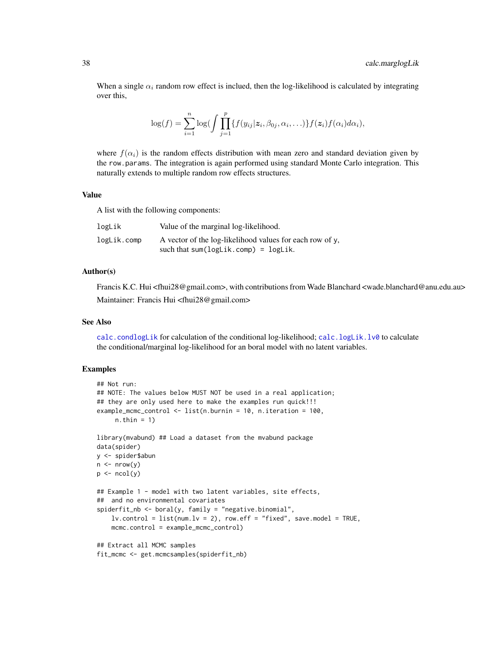When a single  $\alpha_i$  random row effect is inclued, then the log-likelihood is calculated by integrating over this,

$$
\log(f) = \sum_{i=1}^n \log \bigl( \int \prod_{j=1}^p \{ f(y_{ij} | \mathbf{z}_i, \beta_{0j}, \alpha_i, \ldots) \} f(\mathbf{z}_i) f(\alpha_i) d\alpha_i \bigr),
$$

where  $f(\alpha_i)$  is the random effects distribution with mean zero and standard deviation given by the row.params. The integration is again performed using standard Monte Carlo integration. This naturally extends to multiple random row effects structures.

## Value

A list with the following components:

| logLik      | Value of the marginal log-likelihood.                    |
|-------------|----------------------------------------------------------|
| logLik.comp | A vector of the log-likelihood values for each row of y. |
|             | such that sum( $logLik.comp$ ) = $logLik$ .              |

#### Author(s)

Francis K.C. Hui <fhui28@gmail.com>, with contributions from Wade Blanchard <wade.blanchard@anu.edu.au> Maintainer: Francis Hui <fhui28@gmail.com>

## See Also

[calc.condlogLik](#page-28-0) for calculation of the conditional log-likelihood; [calc.logLik.lv0](#page-31-0) to calculate the conditional/marginal log-likelihood for an boral model with no latent variables.

## Examples

```
## Not run:
## NOTE: The values below MUST NOT be used in a real application;
## they are only used here to make the examples run quick!!!
example_mcmc_control <- list(n.burnin = 10, n.iteration = 100,
     n.thin = 1)
library(mvabund) ## Load a dataset from the mvabund package
data(spider)
y <- spider$abun
n \leq -nrow(y)p \leftarrow \text{ncol}(y)## Example 1 - model with two latent variables, site effects,
## and no environmental covariates
spiderfit_nb <- boral(y, family = "negative.binomial",
    lv.contrib = list(num.lv = 2), row.eff = "fixed", save.model = TRUE,
    mcmc.control = example_mcmc_control)
## Extract all MCMC samples
fit_mcmc <- get.mcmcsamples(spiderfit_nb)
```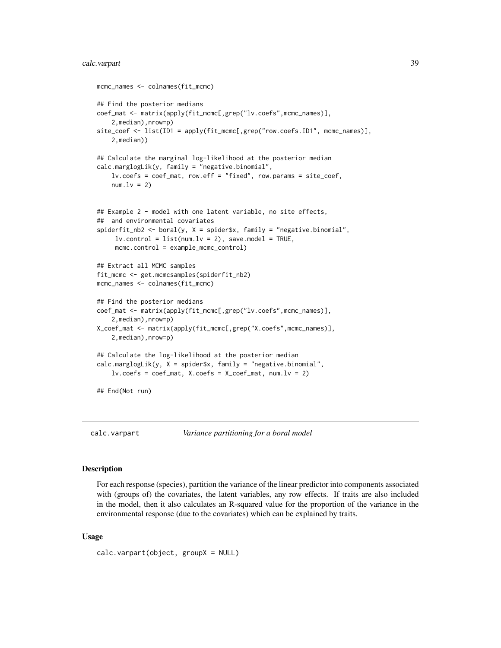# calc.varpart 39

```
mcmc_names <- colnames(fit_mcmc)
## Find the posterior medians
coef_mat <- matrix(apply(fit_mcmc[,grep("lv.coefs",mcmc_names)],
    2,median),nrow=p)
site_coef <- list(ID1 = apply(fit_mcmc[,grep("row.coefs.ID1", mcmc_names)],
    2,median))
## Calculate the marginal log-likelihood at the posterior median
calc.marglogLik(y, family = "negative.binomial",
    lv.coefs = coef_mat, row.eff = "fixed", row.params = site_coef,
   num.lv = 2)## Example 2 - model with one latent variable, no site effects,
## and environmental covariates
spiderfit_{nb2} < - boral(y, X = spider$x, family = "negative.binomial",
     lv. control = list(num.lv = 2), save.model = TRUE,
     mcmc.control = example_mcmc_control)
## Extract all MCMC samples
fit_mcmc <- get.mcmcsamples(spiderfit_nb2)
mcmc_names <- colnames(fit_mcmc)
## Find the posterior medians
coef_mat <- matrix(apply(fit_mcmc[,grep("lv.coefs",mcmc_names)],
    2,median),nrow=p)
X_coef_mat <- matrix(apply(fit_mcmc[,grep("X.coefs",mcmc_names)],
    2,median),nrow=p)
## Calculate the log-likelihood at the posterior median
calc.marglogLik(y, X = spider$x, family = "negative.binomial",
    lv.\csc s = \csc s_mat, X.coefs = X\ncoc f_mat, num.lv = 2)
## End(Not run)
```
calc.varpart *Variance partitioning for a boral model*

### Description

For each response (species), partition the variance of the linear predictor into components associated with (groups of) the covariates, the latent variables, any row effects. If traits are also included in the model, then it also calculates an R-squared value for the proportion of the variance in the environmental response (due to the covariates) which can be explained by traits.

## Usage

```
calc.varpart(object, groupX = NULL)
```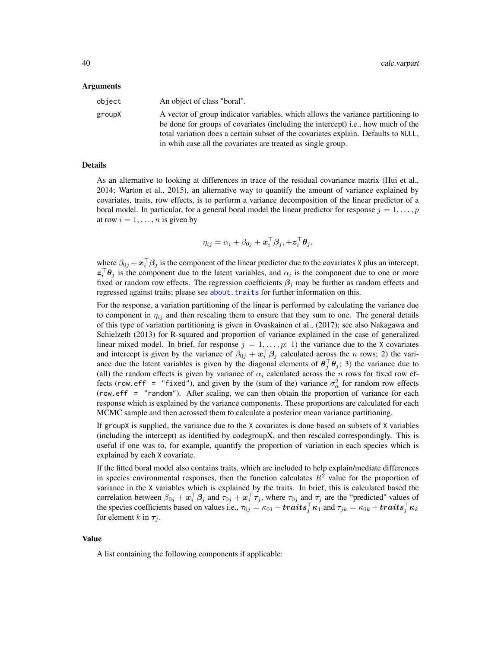#### Arguments

| object | An object of class "boral".                                                                                                                                          |
|--------|----------------------------------------------------------------------------------------------------------------------------------------------------------------------|
| groupX | A vector of group indicator variables, which allows the variance partitioning to<br>be done for groups of covariates (including the intercept) i.e., how much of the |
|        | total variation does a certain subset of the covariates explain. Defaults to NULL,                                                                                   |
|        | in whih case all the covariates are treated as single group.                                                                                                         |

## Details

As an alternative to looking at differences in trace of the residual covariance matrix (Hui et al., 2014; Warton et al., 2015), an alternative way to quantify the amount of variance explained by covariates, traits, row effects, is to perform a variance decomposition of the linear predictor of a boral model. In particular, for a general boral model the linear predictor for response  $j = 1, \ldots, p$ at row  $i = 1, \ldots, n$  is given by

$$
\eta_{ij} = \alpha_i + \beta_{0j} + \boldsymbol{x}_i^{\top} \boldsymbol{\beta}_j, +\boldsymbol{z}_i^{\top} \boldsymbol{\theta}_j,
$$

where  $\beta_{0j} + \mathbf{x}_i^{\top} \beta_j$  is the component of the linear predictor due to the covariates X plus an intercept,  $z_i^{\top} \theta_j$  is the component due to the latent variables, and  $\alpha_i$  is the component due to one or more fixed or random row effects. The regression coefficients  $\beta_i$  may be further as random effects and regressed against traits; please see about. traits for further information on this.

For the response, a variation partitioning of the linear is performed by calculating the variance due to component in  $\eta_{ij}$  and then rescaling them to ensure that they sum to one. The general details of this type of variation partitioning is given in Ovaskainen et al., (2017); see also Nakagawa and Schielzeth (2013) for R-squared and proportion of variance explained in the case of generalized linear mixed model. In brief, for response  $j = 1, \ldots, p: 1$  the variance due to the X covariates and intercept is given by the variance of  $\beta_{0j} + \mathbf{x}_i^{\top} \beta_j$  calculated across the n rows; 2) the variance due the latent variables is given by the diagonal elements of  $\theta_j^{\top} \theta_j$ ; 3) the variance due to (all) the random effects is given by variance of  $\alpha_i$  calculated across the n rows for fixed row effects (row.eff = "fixed"), and given by the (sum of the) variance  $\sigma_{\alpha}^2$  for random row effects (row.eff = "random"). After scaling, we can then obtain the proportion of variance for each response which is explained by the variance components. These proportions are calculated for each MCMC sample and then acrossed them to calculate a posterior mean variance partitioning.

If groupX is supplied, the variance due to the X covariates is done based on subsets of X variables (including the intercept) as identified by codegroupX, and then rescaled correspondingly. This is useful if one was to, for example, quantify the proportion of variation in each species which is explained by each X covariate.

If the fitted boral model also contains traits, which are included to help explain/mediate differences in species environmental responses, then the function calculates  $R<sup>2</sup>$  value for the proportion of variance in the X variables which is explained by the traits. In brief, this is calculated based the correlation between  $\beta_{0j} + \boldsymbol{x}_i^{\top} \beta_j$  and  $\tau_{0j} + \boldsymbol{x}_i^{\top} \tau_j$ , where  $\tau_{0j}$  and  $\tau_j$  are the "predicted" values of the species coefficients based on values i.e.,  $\tau_{0j} = \kappa_{01} + traits_j^{\top} \kappa_1$  and  $\tau_{jk} = \kappa_{0k} + traits_j^{\top} \kappa_k$ for element k in  $\tau_j$ .

## Value

A list containing the following components if applicable: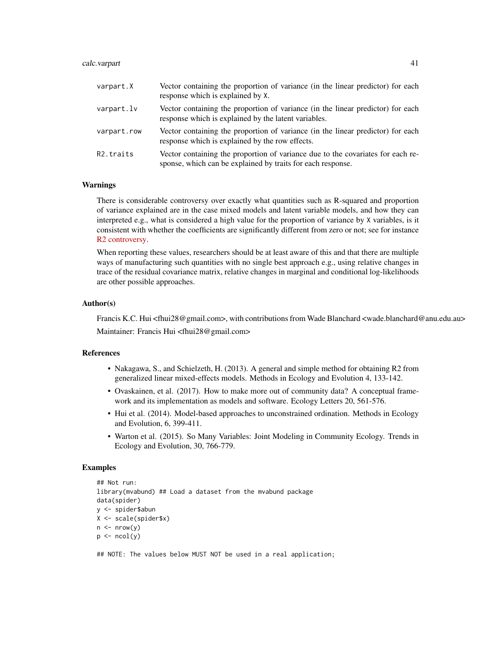### calc.varpart 41

| varpart.X              | Vector containing the proportion of variance (in the linear predictor) for each<br>response which is explained by X.                           |
|------------------------|------------------------------------------------------------------------------------------------------------------------------------------------|
| varpart.lv             | Vector containing the proportion of variance (in the linear predictor) for each<br>response which is explained by the latent variables.        |
| varpart.row            | Vector containing the proportion of variance (in the linear predictor) for each<br>response which is explained by the row effects.             |
| R <sub>2</sub> .traits | Vector containing the proportion of variance due to the covariates for each re-<br>sponse, which can be explained by traits for each response. |

## Warnings

There is considerable controversy over exactly what quantities such as R-squared and proportion of variance explained are in the case mixed models and latent variable models, and how they can interpreted e.g., what is considered a high value for the proportion of variance by X variables, is it consistent with whether the coefficients are significantly different from zero or not; see for instance [R2 controversy.](https://stats.stackexchange.com/questions/111150/calculating-r2-in-mixed-models-using-nakagawa-schielzeths-2013-r2glmm-me)

When reporting these values, researchers should be at least aware of this and that there are multiple ways of manufacturing such quantities with no single best approach e.g., using relative changes in trace of the residual covariance matrix, relative changes in marginal and conditional log-likelihoods are other possible approaches.

### Author(s)

Francis K.C. Hui <fhui28@gmail.com>, with contributions from Wade Blanchard <wade.blanchard@anu.edu.au> Maintainer: Francis Hui <fhui28@gmail.com>

#### References

- Nakagawa, S., and Schielzeth, H. (2013). A general and simple method for obtaining R2 from generalized linear mixed-effects models. Methods in Ecology and Evolution 4, 133-142.
- Ovaskainen, et al. (2017). How to make more out of community data? A conceptual framework and its implementation as models and software. Ecology Letters 20, 561-576.
- Hui et al. (2014). Model-based approaches to unconstrained ordination. Methods in Ecology and Evolution, 6, 399-411.
- Warton et al. (2015). So Many Variables: Joint Modeling in Community Ecology. Trends in Ecology and Evolution, 30, 766-779.

#### Examples

```
## Not run:
library(mvabund) ## Load a dataset from the mvabund package
data(spider)
y <- spider$abun
X <- scale(spider$x)
n \leq -nrow(y)p \leftarrow \text{ncol}(y)
```
## NOTE: The values below MUST NOT be used in a real application;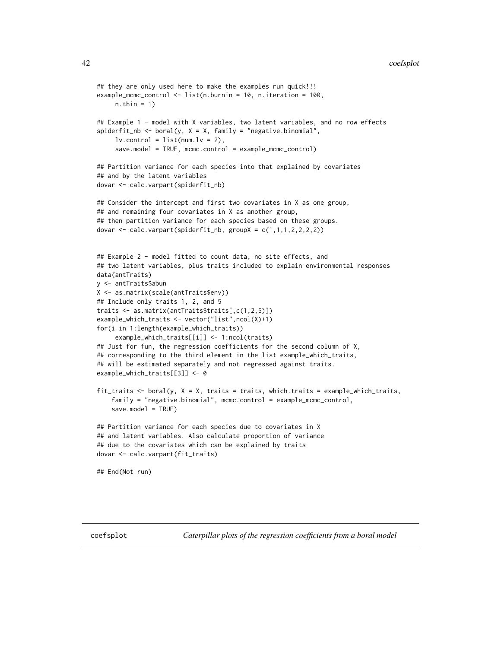```
## they are only used here to make the examples run quick!!!
example_mcmc_control <- list(n.burnin = 10, n.iteration = 100,
     n.thin = 1)
## Example 1 - model with X variables, two latent variables, and no row effects
spiderfit_nb <- boral(y, X = X, family = "negative.binomial",
     lv.contrib = list(num.lv = 2),
     save.model = TRUE, mcmc.control = example_mcmc_control)
## Partition variance for each species into that explained by covariates
## and by the latent variables
dovar <- calc.varpart(spiderfit_nb)
## Consider the intercept and first two covariates in X as one group,
## and remaining four covariates in X as another group,
## then partition variance for each species based on these groups.
dovar <- calc.varpart(spiderfit_nb, groupX = c(1,1,1,2,2,2,2))
## Example 2 - model fitted to count data, no site effects, and
## two latent variables, plus traits included to explain environmental responses
data(antTraits)
y <- antTraits$abun
X <- as.matrix(scale(antTraits$env))
## Include only traits 1, 2, and 5
traits <- as.matrix(antTraits$traits[,c(1,2,5)])
example_which_traits <- vector("list",ncol(X)+1)
for(i in 1:length(example_which_traits))
     example_which_traits[[i]] <- 1:ncol(traits)
## Just for fun, the regression coefficients for the second column of X,
## corresponding to the third element in the list example_which_traits,
## will be estimated separately and not regressed against traits.
example_which_traits[[3]] <- 0
fit_traits \le boral(y, X = X, traits = traits, which.traits = example_which_traits,
    family = "negative.binomial", mcmc.control = example_mcmc_control,
    save_model = TRUE## Partition variance for each species due to covariates in X
## and latent variables. Also calculate proportion of variance
## due to the covariates which can be explained by traits
dovar <- calc.varpart(fit_traits)
## End(Not run)
```
coefsplot *Caterpillar plots of the regression coefficients from a boral model*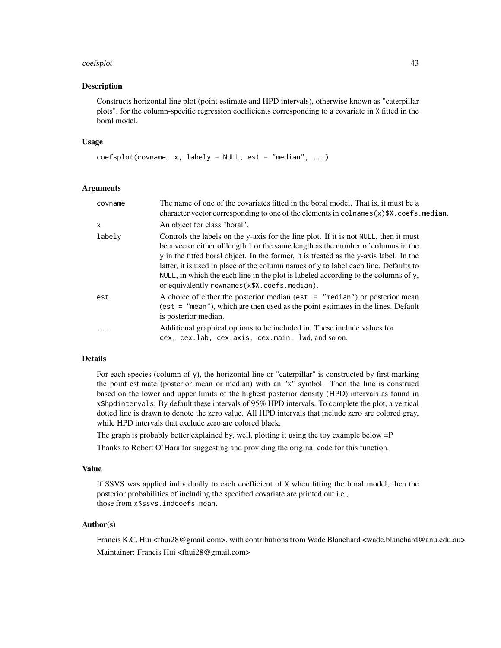### coefsplot that the coefsplot that the coefsplot that the coefsplot that the coefsplot that the coefsplot that  $43$

## Description

Constructs horizontal line plot (point estimate and HPD intervals), otherwise known as "caterpillar plots", for the column-specific regression coefficients corresponding to a covariate in X fitted in the boral model.

#### Usage

```
coeffsplot(covname, x, labely = NULL, est = "median", ...)
```
# Arguments

| covname | The name of one of the covariates fitted in the boral model. That is, it must be a<br>character vector corresponding to one of the elements in colnames $(x)$ \$X. coefs. median.                                                                                                                                                                                                                                                                                                                    |
|---------|------------------------------------------------------------------------------------------------------------------------------------------------------------------------------------------------------------------------------------------------------------------------------------------------------------------------------------------------------------------------------------------------------------------------------------------------------------------------------------------------------|
| x       | An object for class "boral".                                                                                                                                                                                                                                                                                                                                                                                                                                                                         |
| labely  | Controls the labels on the y-axis for the line plot. If it is not NULL, then it must<br>be a vector either of length 1 or the same length as the number of columns in the<br>y in the fitted boral object. In the former, it is treated as the y-axis label. In the<br>latter, it is used in place of the column names of y to label each line. Defaults to<br>NULL, in which the each line in the plot is labeled according to the columns of $y$ ,<br>or equivalently rownames(x\$X.coefs.median). |
| est     | A choice of either the posterior median (est $=$ "median") or posterior mean<br>$(est = "mean"), which are then used as the point estimates in the lines. Default$<br>is posterior median.                                                                                                                                                                                                                                                                                                           |
| .       | Additional graphical options to be included in. These include values for<br>cex, cex.lab, cex.axis, cex.main, lwd, and so on.                                                                                                                                                                                                                                                                                                                                                                        |

## Details

For each species (column of y), the horizontal line or "caterpillar" is constructed by first marking the point estimate (posterior mean or median) with an "x" symbol. Then the line is construed based on the lower and upper limits of the highest posterior density (HPD) intervals as found in x\$hpdintervals. By default these intervals of 95% HPD intervals. To complete the plot, a vertical dotted line is drawn to denote the zero value. All HPD intervals that include zero are colored gray, while HPD intervals that exclude zero are colored black.

The graph is probably better explained by, well, plotting it using the toy example below =P

Thanks to Robert O'Hara for suggesting and providing the original code for this function.

#### Value

If SSVS was applied individually to each coefficient of X when fitting the boral model, then the posterior probabilities of including the specified covariate are printed out i.e., those from x\$ssvs.indcoefs.mean.

## Author(s)

Francis K.C. Hui <fhui28@gmail.com>, with contributions from Wade Blanchard <wade.blanchard@anu.edu.au> Maintainer: Francis Hui <fhui28@gmail.com>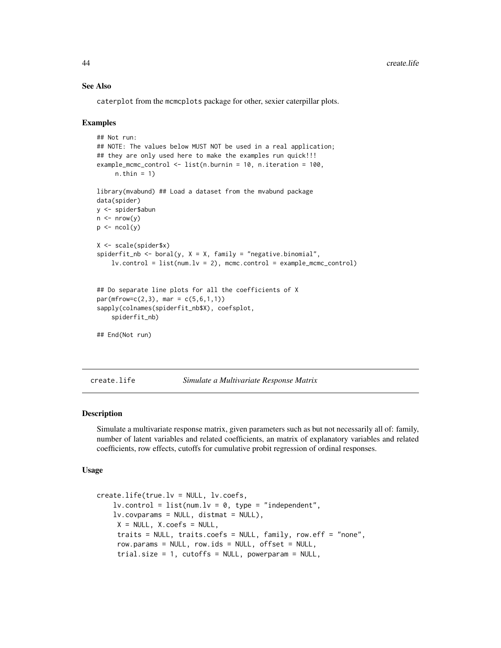## See Also

caterplot from the mcmcplots package for other, sexier caterpillar plots.

## Examples

```
## Not run:
## NOTE: The values below MUST NOT be used in a real application;
## they are only used here to make the examples run quick!!!
example_mcmc_control <- list(n.burnin = 10, n.iteration = 100,
     n.thin = 1)
library(mvabund) ## Load a dataset from the mvabund package
data(spider)
y <- spider$abun
n \leq -nrow(y)p \leftarrow \text{ncol}(y)X <- scale(spider$x)
spiderfit_nb <- boral(y, X = X, family = "negative.binomial",
    lv.contrib = list(num.lv = 2), mcmc.control = example_mcmc_control)
## Do separate line plots for all the coefficients of X
par(mfrow=c(2,3), mar = c(5,6,1,1))sapply(colnames(spiderfit_nb$X), coefsplot,
    spiderfit_nb)
## End(Not run)
```
create.life *Simulate a Multivariate Response Matrix*

## Description

Simulate a multivariate response matrix, given parameters such as but not necessarily all of: family, number of latent variables and related coefficients, an matrix of explanatory variables and related coefficients, row effects, cutoffs for cumulative probit regression of ordinal responses.

#### Usage

```
create.life(true.lv = NULL, lv.coefs,
    lv. control = list(num.lv = 0, type = "independent",
    lv.covparams = NULL, distmat = NULL),
     X = NULL, X.coefs = NULL,
     traits = NULL, traits.coefs = NULL, family, row.eff = "none",
     row.params = NULL, row.ids = NULL, offset = NULL,
     trial.size = 1, cutoffs = NULL, powerparam = NULL,
```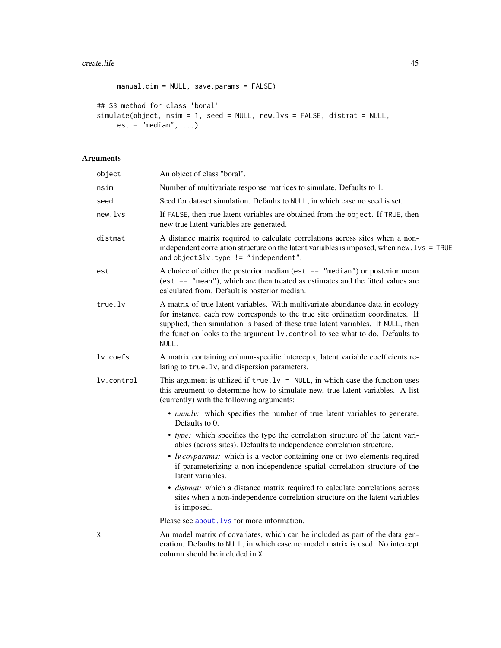```
manual.dim = NULL, save.params = FALSE)
## S3 method for class 'boral'
simulate(object, nsim = 1, seed = NULL, new.lvs = FALSE, distmat = NULL,
    est = "median", ...)
```
# Arguments

| object     | An object of class "boral".                                                                                                                                                                                                                                                                                                                    |
|------------|------------------------------------------------------------------------------------------------------------------------------------------------------------------------------------------------------------------------------------------------------------------------------------------------------------------------------------------------|
| nsim       | Number of multivariate response matrices to simulate. Defaults to 1.                                                                                                                                                                                                                                                                           |
| seed       | Seed for dataset simulation. Defaults to NULL, in which case no seed is set.                                                                                                                                                                                                                                                                   |
| new.lvs    | If FALSE, then true latent variables are obtained from the object. If TRUE, then<br>new true latent variables are generated.                                                                                                                                                                                                                   |
| distmat    | A distance matrix required to calculate correlations across sites when a non-<br>independent correlation structure on the latent variables is imposed, when new. lvs = TRUE<br>and object\$lv.type $!=$ "independent".                                                                                                                         |
| est        | A choice of either the posterior median (est $==$ "median") or posterior mean<br>(est $==$ "mean"), which are then treated as estimates and the fitted values are<br>calculated from. Default is posterior median.                                                                                                                             |
| true.lv    | A matrix of true latent variables. With multivariate abundance data in ecology<br>for instance, each row corresponds to the true site ordination coordinates. If<br>supplied, then simulation is based of these true latent variables. If NULL, then<br>the function looks to the argument lv. control to see what to do. Defaults to<br>NULL. |
| lv.coefs   | A matrix containing column-specific intercepts, latent variable coefficients re-<br>lating to true. 1v, and dispersion parameters.                                                                                                                                                                                                             |
| lv.control | This argument is utilized if $true \, .1v = NULL$ , in which case the function uses<br>this argument to determine how to simulate new, true latent variables. A list<br>(currently) with the following arguments:                                                                                                                              |
|            | • <i>num.lv:</i> which specifies the number of true latent variables to generate.<br>Defaults to 0.                                                                                                                                                                                                                                            |
|            | • type: which specifies the type the correlation structure of the latent vari-<br>ables (across sites). Defaults to independence correlation structure.                                                                                                                                                                                        |
|            | • <i>lv.covparams:</i> which is a vector containing one or two elements required<br>if parameterizing a non-independence spatial correlation structure of the<br>latent variables.                                                                                                                                                             |
|            | • distmat: which a distance matrix required to calculate correlations across<br>sites when a non-independence correlation structure on the latent variables<br>is imposed.                                                                                                                                                                     |
|            | Please see about. Lys for more information.                                                                                                                                                                                                                                                                                                    |
| X          | An model matrix of covariates, which can be included as part of the data gen-<br>eration. Defaults to NULL, in which case no model matrix is used. No intercept<br>column should be included in X.                                                                                                                                             |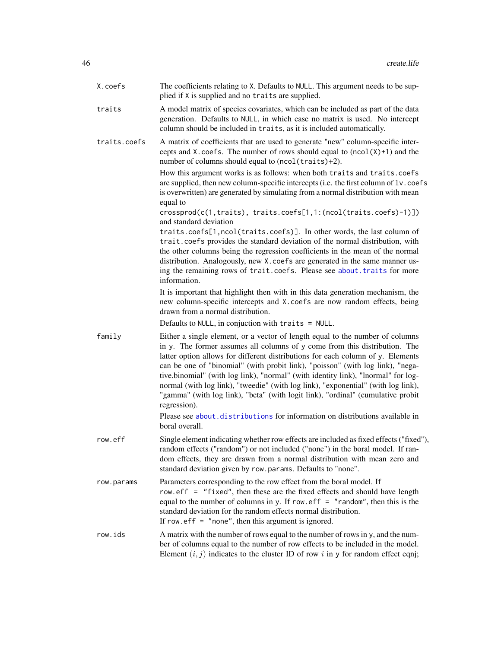| X.coefs      | The coefficients relating to X. Defaults to NULL. This argument needs to be sup-<br>plied if X is supplied and no traits are supplied.                                                                                                                                                                                                                                                                                                                                                                                                                                                                        |
|--------------|---------------------------------------------------------------------------------------------------------------------------------------------------------------------------------------------------------------------------------------------------------------------------------------------------------------------------------------------------------------------------------------------------------------------------------------------------------------------------------------------------------------------------------------------------------------------------------------------------------------|
| traits       | A model matrix of species covariates, which can be included as part of the data<br>generation. Defaults to NULL, in which case no matrix is used. No intercept<br>column should be included in traits, as it is included automatically.                                                                                                                                                                                                                                                                                                                                                                       |
| traits.coefs | A matrix of coefficients that are used to generate "new" column-specific inter-<br>cepts and X. coefs. The number of rows should equal to $(ncol(X)+1)$ and the<br>number of columns should equal to (ncol(traits)+2).                                                                                                                                                                                                                                                                                                                                                                                        |
|              | How this argument works is as follows: when both traits and traits.coefs<br>are supplied, then new column-specific intercepts (i.e. the first column of lv. coefs<br>is overwritten) are generated by simulating from a normal distribution with mean<br>equal to                                                                                                                                                                                                                                                                                                                                             |
|              | crossprod(c(1, traits), traits.coefs[1,1:(ncol(traits.coefs)-1)])<br>and standard deviation                                                                                                                                                                                                                                                                                                                                                                                                                                                                                                                   |
|              | traits.coefs[1,ncol(traits.coefs)]. In other words, the last column of<br>trait.coefs provides the standard deviation of the normal distribution, with<br>the other columns being the regression coefficients in the mean of the normal<br>distribution. Analogously, new X. coefs are generated in the same manner us-<br>ing the remaining rows of trait.coefs. Please see about.traits for more<br>information.                                                                                                                                                                                            |
|              | It is important that highlight then with in this data generation mechanism, the<br>new column-specific intercepts and X. coefs are now random effects, being<br>drawn from a normal distribution.                                                                                                                                                                                                                                                                                                                                                                                                             |
|              | Defaults to NULL, in conjuction with traits = NULL.                                                                                                                                                                                                                                                                                                                                                                                                                                                                                                                                                           |
| family       | Either a single element, or a vector of length equal to the number of columns<br>in y. The former assumes all columns of y come from this distribution. The<br>latter option allows for different distributions for each column of y. Elements<br>can be one of "binomial" (with probit link), "poisson" (with log link), "nega-<br>tive.binomial" (with log link), "normal" (with identity link), "lnormal" for log-<br>normal (with log link), "tweedie" (with log link), "exponential" (with log link),<br>"gamma" (with log link), "beta" (with logit link), "ordinal" (cumulative probit<br>regression). |
|              | Please see about.distributions for information on distributions available in<br>boral overall.                                                                                                                                                                                                                                                                                                                                                                                                                                                                                                                |
| row.eff      | Single element indicating whether row effects are included as fixed effects ("fixed"),<br>random effects ("random") or not included ("none") in the boral model. If ran-<br>dom effects, they are drawn from a normal distribution with mean zero and<br>standard deviation given by row.params. Defaults to "none".                                                                                                                                                                                                                                                                                          |
| row.params   | Parameters corresponding to the row effect from the boral model. If<br>row.eff = "fixed", then these are the fixed effects and should have length<br>equal to the number of columns in y. If row. $eff = "random", then this is the$<br>standard deviation for the random effects normal distribution.<br>If row. $\text{eff} =$ "none", then this argument is ignored.                                                                                                                                                                                                                                       |
| row.ids      | A matrix with the number of rows equal to the number of rows in y, and the num-<br>ber of columns equal to the number of row effects to be included in the model.<br>Element $(i, j)$ indicates to the cluster ID of row i in y for random effect eqnj;                                                                                                                                                                                                                                                                                                                                                       |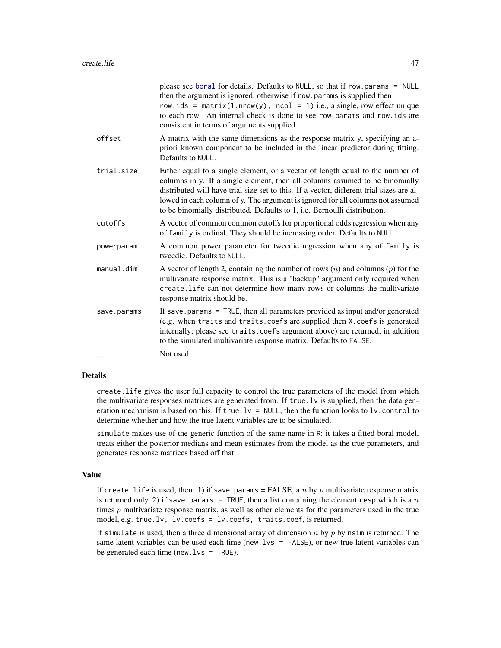|             | please see boral for details. Defaults to NULL, so that if row.params = NULL<br>then the argument is ignored, otherwise if row.params is supplied then<br>row.ids = $matrix(1: nrow(y), ncol = 1)$ i.e., a single, row effect unique<br>to each row. An internal check is done to see row.params and row.ids are<br>consistent in terms of arguments supplied.                                                            |
|-------------|---------------------------------------------------------------------------------------------------------------------------------------------------------------------------------------------------------------------------------------------------------------------------------------------------------------------------------------------------------------------------------------------------------------------------|
| offset      | A matrix with the same dimensions as the response matrix y, specifying an a-<br>priori known component to be included in the linear predictor during fitting.<br>Defaults to NULL.                                                                                                                                                                                                                                        |
| trial.size  | Either equal to a single element, or a vector of length equal to the number of<br>columns in y. If a single element, then all columns assumed to be binomially<br>distributed will have trial size set to this. If a vector, different trial sizes are al-<br>lowed in each column of y. The argument is ignored for all columns not assumed<br>to be binomially distributed. Defaults to 1, i.e. Bernoulli distribution. |
| cutoffs     | A vector of common common cutoffs for proportional odds regression when any<br>of family is ordinal. They should be increasing order. Defaults to NULL.                                                                                                                                                                                                                                                                   |
| powerparam  | A common power parameter for tweedie regression when any of family is<br>tweedie. Defaults to NULL.                                                                                                                                                                                                                                                                                                                       |
| manual.dim  | A vector of length 2, containing the number of rows $(n)$ and columns $(p)$ for the<br>multivariate response matrix. This is a "backup" argument only required when<br>create. life can not determine how many rows or columns the multivariate<br>response matrix should be.                                                                                                                                             |
| save.params | If save params $=$ TRUE, then all parameters provided as input and/or generated<br>(e.g. when traits and traits.coefs are supplied then X.coefs is generated<br>internally; please see traits.coefs argument above) are returned, in addition<br>to the simulated multivariate response matrix. Defaults to FALSE.                                                                                                        |
| $\cdots$    | Not used.                                                                                                                                                                                                                                                                                                                                                                                                                 |

### Details

create.life gives the user full capacity to control the true parameters of the model from which the multivariate responses matrices are generated from. If true.lv is supplied, then the data generation mechanism is based on this. If true.  $1v = NULL$ , then the function looks to  $1v$ , control to determine whether and how the true latent variables are to be simulated.

simulate makes use of the generic function of the same name in R: it takes a fitted boral model, treats either the posterior medians and mean estimates from the model as the true parameters, and generates response matrices based off that.

## Value

If create.life is used, then: 1) if save.params = FALSE, a n by p multivariate response matrix is returned only, 2) if save.params = TRUE, then a list containing the element resp which is a  $n$ times p multivariate response matrix, as well as other elements for the parameters used in the true model, e.g. true.lv, lv.coefs = lv.coefs, traits.coef, is returned.

If simulate is used, then a three dimensional array of dimension  $n$  by  $p$  by nsim is returned. The same latent variables can be used each time (new.  $lvs = FALEE$ ), or new true latent variables can be generated each time (new.lvs = TRUE).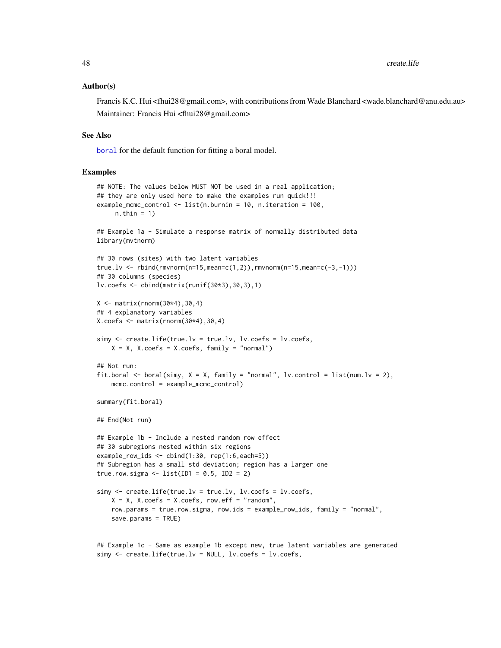### Author(s)

Francis K.C. Hui <fhui28@gmail.com>, with contributions from Wade Blanchard <wade.blanchard@anu.edu.au> Maintainer: Francis Hui <fhui28@gmail.com>

#### See Also

[boral](#page-13-0) for the default function for fitting a boral model.

## Examples

```
## NOTE: The values below MUST NOT be used in a real application;
## they are only used here to make the examples run quick!!!
example_mcmc_control <- list(n.burnin = 10, n.iteration = 100,
     n.thin = 1)
## Example 1a - Simulate a response matrix of normally distributed data
library(mvtnorm)
## 30 rows (sites) with two latent variables
true.lv <- rbind(rmvnorm(n=15,mean=c(1,2)),rmvnorm(n=15,mean=c(-3,-1)))
## 30 columns (species)
lv.coefs <- cbind(matrix(runif(30*3),30,3),1)
X <- matrix(rnorm(30*4),30,4)
## 4 explanatory variables
X.\text{coeffs} \leq \text{matrix}(rnorm(30*4),30,4)simy \leq create. life(true. lv = true. lv, lv. coeffs = lw. coeffs.
    X = X, X.coefs = X.coefs, family = "normal")
## Not run:
fit.boral <- boral(simy, X = X, family = "normal", lv.control = list(num.lv = 2),
    mcmc.control = example_mcmc_control)
summary(fit.boral)
## End(Not run)
## Example 1b - Include a nested random row effect
## 30 subregions nested within six regions
example_row_ids <- cbind(1:30, rep(1:6,each=5))
## Subregion has a small std deviation; region has a larger one
true.row.sigma <- list(ID1 = 0.5, ID2 = 2)
simy \leq create.life(true.lv = true.lv, lv.coefs = lv.coefs,
    X = X, X.coefs = X.coefs, row.eff = "random",
    row.params = true.row.sigma, row.ids = example_row_ids, family = "normal",
    save.params = TRUE)
```
## Example 1c - Same as example 1b except new, true latent variables are generated simy <- create.life(true.lv = NULL, lv.coefs = lv.coefs,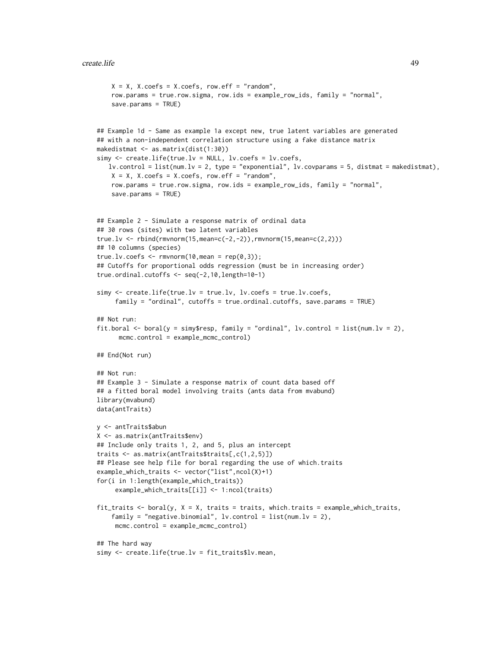```
X = X, X.coefs = X.coefs, row.eff = "random",
    row.params = true.row.sigma, row.ids = example_row_ids, family = "normal",
   save.params = TRUE)
## Example 1d - Same as example 1a except new, true latent variables are generated
## with a non-independent correlation structure using a fake distance matrix
makedistmat <- as.matrix(dist(1:30))
simy <- create.life(true.lv = NULL, lv.coefs = lv.coefs,
   lv.control = list(num.lv = 2, type = "exponential", lv.covparams = 5, distmat = makedistmat),
   X = X, X.coefs = X.coefs, row.eff = "random",
   row.params = true.row.sigma, row.ids = example_row_ids, family = "normal",
    save.params = TRUE)
## Example 2 - Simulate a response matrix of ordinal data
## 30 rows (sites) with two latent variables
true.lv <- rbind(rmvnorm(15, mean=c(-2, -2)), rmvnorm(15, mean=c(2,2)))
## 10 columns (species)
true.lv.coefs \leq rmvnorm(10, mean = rep(0,3));
## Cutoffs for proportional odds regression (must be in increasing order)
true.ordinal.cutoffs <- seq(-2,10,length=10-1)
simy <- create.life(true.lv = true.lv, lv.coefs = true.lv.coefs,
     family = "ordinal", cutoffs = true.ordinal.cutoffs, save.params = TRUE)
## Not run:
fit.boral <- boral(y = simy$resp, family = "ordinal", lv.control = list(num.lv = 2),
     mcmc.control = example_mcmc_control)
## End(Not run)
## Not run:
## Example 3 - Simulate a response matrix of count data based off
## a fitted boral model involving traits (ants data from mvabund)
library(mvabund)
data(antTraits)
y <- antTraits$abun
X <- as.matrix(antTraits$env)
## Include only traits 1, 2, and 5, plus an intercept
traits <- as.matrix(antTraits$traits[,c(1,2,5)])
## Please see help file for boral regarding the use of which.traits
example_which_traits <- vector("list",ncol(X)+1)
for(i in 1:length(example_which_traits))
     example_which_traits[[i]] <- 1:ncol(traits)
fit_traits \le boral(y, X = X, traits = traits, which.traits = example_which_traits,
    family = "negative.binomial", lv<u>control</u> = list(num.lv = 2),mcmc.control = example_mcmc_control)
## The hard way
simy <- create.life(true.lv = fit_traits$lv.mean,
```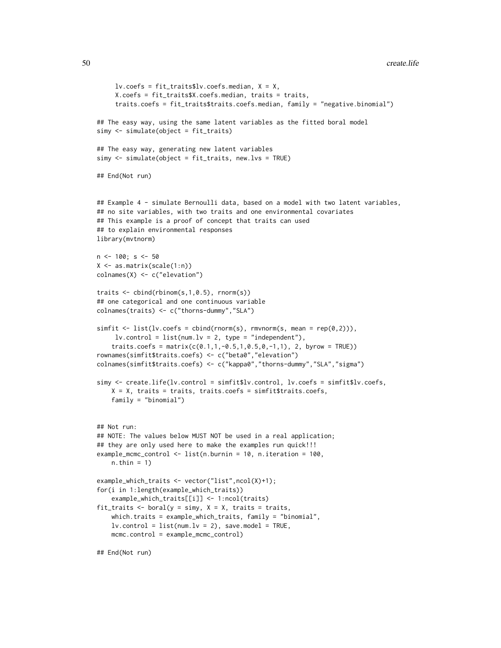```
lv.coefs = fit_traits$lv.coefs.median, X = X,
     X.coefs = fit_traits$X.coefs.median, traits = traits,
     traits.coefs = fit_traits$traits.coefs.median, family = "negative.binomial")
## The easy way, using the same latent variables as the fitted boral model
simy <- simulate(object = fit_traits)
## The easy way, generating new latent variables
simy <- simulate(object = fit_traits, new.lvs = TRUE)
## End(Not run)
## Example 4 - simulate Bernoulli data, based on a model with two latent variables,
## no site variables, with two traits and one environmental covariates
## This example is a proof of concept that traits can used
## to explain environmental responses
library(mvtnorm)
n < -100; s < -50X <- as.matrix(scale(1:n))
colnames(X) <- c("elevation")
traits <- cbind(rbinom(s,1,0.5), rnorm(s))
## one categorical and one continuous variable
colnames(traits) <- c("thorns-dummy","SLA")
simplify \leftarrow list(lv.coefs = chind(rnorm(s), rmvnorm(s, mean = rep(0,2))),
     lv.contrib = list(num.lv = 2, type = "independent"),traits.coefs = matrix(c(0.1, 1, -0.5, 1, 0.5, 0, -1, 1), 2, byrow = TRUE)rownames(simfit$traits.coefs) <- c("beta0","elevation")
colnames(simfit$traits.coefs) <- c("kappa0","thorns-dummy","SLA","sigma")
simy <- create.life(lv.control = simfit$lv.control, lv.coefs = simfit$lv.coefs,
    X = X, traits = traits, traits.coefs = simfit$traits.coefs,
    family = "binomial")
## Not run:
## NOTE: The values below MUST NOT be used in a real application;
## they are only used here to make the examples run quick!!!
example_mcmc_control <- list(n.burnin = 10, n.iteration = 100,
    n.thin = 1)
example_which_traits <- vector("list",ncol(X)+1);
for(i in 1:length(example_which_traits))
    example_which_traits[[i]] <- 1:ncol(traits)
fit_traits \leq boral(y = simy, X = X, traits = traits,
    which.traits = example_which_traits, family = "binomial",
    lv.contrib = list(num.lv = 2), save.model = TRUE,
    mcmc.control = example_mcmc_control)
## End(Not run)
```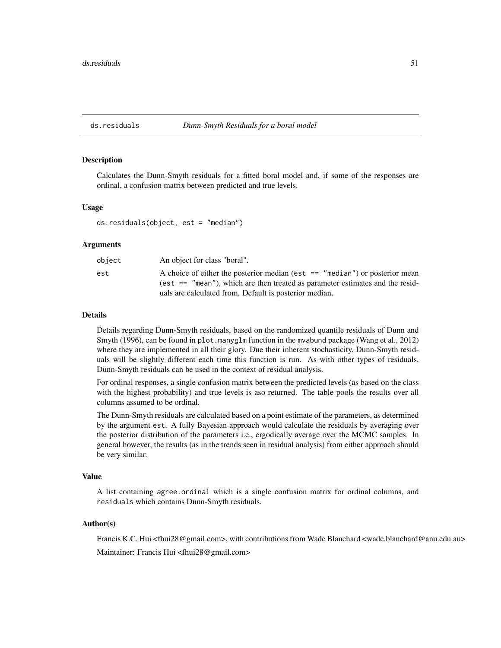## <span id="page-50-0"></span>ds.residuals *Dunn-Smyth Residuals for a boral model*

## Description

Calculates the Dunn-Smyth residuals for a fitted boral model and, if some of the responses are ordinal, a confusion matrix between predicted and true levels.

## Usage

ds.residuals(object, est = "median")

## Arguments

| object | An object for class "boral".                                                    |
|--------|---------------------------------------------------------------------------------|
| est    | A choice of either the posterior median (est $ == "median")$ or posterior mean  |
|        | (est $==$ "mean"), which are then treated as parameter estimates and the resid- |
|        | uals are calculated from. Default is posterior median.                          |

## Details

Details regarding Dunn-Smyth residuals, based on the randomized quantile residuals of Dunn and Smyth (1996), can be found in plot.manyglm function in the mvabund package (Wang et al., 2012) where they are implemented in all their glory. Due their inherent stochasticity, Dunn-Smyth residuals will be slightly different each time this function is run. As with other types of residuals, Dunn-Smyth residuals can be used in the context of residual analysis.

For ordinal responses, a single confusion matrix between the predicted levels (as based on the class with the highest probability) and true levels is aso returned. The table pools the results over all columns assumed to be ordinal.

The Dunn-Smyth residuals are calculated based on a point estimate of the parameters, as determined by the argument est. A fully Bayesian approach would calculate the residuals by averaging over the posterior distribution of the parameters i.e., ergodically average over the MCMC samples. In general however, the results (as in the trends seen in residual analysis) from either approach should be very similar.

## Value

A list containing agree.ordinal which is a single confusion matrix for ordinal columns, and residuals which contains Dunn-Smyth residuals.

## Author(s)

Francis K.C. Hui <fhui28@gmail.com>, with contributions from Wade Blanchard <wade.blanchard@anu.edu.au> Maintainer: Francis Hui <fhui28@gmail.com>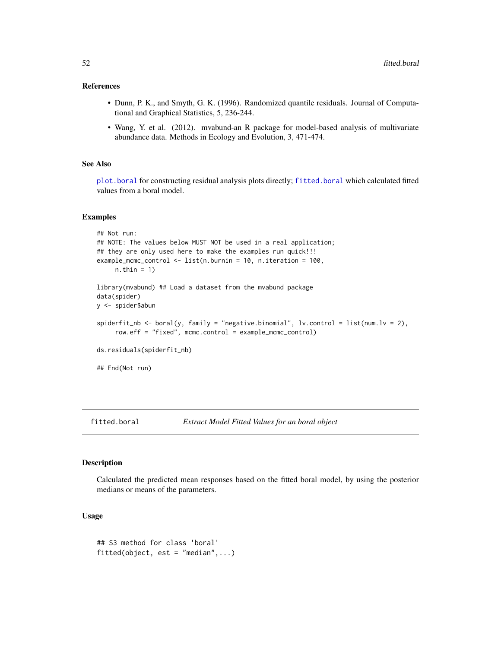## References

- Dunn, P. K., and Smyth, G. K. (1996). Randomized quantile residuals. Journal of Computational and Graphical Statistics, 5, 236-244.
- Wang, Y. et al. (2012). mvabund-an R package for model-based analysis of multivariate abundance data. Methods in Ecology and Evolution, 3, 471-474.

## See Also

[plot.boral](#page-83-0) for constructing residual analysis plots directly; [fitted.boral](#page-51-0) which calculated fitted values from a boral model.

## Examples

```
## Not run:
## NOTE: The values below MUST NOT be used in a real application;
## they are only used here to make the examples run quick!!!
example_mcmc_control <- list(n.burnin = 10, n.iteration = 100,
    n.thin = 1)
library(mvabund) ## Load a dataset from the mvabund package
data(spider)
y <- spider$abun
spiderfit_nb < - boral(y, family = "negative.binomial", lv.control = list(num.lv = 2),
     row.eff = "fixed", mcmc.control = example_mcmc_control)
ds.residuals(spiderfit_nb)
## End(Not run)
```
<span id="page-51-0"></span>fitted.boral *Extract Model Fitted Values for an boral object*

## Description

Calculated the predicted mean responses based on the fitted boral model, by using the posterior medians or means of the parameters.

#### Usage

```
## S3 method for class 'boral'
fitted(object, est = "median", ...)
```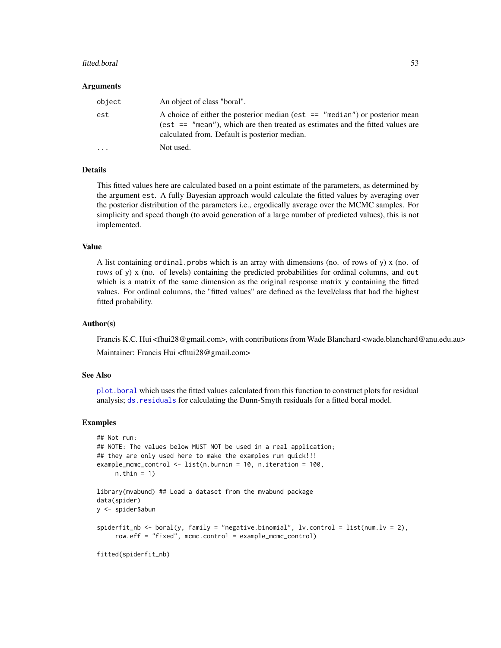### fitted.boral 53

## Arguments

| object  | An object of class "boral".                                                                                                                                                                                         |
|---------|---------------------------------------------------------------------------------------------------------------------------------------------------------------------------------------------------------------------|
| est     | A choice of either the posterior median (est $ == "median")$ or posterior mean<br>(est $==$ "mean"), which are then treated as estimates and the fitted values are<br>calculated from. Default is posterior median. |
| $\cdot$ | Not used.                                                                                                                                                                                                           |

## Details

This fitted values here are calculated based on a point estimate of the parameters, as determined by the argument est. A fully Bayesian approach would calculate the fitted values by averaging over the posterior distribution of the parameters i.e., ergodically average over the MCMC samples. For simplicity and speed though (to avoid generation of a large number of predicted values), this is not implemented.

## Value

A list containing ordinal. probs which is an array with dimensions (no. of rows of y)  $x$  (no. of rows of y) x (no. of levels) containing the predicted probabilities for ordinal columns, and out which is a matrix of the same dimension as the original response matrix y containing the fitted values. For ordinal columns, the "fitted values" are defined as the level/class that had the highest fitted probability.

## Author(s)

Francis K.C. Hui <fhui28@gmail.com>, with contributions from Wade Blanchard <wade.blanchard@anu.edu.au> Maintainer: Francis Hui <fhui28@gmail.com>

## See Also

[plot.boral](#page-83-0) which uses the fitted values calculated from this function to construct plots for residual analysis; [ds.residuals](#page-50-0) for calculating the Dunn-Smyth residuals for a fitted boral model.

## Examples

```
## Not run:
## NOTE: The values below MUST NOT be used in a real application;
## they are only used here to make the examples run quick!!!
example_mcmc_control <- list(n.burnin = 10, n.iteration = 100,
     n.thin = 1)
library(mvabund) ## Load a dataset from the mvabund package
data(spider)
y <- spider$abun
spiderfit_nb <- boral(y, family = "negative.binomial", lv.control = list(num.lv = 2),
     row.eff = "fixed", mcmc.control = example_mcmc_control)
fitted(spiderfit_nb)
```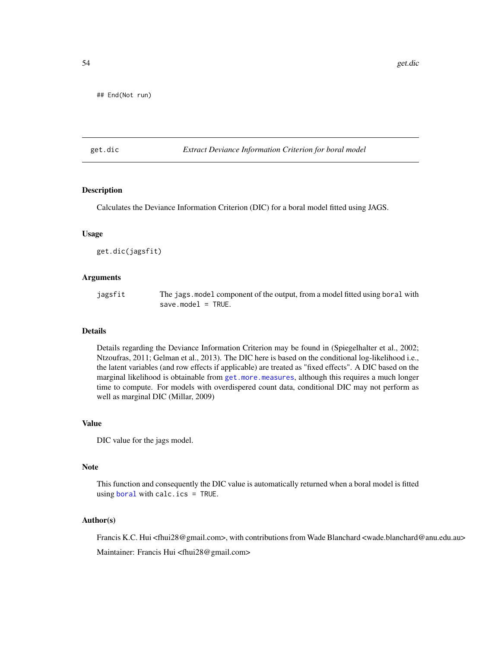## End(Not run)

## <span id="page-53-0"></span>get.dic *Extract Deviance Information Criterion for boral model*

## Description

Calculates the Deviance Information Criterion (DIC) for a boral model fitted using JAGS.

## Usage

get.dic(jagsfit)

## Arguments

| jagsfit | The jags. model component of the output, from a model fitted using boral with |
|---------|-------------------------------------------------------------------------------|
|         | $save_model = TRUE.$                                                          |

## Details

Details regarding the Deviance Information Criterion may be found in (Spiegelhalter et al., 2002; Ntzoufras, 2011; Gelman et al., 2013). The DIC here is based on the conditional log-likelihood i.e., the latent variables (and row effects if applicable) are treated as "fixed effects". A DIC based on the marginal likelihood is obtainable from [get.more.measures](#page-64-0), although this requires a much longer time to compute. For models with overdispered count data, conditional DIC may not perform as well as marginal DIC (Millar, 2009)

## Value

DIC value for the jags model.

#### **Note**

This function and consequently the DIC value is automatically returned when a boral model is fitted using [boral](#page-13-0) with calc.ics = TRUE.

#### Author(s)

Francis K.C. Hui <fhui28@gmail.com>, with contributions from Wade Blanchard <wade.blanchard@anu.edu.au>

Maintainer: Francis Hui <fhui28@gmail.com>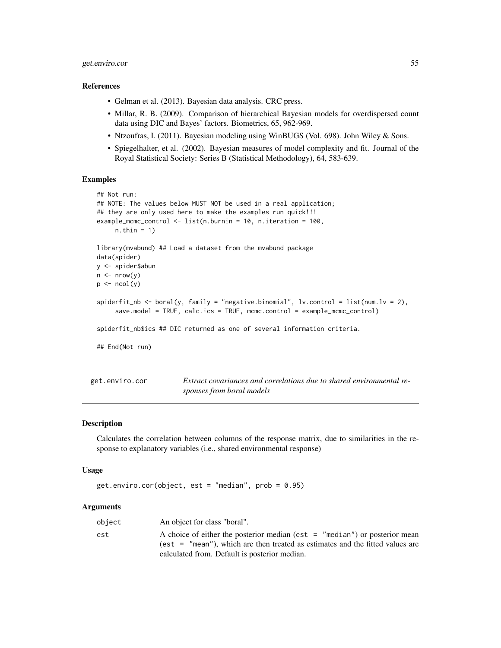# get.enviro.cor 55

#### References

- Gelman et al. (2013). Bayesian data analysis. CRC press.
- Millar, R. B. (2009). Comparison of hierarchical Bayesian models for overdispersed count data using DIC and Bayes' factors. Biometrics, 65, 962-969.
- Ntzoufras, I. (2011). Bayesian modeling using WinBUGS (Vol. 698). John Wiley & Sons.
- Spiegelhalter, et al. (2002). Bayesian measures of model complexity and fit. Journal of the Royal Statistical Society: Series B (Statistical Methodology), 64, 583-639.

# Examples

```
## Not run:
## NOTE: The values below MUST NOT be used in a real application;
## they are only used here to make the examples run quick!!!
example_mcmc_control <- list(n.burnin = 10, n.iteration = 100,
     n.thin = 1)
library(mvabund) ## Load a dataset from the mvabund package
data(spider)
y <- spider$abun
n \leq -nrow(y)p \leftarrow \text{ncol}(y)spiderfit_nb <- boral(y, family = "negative.binomial", lv.control = list(num.lv = 2),
     save.model = TRUE, calc.ics = TRUE, mcmc.control = example_mcmc_control)
spiderfit_nb$ics ## DIC returned as one of several information criteria.
## End(Not run)
```
<span id="page-54-0"></span>get.enviro.cor *Extract covariances and correlations due to shared environmental responses from boral models*

## Description

Calculates the correlation between columns of the response matrix, due to similarities in the response to explanatory variables (i.e., shared environmental response)

#### Usage

```
get.enviro.cor(object, est = "median", prob = 0.95)
```
## Arguments

| object | An object for class "boral".                                                  |
|--------|-------------------------------------------------------------------------------|
| est    | A choice of either the posterior median (est $=$ "median") or posterior mean  |
|        | (est = "mean"), which are then treated as estimates and the fitted values are |
|        | calculated from. Default is posterior median.                                 |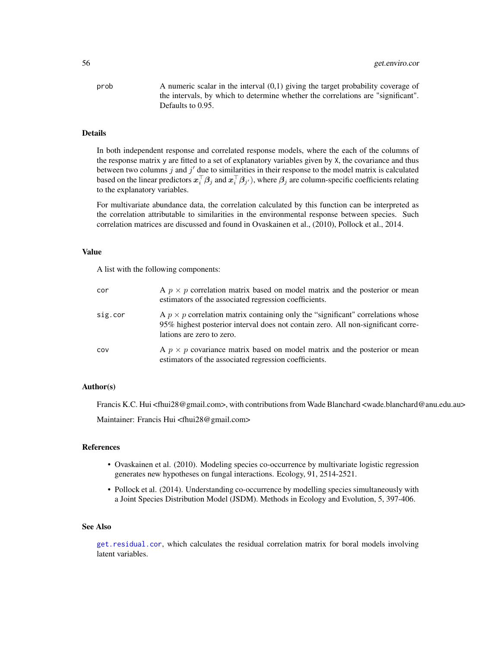$\alpha$  A numeric scalar in the interval  $(0,1)$  giving the target probability coverage of the intervals, by which to determine whether the correlations are "significant". Defaults to 0.95.

## Details

In both independent response and correlated response models, where the each of the columns of the response matrix y are fitted to a set of explanatory variables given by X, the covariance and thus between two columns  $j$  and  $j'$  due to similarities in their response to the model matrix is calculated based on the linear predictors  $x_i^\top\beta_j$  and  $x_i^\top\beta_{j'}$  ), where  $\beta_j$  are column-specific coefficients relating to the explanatory variables.

For multivariate abundance data, the correlation calculated by this function can be interpreted as the correlation attributable to similarities in the environmental response between species. Such correlation matrices are discussed and found in Ovaskainen et al., (2010), Pollock et al., 2014.

## Value

A list with the following components:

| cor     | A $p \times p$ correlation matrix based on model matrix and the posterior or mean<br>estimators of the associated regression coefficients.                                                              |
|---------|---------------------------------------------------------------------------------------------------------------------------------------------------------------------------------------------------------|
| sig.cor | A $p \times p$ correlation matrix containing only the "significant" correlations whose<br>95% highest posterior interval does not contain zero. All non-significant corre-<br>lations are zero to zero. |
| COV     | A $p \times p$ covariance matrix based on model matrix and the posterior or mean<br>estimators of the associated regression coefficients.                                                               |

# Author(s)

Francis K.C. Hui <fhui28@gmail.com>, with contributions from Wade Blanchard <wade.blanchard@anu.edu.au>

Maintainer: Francis Hui <fhui28@gmail.com>

### References

- Ovaskainen et al. (2010). Modeling species co-occurrence by multivariate logistic regression generates new hypotheses on fungal interactions. Ecology, 91, 2514-2521.
- Pollock et al. (2014). Understanding co-occurrence by modelling species simultaneously with a Joint Species Distribution Model (JSDM). Methods in Ecology and Evolution, 5, 397-406.

#### See Also

[get.residual.cor](#page-68-0), which calculates the residual correlation matrix for boral models involving latent variables.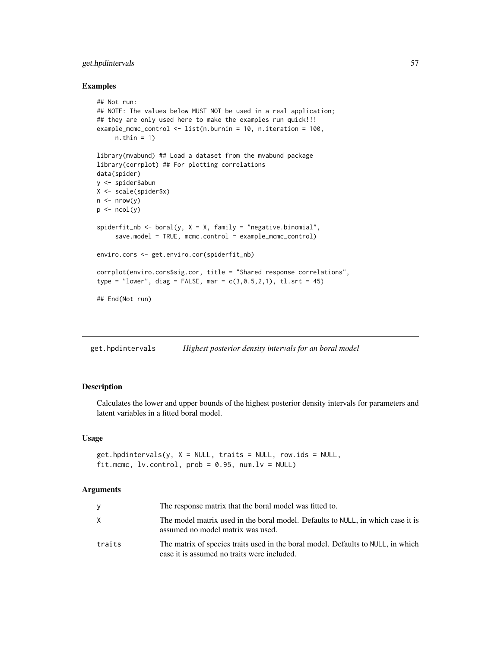# get.hpdintervals 57

## Examples

```
## Not run:
## NOTE: The values below MUST NOT be used in a real application;
## they are only used here to make the examples run quick!!!
example_mcmc_control <- list(n.burnin = 10, n.iteration = 100,
     n.thin = 1)
library(mvabund) ## Load a dataset from the mvabund package
library(corrplot) ## For plotting correlations
data(spider)
y <- spider$abun
X <- scale(spider$x)
n \leq -nrow(y)p \leftarrow \text{ncol}(y)spiderfit_nb <- boral(y, X = X, family = "negative.binomial",
     save.model = TRUE, mcmc.control = example_mcmc_control)
enviro.cors <- get.enviro.cor(spiderfit_nb)
corrplot(enviro.cors$sig.cor, title = "Shared response correlations",
type = "lower", diag = FALSE, mar = c(3, 0.5, 2, 1), tl.srt = 45)
## End(Not run)
```
get.hpdintervals *Highest posterior density intervals for an boral model*

# Description

Calculates the lower and upper bounds of the highest posterior density intervals for parameters and latent variables in a fitted boral model.

## Usage

```
get.hpdintervals(y, X = NULL, traits = NULL, row.ids = NULL,
fit.mcmc, lv.control, prob = 0.95, num.lv = NULL
```
### Arguments

| y.     | The response matrix that the boral model was fitted to.                                                                         |
|--------|---------------------------------------------------------------------------------------------------------------------------------|
| X      | The model matrix used in the boral model. Defaults to NULL, in which case it is<br>assumed no model matrix was used.            |
| traits | The matrix of species traits used in the boral model. Defaults to NULL, in which<br>case it is assumed no traits were included. |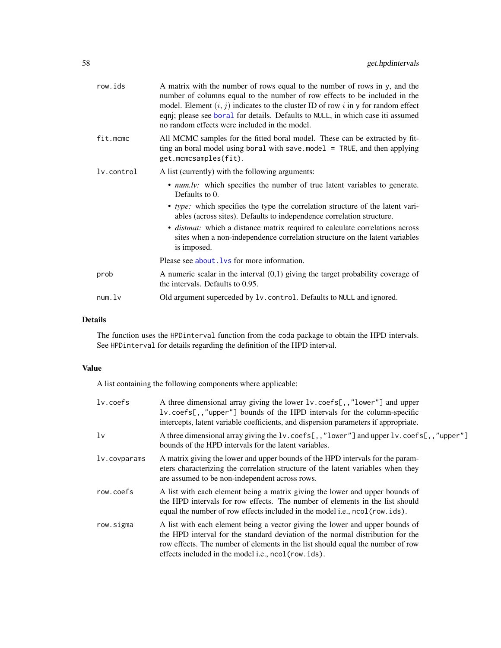| row.ids    | A matrix with the number of rows equal to the number of rows in y, and the<br>number of columns equal to the number of row effects to be included in the<br>model. Element $(i, j)$ indicates to the cluster ID of row i in y for random effect<br>eqnj; please see boral for details. Defaults to NULL, in which case iti assumed<br>no random effects were included in the model. |
|------------|-------------------------------------------------------------------------------------------------------------------------------------------------------------------------------------------------------------------------------------------------------------------------------------------------------------------------------------------------------------------------------------|
| fit.mcmc   | All MCMC samples for the fitted boral model. These can be extracted by fit-<br>ting an boral model using boral with save model $=$ TRUE, and then applying<br>get.mcmcsamples(fit).                                                                                                                                                                                                 |
| lv.control | A list (currently) with the following arguments:                                                                                                                                                                                                                                                                                                                                    |
|            | • <i>num.lv:</i> which specifies the number of true latent variables to generate.<br>Defaults to 0.                                                                                                                                                                                                                                                                                 |
|            | • type: which specifies the type the correlation structure of the latent vari-<br>ables (across sites). Defaults to independence correlation structure.                                                                                                                                                                                                                             |
|            | • <i>distmat:</i> which a distance matrix required to calculate correlations across<br>sites when a non-independence correlation structure on the latent variables<br>is imposed.                                                                                                                                                                                                   |
|            | Please see about . Ivs for more information.                                                                                                                                                                                                                                                                                                                                        |
| prob       | A numeric scalar in the interval $(0,1)$ giving the target probability coverage of<br>the intervals. Defaults to 0.95.                                                                                                                                                                                                                                                              |
| num.       | Old argument superceded by 1v. control. Defaults to NULL and ignored.                                                                                                                                                                                                                                                                                                               |
|            |                                                                                                                                                                                                                                                                                                                                                                                     |

# Details

The function uses the HPDinterval function from the coda package to obtain the HPD intervals. See HPDinterval for details regarding the definition of the HPD interval.

# Value

A list containing the following components where applicable:

| lv.coefs     | A three dimensional array giving the lower 1v. coefs[,,"lower"] and upper<br>lv.coefs[,,"upper"] bounds of the HPD intervals for the column-specific<br>intercepts, latent variable coefficients, and dispersion parameters if appropriate.                                                              |
|--------------|----------------------------------------------------------------------------------------------------------------------------------------------------------------------------------------------------------------------------------------------------------------------------------------------------------|
| 1v           | A three dimensional array giving the 1v. coefs[,,"lower"] and upper $l$ v. coefs[,,"upper"]<br>bounds of the HPD intervals for the latent variables.                                                                                                                                                     |
| lv.covparams | A matrix giving the lower and upper bounds of the HPD intervals for the param-<br>eters characterizing the correlation structure of the latent variables when they<br>are assumed to be non-independent across rows.                                                                                     |
| row.coefs    | A list with each element being a matrix giving the lower and upper bounds of<br>the HPD intervals for row effects. The number of elements in the list should<br>equal the number of row effects included in the model i.e., ncol(row.ids).                                                               |
| row.sigma    | A list with each element being a vector giving the lower and upper bounds of<br>the HPD interval for the standard deviation of the normal distribution for the<br>row effects. The number of elements in the list should equal the number of row<br>effects included in the model i.e., ncol (row. ids). |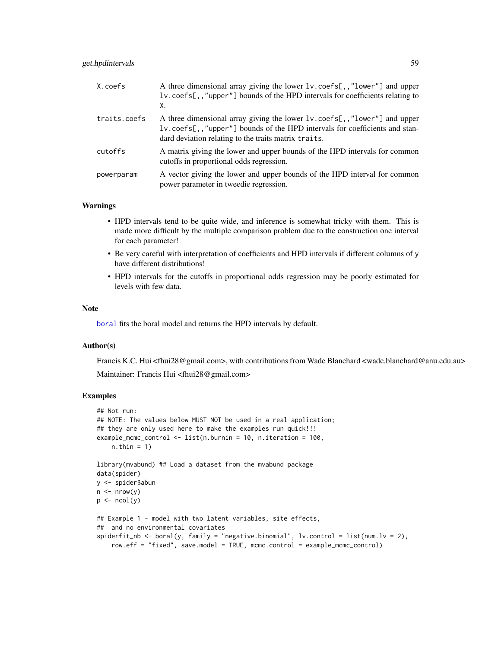# get.hpdintervals 59

| X.coefs      | A three dimensional array giving the lower 1v. coefs[,,"lower"] and upper<br>lv.coefs[,,"upper"] bounds of the HPD intervals for coefficients relating to<br>Χ.                                                 |
|--------------|-----------------------------------------------------------------------------------------------------------------------------------------------------------------------------------------------------------------|
| traits.coefs | A three dimensional array giving the lower 1v. coefs[,,"lower"] and upper<br>lv.coefs[,,"upper"] bounds of the HPD intervals for coefficients and stan-<br>dard deviation relating to the traits matrix traits. |
| cutoffs      | A matrix giving the lower and upper bounds of the HPD intervals for common<br>cutoffs in proportional odds regression.                                                                                          |
| powerparam   | A vector giving the lower and upper bounds of the HPD interval for common<br>power parameter in tweedie regression.                                                                                             |

## Warnings

- HPD intervals tend to be quite wide, and inference is somewhat tricky with them. This is made more difficult by the multiple comparison problem due to the construction one interval for each parameter!
- Be very careful with interpretation of coefficients and HPD intervals if different columns of y have different distributions!
- HPD intervals for the cutoffs in proportional odds regression may be poorly estimated for levels with few data.

#### Note

[boral](#page-13-0) fits the boral model and returns the HPD intervals by default.

# Author(s)

Francis K.C. Hui <fhui28@gmail.com>, with contributions from Wade Blanchard <wade.blanchard@anu.edu.au> Maintainer: Francis Hui <fhui28@gmail.com>

# Examples

```
## Not run:
## NOTE: The values below MUST NOT be used in a real application;
## they are only used here to make the examples run quick!!!
example_mcmc_control <- list(n.burnin = 10, n.iteration = 100,
   n.thin = 1)
library(mvabund) ## Load a dataset from the mvabund package
data(spider)
y <- spider$abun
n \leq -nrow(y)p \leftarrow \text{ncol}(y)## Example 1 - model with two latent variables, site effects,
## and no environmental covariates
spiderfit_nb <- boral(y, family = "negative.binomial", lv.control = list(num.lv = 2),
   row.eff = "fixed", save.model = TRUE, mcmc.control = example_mcmc_control)
```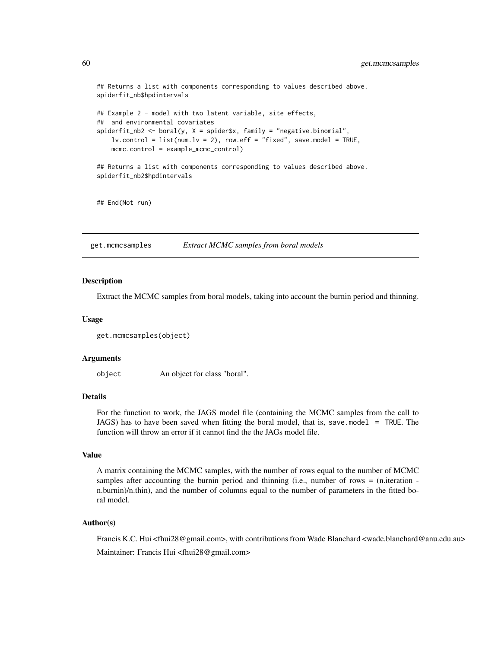```
## Returns a list with components corresponding to values described above.
spiderfit_nb$hpdintervals
## Example 2 - model with two latent variable, site effects,
## and environmental covariates
spiderfit_nb2 \leq -\text{boral}(y, X = \text{spider}$x, family = "negative.binomial",lv. control = list(num.lv = 2), row.eff = "fixed", save.model = TRUE,
    mcmc.control = example_mcmc_control)
## Returns a list with components corresponding to values described above.
spiderfit_nb2$hpdintervals
## End(Not run)
```
get.mcmcsamples *Extract MCMC samples from boral models*

### **Description**

Extract the MCMC samples from boral models, taking into account the burnin period and thinning.

#### Usage

```
get.mcmcsamples(object)
```
#### Arguments

object An object for class "boral".

# Details

For the function to work, the JAGS model file (containing the MCMC samples from the call to JAGS) has to have been saved when fitting the boral model, that is, save.model = TRUE. The function will throw an error if it cannot find the the JAGs model file.

## Value

A matrix containing the MCMC samples, with the number of rows equal to the number of MCMC samples after accounting the burnin period and thinning (i.e., number of rows  $=$  (n.iteration  $$ n.burnin)/n.thin), and the number of columns equal to the number of parameters in the fitted boral model.

## Author(s)

Francis K.C. Hui <fhui28@gmail.com>, with contributions from Wade Blanchard <wade.blanchard@anu.edu.au> Maintainer: Francis Hui <fhui28@gmail.com>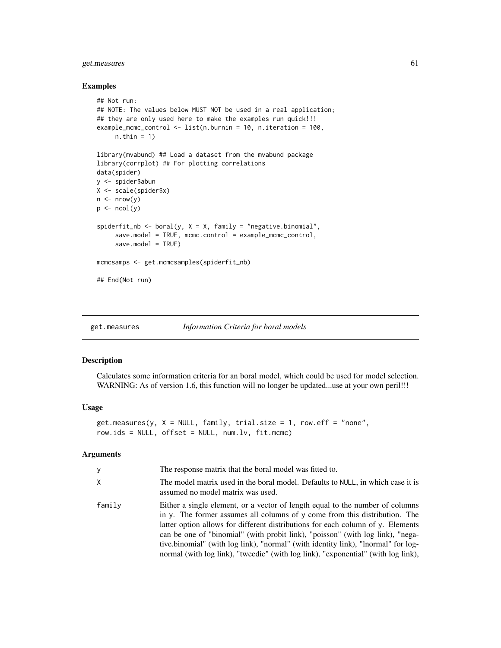# get.measures 61

### Examples

```
## Not run:
## NOTE: The values below MUST NOT be used in a real application;
## they are only used here to make the examples run quick!!!
example_mcmc_control <- list(n.burnin = 10, n.iteration = 100,
     n.thin = 1)
library(mvabund) ## Load a dataset from the mvabund package
library(corrplot) ## For plotting correlations
data(spider)
y <- spider$abun
X <- scale(spider$x)
n \leftarrow \text{nrow}(y)p \leftarrow \text{ncol}(y)spiderfit_nb <- boral(y, X = X, family = "negative.binomial",
     save.model = TRUE, mcmc.control = example_mcmc_control,
     save.model = TRUE)
mcmcsamps <- get.mcmcsamples(spiderfit_nb)
## End(Not run)
```
<span id="page-60-0"></span>get.measures *Information Criteria for boral models*

## Description

Calculates some information criteria for an boral model, which could be used for model selection. WARNING: As of version 1.6, this function will no longer be updated...use at your own peril!!!

### Usage

```
get-measures(y, X = NULL, family, trial.size = 1, row.eff = "none",row.ids = NULL, offset = NULL, num.lv, fit.mcmc)
```
## Arguments

| У      | The response matrix that the boral model was fitted to.                                                                                                                                                                                                                                                                                                                                                                                                                                                                   |
|--------|---------------------------------------------------------------------------------------------------------------------------------------------------------------------------------------------------------------------------------------------------------------------------------------------------------------------------------------------------------------------------------------------------------------------------------------------------------------------------------------------------------------------------|
| X      | The model matrix used in the boral model. Defaults to NULL, in which case it is<br>assumed no model matrix was used.                                                                                                                                                                                                                                                                                                                                                                                                      |
| family | Either a single element, or a vector of length equal to the number of columns<br>in $\gamma$ . The former assumes all columns of $\gamma$ come from this distribution. The<br>latter option allows for different distributions for each column of y. Elements<br>can be one of "binomial" (with probit link), "poisson" (with log link), "nega-<br>tive.binomial" (with log link), "normal" (with identity link), "lnormal" for log-<br>normal (with log link), "tweedie" (with log link), "exponential" (with log link), |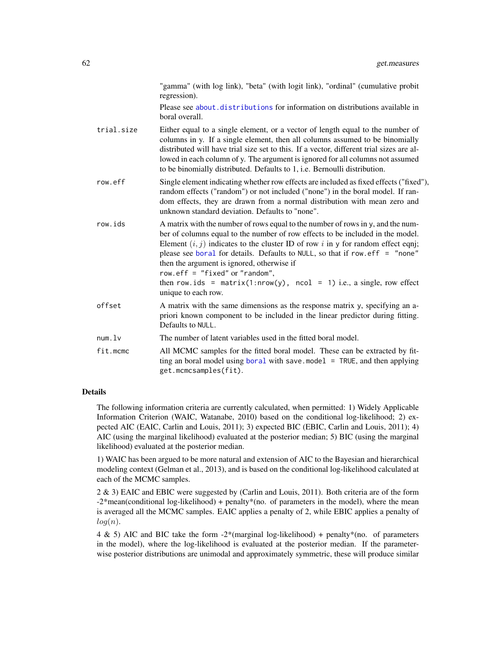"gamma" (with log link), "beta" (with logit link), "ordinal" (cumulative probit regression).

Please see [about.distributions](#page-2-0) for information on distributions available in boral overall.

- trial.size Either equal to a single element, or a vector of length equal to the number of columns in y. If a single element, then all columns assumed to be binomially distributed will have trial size set to this. If a vector, different trial sizes are allowed in each column of y. The argument is ignored for all columns not assumed to be binomially distributed. Defaults to 1, i.e. Bernoulli distribution.
- row.eff Single element indicating whether row effects are included as fixed effects ("fixed"), random effects ("random") or not included ("none") in the boral model. If random effects, they are drawn from a normal distribution with mean zero and unknown standard deviation. Defaults to "none".
- row.ids A matrix with the number of rows equal to the number of rows in y, and the number of columns equal to the number of row effects to be included in the model. Element  $(i, j)$  indicates to the cluster ID of row i in y for random effect eqnj; please see [boral](#page-13-0) for details. Defaults to NULL, so that if row.eff = "none" then the argument is ignored, otherwise if row.eff = "fixed" or "random",
	- then row.ids = matrix $(1: nrow(y)$ , ncol = 1) i.e., a single, row effect unique to each row.
- offset A matrix with the same dimensions as the response matrix y, specifying an apriori known component to be included in the linear predictor during fitting. Defaults to NULL.
- num. 1v The number of latent variables used in the fitted boral model.
- fit.mcmc All MCMC samples for the fitted boral model. These can be extracted by fitting an [boral](#page-13-0) model using boral with save.model  $=$  TRUE, and then applying get.mcmcsamples(fit).

## Details

The following information criteria are currently calculated, when permitted: 1) Widely Applicable Information Criterion (WAIC, Watanabe, 2010) based on the conditional log-likelihood; 2) expected AIC (EAIC, Carlin and Louis, 2011); 3) expected BIC (EBIC, Carlin and Louis, 2011); 4) AIC (using the marginal likelihood) evaluated at the posterior median; 5) BIC (using the marginal likelihood) evaluated at the posterior median.

1) WAIC has been argued to be more natural and extension of AIC to the Bayesian and hierarchical modeling context (Gelman et al., 2013), and is based on the conditional log-likelihood calculated at each of the MCMC samples.

2 & 3) EAIC and EBIC were suggested by (Carlin and Louis, 2011). Both criteria are of the form -2\*mean(conditional log-likelihood) + penalty\*(no. of parameters in the model), where the mean is averaged all the MCMC samples. EAIC applies a penalty of 2, while EBIC applies a penalty of  $log(n)$ .

4 & 5) AIC and BIC take the form  $-2^*$  (marginal log-likelihood) + penalty<sup>\*</sup> (no. of parameters in the model), where the log-likelihood is evaluated at the posterior median. If the parameterwise posterior distributions are unimodal and approximately symmetric, these will produce similar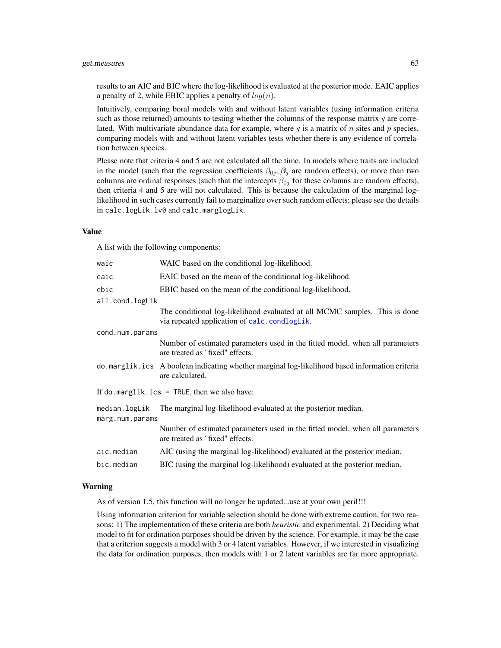## get.measures 63

results to an AIC and BIC where the log-likelihood is evaluated at the posterior mode. EAIC applies a penalty of 2, while EBIC applies a penalty of  $log(n)$ .

Intuitively, comparing boral models with and without latent variables (using information criteria such as those returned) amounts to testing whether the columns of the response matrix y are correlated. With multivariate abundance data for example, where y is a matrix of n sites and p species, comparing models with and without latent variables tests whether there is any evidence of correlation between species.

Please note that criteria 4 and 5 are not calculated all the time. In models where traits are included in the model (such that the regression coefficients  $\beta_{0j}$ ,  $\beta_j$  are random effects), or more than two columns are ordinal responses (such that the intercepts  $\beta_{0j}$  for these columns are random effects), then criteria 4 and 5 are will not calculated. This is because the calculation of the marginal loglikelihood in such cases currently fail to marginalize over such random effects; please see the details in calc.logLik.lv0 and calc.marglogLik.

## Value

A list with the following components:

| waic                             | WAIC based on the conditional log-likelihood.                                                                              |
|----------------------------------|----------------------------------------------------------------------------------------------------------------------------|
| eaic                             | EAIC based on the mean of the conditional log-likelihood.                                                                  |
| ebic                             | EBIC based on the mean of the conditional log-likelihood.                                                                  |
| all.cond.logLik                  |                                                                                                                            |
|                                  | The conditional log-likelihood evaluated at all MCMC samples. This is done<br>via repeated application of calc.condlogLik. |
| cond.num.params                  |                                                                                                                            |
|                                  | Number of estimated parameters used in the fitted model, when all parameters<br>are treated as "fixed" effects.            |
|                                  | do . marglik. ics A boolean indicating whether marginal log-likelihood based information criteria<br>are calculated.       |
|                                  | If do.marglik.ics = TRUE, then we also have:                                                                               |
| median.logLik<br>marg.num.params | The marginal log-likelihood evaluated at the posterior median.                                                             |
|                                  | Number of estimated parameters used in the fitted model, when all parameters<br>are treated as "fixed" effects.            |
| aic.median                       | AIC (using the marginal log-likelihood) evaluated at the posterior median.                                                 |
| bic.median                       | BIC (using the marginal log-likelihood) evaluated at the posterior median.                                                 |
|                                  |                                                                                                                            |

## Warning

As of version 1.5, this function will no longer be updated...use at your own peril!!!

Using information criterion for variable selection should be done with extreme caution, for two reasons: 1) The implementation of these criteria are both *heuristic* and experimental. 2) Deciding what model to fit for ordination purposes should be driven by the science. For example, it may be the case that a criterion suggests a model with 3 or 4 latent variables. However, if we interested in visualizing the data for ordination purposes, then models with 1 or 2 latent variables are far more appropriate.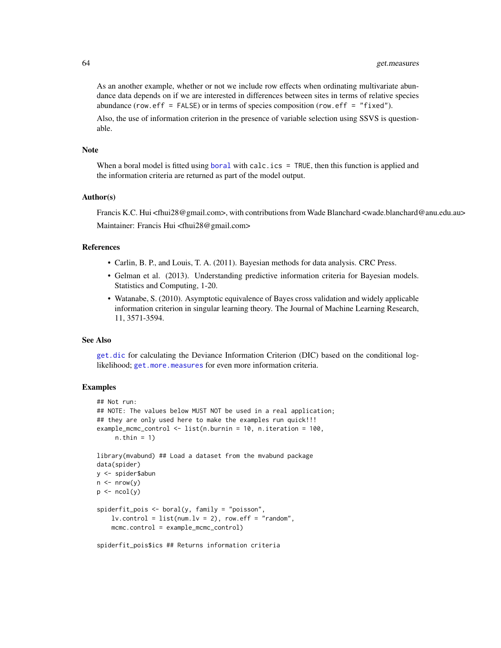As an another example, whether or not we include row effects when ordinating multivariate abundance data depends on if we are interested in differences between sites in terms of relative species abundance (row.eff = FALSE) or in terms of species composition (row.eff = "fixed").

Also, the use of information criterion in the presence of variable selection using SSVS is questionable.

#### Note

When a [boral](#page-13-0) model is fitted using boral with calc.ics = TRUE, then this function is applied and the information criteria are returned as part of the model output.

## Author(s)

Francis K.C. Hui <fhui28@gmail.com>, with contributions from Wade Blanchard <wade.blanchard@anu.edu.au> Maintainer: Francis Hui <fhui28@gmail.com>

## References

- Carlin, B. P., and Louis, T. A. (2011). Bayesian methods for data analysis. CRC Press.
- Gelman et al. (2013). Understanding predictive information criteria for Bayesian models. Statistics and Computing, 1-20.
- Watanabe, S. (2010). Asymptotic equivalence of Bayes cross validation and widely applicable information criterion in singular learning theory. The Journal of Machine Learning Research, 11, 3571-3594.

#### See Also

[get.dic](#page-53-0) for calculating the Deviance Information Criterion (DIC) based on the conditional loglikelihood; [get.more.measures](#page-64-0) for even more information criteria.

# **Examples**

```
## Not run:
## NOTE: The values below MUST NOT be used in a real application;
## they are only used here to make the examples run quick!!!
example_mcmc_control <- list(n.burnin = 10, n.iteration = 100,
     n.thin = 1)
library(mvabund) ## Load a dataset from the mvabund package
data(spider)
y <- spider$abun
n \leq -nrow(y)p \leftarrow \text{ncol}(y)spiderfit_pois <- boral(y, family = "poisson",
    lv. control = list(num.lv = 2), row.eff = "random",
    mcmc.control = example_mcmc_control)
```
spiderfit\_pois\$ics ## Returns information criteria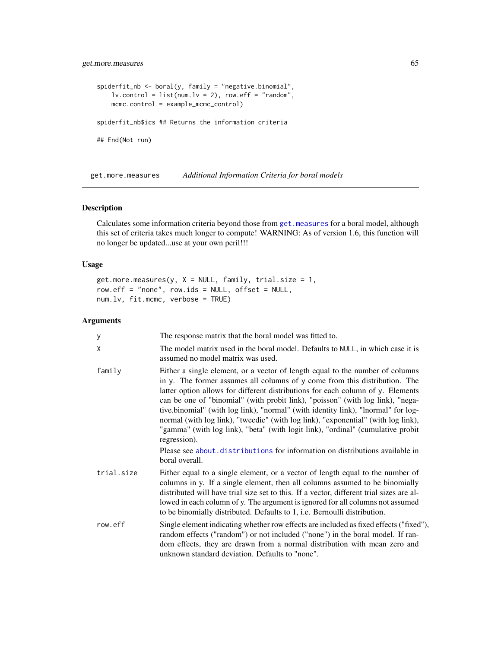# get.more.measures 65

```
spiderfit_nb <- boral(y, family = "negative.binomial",
   lv.contrib = list(num.lv = 2), row.eff = "random",
   mcmc.control = example_mcmc_control)
spiderfit_nb$ics ## Returns the information criteria
## End(Not run)
```
<span id="page-64-0"></span>get.more.measures *Additional Information Criteria for boral models*

# Description

Calculates some information criteria beyond those from [get.measures](#page-60-0) for a boral model, although this set of criteria takes much longer to compute! WARNING: As of version 1.6, this function will no longer be updated...use at your own peril!!!

### Usage

```
get.more.measures(y, X = NULL, family, trial.size = 1,
row.eff = "none", row.ids = NULL, offset = NULL,
num.lv, fit.mcmc, verbose = TRUE)
```
## Arguments

| У          | The response matrix that the boral model was fitted to.                                                                                                                                                                                                                                                                                                                                                                                                                                                                                                                                                                                                                                                         |
|------------|-----------------------------------------------------------------------------------------------------------------------------------------------------------------------------------------------------------------------------------------------------------------------------------------------------------------------------------------------------------------------------------------------------------------------------------------------------------------------------------------------------------------------------------------------------------------------------------------------------------------------------------------------------------------------------------------------------------------|
| χ          | The model matrix used in the boral model. Defaults to NULL, in which case it is<br>assumed no model matrix was used.                                                                                                                                                                                                                                                                                                                                                                                                                                                                                                                                                                                            |
| family     | Either a single element, or a vector of length equal to the number of columns<br>in y. The former assumes all columns of y come from this distribution. The<br>latter option allows for different distributions for each column of y. Elements<br>can be one of "binomial" (with probit link), "poisson" (with log link), "nega-<br>tive.binomial" (with log link), "normal" (with identity link), "lnormal" for log-<br>normal (with log link), "tweedie" (with log link), "exponential" (with log link),<br>"gamma" (with log link), "beta" (with logit link), "ordinal" (cumulative probit<br>regression).<br>Please see about distributions for information on distributions available in<br>boral overall. |
| trial.size | Either equal to a single element, or a vector of length equal to the number of<br>columns in y. If a single element, then all columns assumed to be binomially<br>distributed will have trial size set to this. If a vector, different trial sizes are al-<br>lowed in each column of y. The argument is ignored for all columns not assumed<br>to be binomially distributed. Defaults to 1, i.e. Bernoulli distribution.                                                                                                                                                                                                                                                                                       |
| row.eff    | Single element indicating whether row effects are included as fixed effects ("fixed"),<br>random effects ("random") or not included ("none") in the boral model. If ran-<br>dom effects, they are drawn from a normal distribution with mean zero and<br>unknown standard deviation. Defaults to "none".                                                                                                                                                                                                                                                                                                                                                                                                        |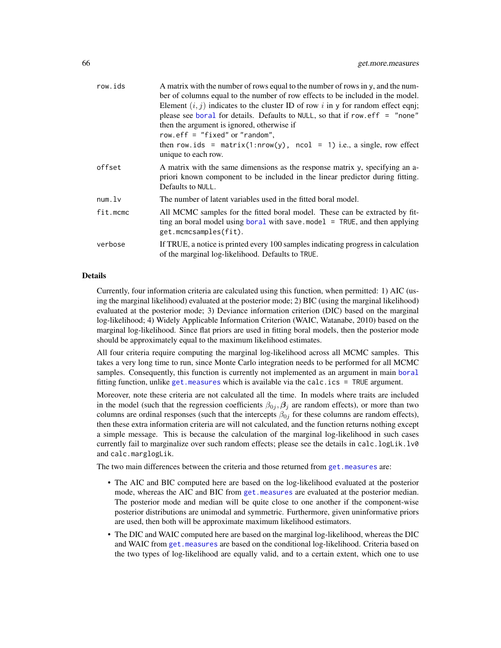| row.ids  | A matrix with the number of rows equal to the number of rows in y, and the num-                                                                                                     |
|----------|-------------------------------------------------------------------------------------------------------------------------------------------------------------------------------------|
|          | ber of columns equal to the number of row effects to be included in the model.                                                                                                      |
|          | Element $(i, j)$ indicates to the cluster ID of row i in y for random effect eqni;                                                                                                  |
|          | please see boral for details. Defaults to NULL, so that if row.eff = "none"                                                                                                         |
|          | then the argument is ignored, otherwise if                                                                                                                                          |
|          | row.eff = "fixed" or "random",                                                                                                                                                      |
|          | then row.ids = matrix(1:nrow(y), ncol = 1) i.e., a single, row effect<br>unique to each row.                                                                                        |
| offset   | A matrix with the same dimensions as the response matrix y, specifying an a-<br>priori known component to be included in the linear predictor during fitting.<br>Defaults to NULL.  |
| num.lv   | The number of latent variables used in the fitted boral model.                                                                                                                      |
| fit.mcmc | All MCMC samples for the fitted boral model. These can be extracted by fit-<br>ting an boral model using boral with save model $=$ TRUE, and then applying<br>get.mcmcsamples(fit). |
| verbose  | If TRUE, a notice is printed every 100 samples indicating progress in calculation<br>of the marginal log-likelihood. Defaults to TRUE.                                              |
|          |                                                                                                                                                                                     |

## Details

Currently, four information criteria are calculated using this function, when permitted: 1) AIC (using the marginal likelihood) evaluated at the posterior mode; 2) BIC (using the marginal likelihood) evaluated at the posterior mode; 3) Deviance information criterion (DIC) based on the marginal log-likelihood; 4) Widely Applicable Information Criterion (WAIC, Watanabe, 2010) based on the marginal log-likelihood. Since flat priors are used in fitting boral models, then the posterior mode should be approximately equal to the maximum likelihood estimates.

All four criteria require computing the marginal log-likelihood across all MCMC samples. This takes a very long time to run, since Monte Carlo integration needs to be performed for all MCMC samples. Consequently, this function is currently not implemented as an argument in main [boral](#page-13-0) fitting function, unlike [get.measures](#page-60-0) which is available via the calc.ics  $=$  TRUE argument.

Moreover, note these criteria are not calculated all the time. In models where traits are included in the model (such that the regression coefficients  $\beta_{0j}$ ,  $\beta_j$  are random effects), or more than two columns are ordinal responses (such that the intercepts  $\beta_{0j}$  for these columns are random effects), then these extra information criteria are will not calculated, and the function returns nothing except a simple message. This is because the calculation of the marginal log-likelihood in such cases currently fail to marginalize over such random effects; please see the details in calc.logLik.lv0 and calc.marglogLik.

The two main differences between the criteria and those returned from [get.measures](#page-60-0) are:

- The AIC and BIC computed here are based on the log-likelihood evaluated at the posterior mode, whereas the AIC and BIC from [get.measures](#page-60-0) are evaluated at the posterior median. The posterior mode and median will be quite close to one another if the component-wise posterior distributions are unimodal and symmetric. Furthermore, given uninformative priors are used, then both will be approximate maximum likelihood estimators.
- The DIC and WAIC computed here are based on the marginal log-likelihood, whereas the DIC and WAIC from [get.measures](#page-60-0) are based on the conditional log-likelihood. Criteria based on the two types of log-likelihood are equally valid, and to a certain extent, which one to use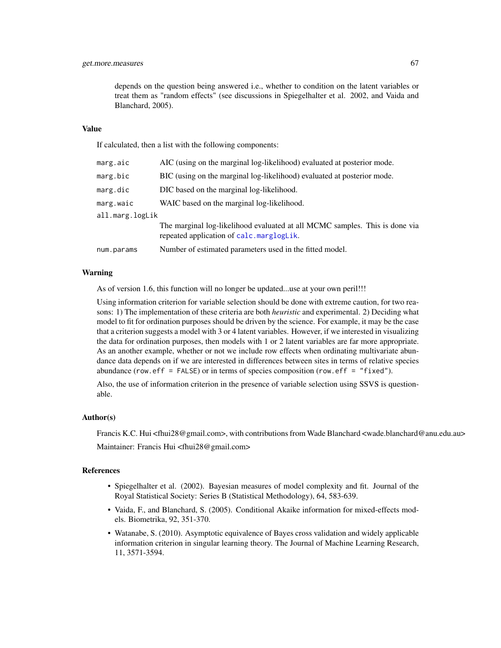depends on the question being answered i.e., whether to condition on the latent variables or treat them as "random effects" (see discussions in Spiegelhalter et al. 2002, and Vaida and Blanchard, 2005).

### Value

If calculated, then a list with the following components:

| marg.aic        | AIC (using on the marginal log-likelihood) evaluated at posterior mode.                                                 |
|-----------------|-------------------------------------------------------------------------------------------------------------------------|
| marg.bic        | BIC (using on the marginal log-likelihood) evaluated at posterior mode.                                                 |
| marg.dic        | DIC based on the marginal log-likelihood.                                                                               |
| marg.waic       | WAIC based on the marginal log-likelihood.                                                                              |
| all.marg.logLik |                                                                                                                         |
|                 | The marginal log-likelihood evaluated at all MCMC samples. This is done via<br>repeated application of calc.marglogLik. |
| num.params      | Number of estimated parameters used in the fitted model.                                                                |

## Warning

As of version 1.6, this function will no longer be updated...use at your own peril!!!

Using information criterion for variable selection should be done with extreme caution, for two reasons: 1) The implementation of these criteria are both *heuristic* and experimental. 2) Deciding what model to fit for ordination purposes should be driven by the science. For example, it may be the case that a criterion suggests a model with 3 or 4 latent variables. However, if we interested in visualizing the data for ordination purposes, then models with 1 or 2 latent variables are far more appropriate. As an another example, whether or not we include row effects when ordinating multivariate abundance data depends on if we are interested in differences between sites in terms of relative species abundance (row.eff = FALSE) or in terms of species composition (row.eff = "fixed").

Also, the use of information criterion in the presence of variable selection using SSVS is questionable.

## Author(s)

Francis K.C. Hui <fhui28@gmail.com>, with contributions from Wade Blanchard <wade.blanchard@anu.edu.au> Maintainer: Francis Hui <fhui28@gmail.com>

#### References

- Spiegelhalter et al. (2002). Bayesian measures of model complexity and fit. Journal of the Royal Statistical Society: Series B (Statistical Methodology), 64, 583-639.
- Vaida, F., and Blanchard, S. (2005). Conditional Akaike information for mixed-effects models. Biometrika, 92, 351-370.
- Watanabe, S. (2010). Asymptotic equivalence of Bayes cross validation and widely applicable information criterion in singular learning theory. The Journal of Machine Learning Research, 11, 3571-3594.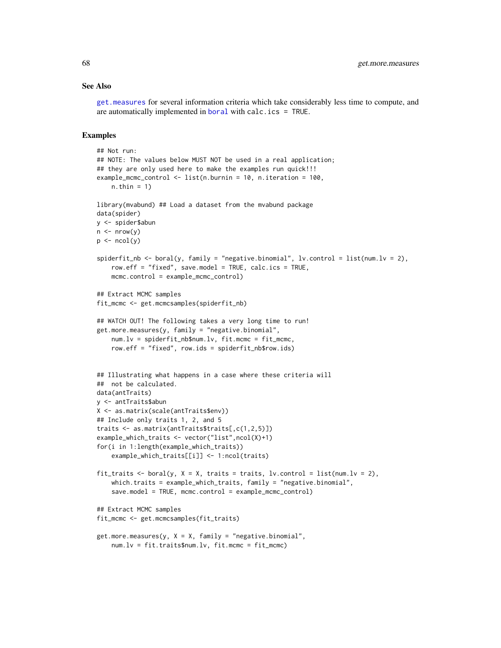## See Also

[get.measures](#page-60-0) for several information criteria which take considerably less time to compute, and are automatically implemented in [boral](#page-13-0) with calc.ics = TRUE.

## Examples

```
## Not run:
## NOTE: The values below MUST NOT be used in a real application;
## they are only used here to make the examples run quick!!!
example_mcmc_control <- list(n.burnin = 10, n.iteration = 100,
    n.thin = 1)
library(mvabund) ## Load a dataset from the mvabund package
data(spider)
y <- spider$abun
n \leq -nrow(y)p \leftarrow \text{ncol}(y)spiderfit_nb <- boral(y, family = "negative.binomial", lv.control = list(num.lv = 2),
    row.eff = "fixed", save.model = TRUE, calc.ics = TRUE,
    mcmc.control = example_mcmc_control)
## Extract MCMC samples
fit_mcmc <- get.mcmcsamples(spiderfit_nb)
## WATCH OUT! The following takes a very long time to run!
get.more.measures(y, family = "negative.binomial",num.lv = spiderfit_nb$num.lv, fit.mcmc = fit_mcmc,
    row.eff = "fixed", row.ids = spiderfit_nb$row.ids)
## Illustrating what happens in a case where these criteria will
## not be calculated.
data(antTraits)
y <- antTraits$abun
X <- as.matrix(scale(antTraits$env))
## Include only traits 1, 2, and 5
traits <- as.matrix(antTraits$traits[,c(1,2,5)])
example_which_traits <- vector("list",ncol(X)+1)
for(i in 1:length(example_which_traits))
    example_which_traits[[i]] <- 1:ncol(traits)
fit_traits <- boral(y, X = X, traits = traits, lv.control = list(num.lv = 2),
    which.traits = example_which_traits, family = "negative.binomial",
    save.model = TRUE, mcmc.control = example_mcmc_control)
## Extract MCMC samples
fit_mcmc <- get.mcmcsamples(fit_traits)
get.more.measures(y, X = X, family = "negative.binomial",num.lv = fit.traits$num.lv, fit.mcmc = fit_mcmc)
```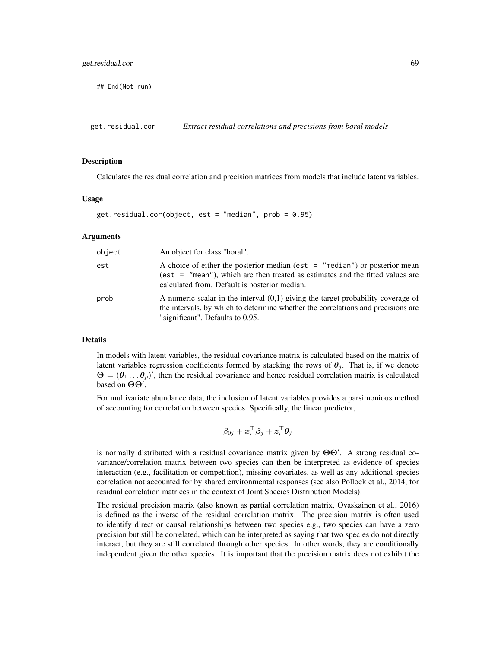## End(Not run)

<span id="page-68-0"></span>get.residual.cor *Extract residual correlations and precisions from boral models*

## **Description**

Calculates the residual correlation and precision matrices from models that include latent variables.

## Usage

```
get.residual.cor(object, est = "median", prob = 0.95)
```
### Arguments

| object | An object for class "boral".                                                                                                                                                                                      |
|--------|-------------------------------------------------------------------------------------------------------------------------------------------------------------------------------------------------------------------|
| est    | A choice of either the posterior median (est $=$ "median") or posterior mean<br>(est = $"$ mean"), which are then treated as estimates and the fitted values are<br>calculated from. Default is posterior median. |
| prob   | A numeric scalar in the interval $(0,1)$ giving the target probability coverage of<br>the intervals, by which to determine whether the correlations and precisions are<br>"significant". Defaults to 0.95.        |

## **Details**

In models with latent variables, the residual covariance matrix is calculated based on the matrix of latent variables regression coefficients formed by stacking the rows of  $\theta_i$ . That is, if we denote  $\Theta = (\theta_1 \dots \theta_p)'$ , then the residual covariance and hence residual correlation matrix is calculated based on  $\Theta$ .

For multivariate abundance data, the inclusion of latent variables provides a parsimonious method of accounting for correlation between species. Specifically, the linear predictor,

$$
\beta_{0j} + \boldsymbol{x}_i^\top \boldsymbol{\beta}_j + \boldsymbol{z}_i^\top \boldsymbol{\theta}_j
$$

is normally distributed with a residual covariance matrix given by  $\Theta\Theta'$ . A strong residual covariance/correlation matrix between two species can then be interpreted as evidence of species interaction (e.g., facilitation or competition), missing covariates, as well as any additional species correlation not accounted for by shared environmental responses (see also Pollock et al., 2014, for residual correlation matrices in the context of Joint Species Distribution Models).

The residual precision matrix (also known as partial correlation matrix, Ovaskainen et al., 2016) is defined as the inverse of the residual correlation matrix. The precision matrix is often used to identify direct or causal relationships between two species e.g., two species can have a zero precision but still be correlated, which can be interpreted as saying that two species do not directly interact, but they are still correlated through other species. In other words, they are conditionally independent given the other species. It is important that the precision matrix does not exhibit the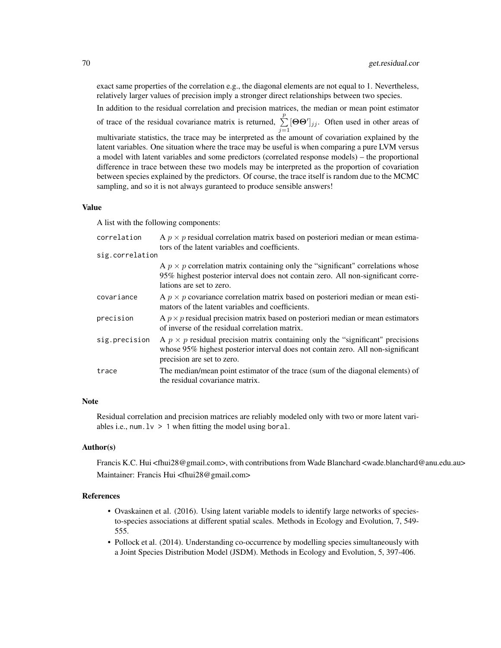exact same properties of the correlation e.g., the diagonal elements are not equal to 1. Nevertheless, relatively larger values of precision imply a stronger direct relationships between two species.

In addition to the residual correlation and precision matrices, the median or mean point estimator of trace of the residual covariance matrix is returned,  $\sum_{j=1}^{p}$  $[\Theta \Theta']_{jj}$ . Often used in other areas of multivariate statistics, the trace may be interpreted as the amount of covariation explained by the latent variables. One situation where the trace may be useful is when comparing a pure LVM versus a model with latent variables and some predictors (correlated response models) – the proportional difference in trace between these two models may be interpreted as the proportion of covariation between species explained by the predictors. Of course, the trace itself is random due to the MCMC sampling, and so it is not always guranteed to produce sensible answers!

### Value

A list with the following components:

| correlation     | A $p \times p$ residual correlation matrix based on posteriori median or mean estima-<br>tors of the latent variables and coefficients.                                                                |
|-----------------|--------------------------------------------------------------------------------------------------------------------------------------------------------------------------------------------------------|
| sig.correlation |                                                                                                                                                                                                        |
|                 | A $p \times p$ correlation matrix containing only the "significant" correlations whose<br>95% highest posterior interval does not contain zero. All non-significant corre-<br>lations are set to zero. |
| covariance      | A $p \times p$ covariance correlation matrix based on posteriori median or mean esti-<br>mators of the latent variables and coefficients.                                                              |
| precision       | A $p \times p$ residual precision matrix based on posteriori median or mean estimators<br>of inverse of the residual correlation matrix.                                                               |
| sig.precision   | A $p \times p$ residual precision matrix containing only the "significant" precisions<br>whose 95% highest posterior interval does not contain zero. All non-significant<br>precision are set to zero. |
| trace           | The median/mean point estimator of the trace (sum of the diagonal elements) of<br>the residual covariance matrix.                                                                                      |

### **Note**

Residual correlation and precision matrices are reliably modeled only with two or more latent variables i.e., num.  $1v > 1$  when fitting the model using boral.

## Author(s)

Francis K.C. Hui <fhui28@gmail.com>, with contributions from Wade Blanchard <wade.blanchard@anu.edu.au> Maintainer: Francis Hui <fhui28@gmail.com>

#### References

- Ovaskainen et al. (2016). Using latent variable models to identify large networks of speciesto-species associations at different spatial scales. Methods in Ecology and Evolution, 7, 549- 555.
- Pollock et al. (2014). Understanding co-occurrence by modelling species simultaneously with a Joint Species Distribution Model (JSDM). Methods in Ecology and Evolution, 5, 397-406.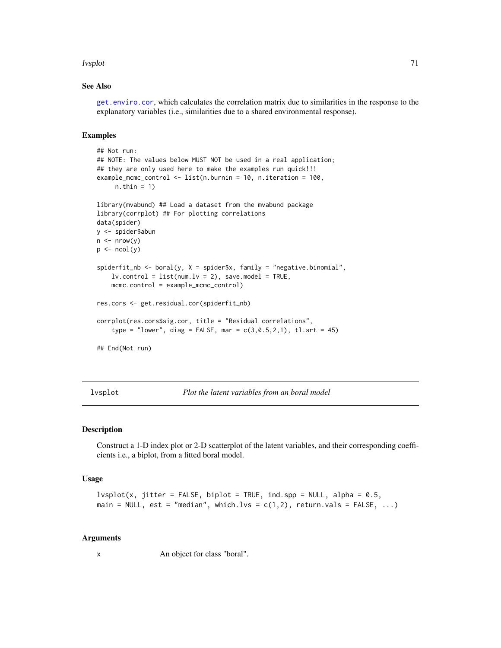### lvsplot that the contract of the contract of the contract of the contract of the contract of the contract of the contract of the contract of the contract of the contract of the contract of the contract of the contract of t

## See Also

[get.enviro.cor](#page-54-0), which calculates the correlation matrix due to similarities in the response to the explanatory variables (i.e., similarities due to a shared environmental response).

### Examples

```
## Not run:
## NOTE: The values below MUST NOT be used in a real application;
## they are only used here to make the examples run quick!!!
example_mcmc_control <- list(n.burnin = 10, n.iteration = 100,
     n.thin = 1)
library(mvabund) ## Load a dataset from the mvabund package
library(corrplot) ## For plotting correlations
data(spider)
y <- spider$abun
n \leftarrow \text{nrow}(y)p \leftarrow \text{ncol}(y)spiderfit_nb <- boral(y, X = spider$x, family = "negative.binomial",
    lv. control = list(num.lv = 2), save.model = TRUE,
    mcmc.control = example_mcmc_control)
res.cors <- get.residual.cor(spiderfit_nb)
corrplot(res.cors$sig.cor, title = "Residual correlations",
    type = "lower", diag = FALSE, mar = c(3, 0.5, 2, 1), tl.srt = 45)
## End(Not run)
```
lvsplot *Plot the latent variables from an boral model*

#### Description

Construct a 1-D index plot or 2-D scatterplot of the latent variables, and their corresponding coefficients i.e., a biplot, from a fitted boral model.

#### Usage

```
lvsplot(x, jitter = FALSE, biplot = TRUE, ind.spp = NULL, alpha = 0.5,main = NULL, est = "median", which.lvs = c(1,2), return.vals = FALSE, ...)
```
#### Arguments

x An object for class "boral".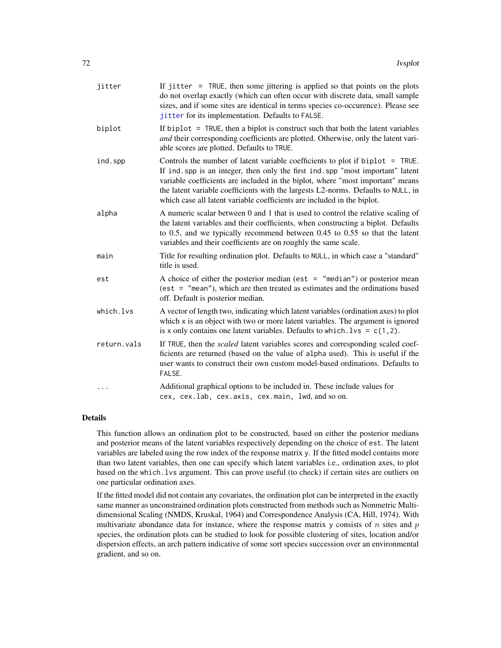| jitter      | If jitter = $TRUE$ , then some jittering is applied so that points on the plots<br>do not overlap exactly (which can often occur with discrete data, small sample<br>sizes, and if some sites are identical in terms species co-occurence). Please see<br>jitter for its implementation. Defaults to FALSE.                                                                                                        |
|-------------|--------------------------------------------------------------------------------------------------------------------------------------------------------------------------------------------------------------------------------------------------------------------------------------------------------------------------------------------------------------------------------------------------------------------|
| biplot      | If biplot = TRUE, then a biplot is construct such that both the latent variables<br>and their corresponding coefficients are plotted. Otherwise, only the latent vari-<br>able scores are plotted. Defaults to TRUE.                                                                                                                                                                                               |
| ind.spp     | Controls the number of latent variable coefficients to plot if biplot $=$ TRUE.<br>If ind spp is an integer, then only the first ind spp "most important" latent<br>variable coefficients are included in the biplot, where "most important" means<br>the latent variable coefficients with the largests L2-norms. Defaults to NULL, in<br>which case all latent variable coefficients are included in the biplot. |
| alpha       | A numeric scalar between 0 and 1 that is used to control the relative scaling of<br>the latent variables and their coefficients, when constructing a biplot. Defaults<br>to 0.5, and we typically recommend between 0.45 to 0.55 so that the latent<br>variables and their coefficients are on roughly the same scale.                                                                                             |
| main        | Title for resulting ordination plot. Defaults to NULL, in which case a "standard"<br>title is used.                                                                                                                                                                                                                                                                                                                |
| est         | A choice of either the posterior median (est $=$ "median") or posterior mean<br>(est = $"mean"$ ), which are then treated as estimates and the ordinations based<br>off. Default is posterior median.                                                                                                                                                                                                              |
| which.lvs   | A vector of length two, indicating which latent variables (ordination axes) to plot<br>which x is an object with two or more latent variables. The argument is ignored<br>is x only contains one latent variables. Defaults to which. $lvs = c(1, 2)$ .                                                                                                                                                            |
| return.vals | If TRUE, then the <i>scaled</i> latent variables scores and corresponding scaled coef-<br>ficients are returned (based on the value of alpha used). This is useful if the<br>user wants to construct their own custom model-based ordinations. Defaults to<br>FALSE.                                                                                                                                               |
|             | Additional graphical options to be included in. These include values for<br>cex, cex.lab, cex.axis, cex.main, lwd, and so on.                                                                                                                                                                                                                                                                                      |

# Details

This function allows an ordination plot to be constructed, based on either the posterior medians and posterior means of the latent variables respectively depending on the choice of est. The latent variables are labeled using the row index of the response matrix y. If the fitted model contains more than two latent variables, then one can specify which latent variables i.e., ordination axes, to plot based on the which.lvs argument. This can prove useful (to check) if certain sites are outliers on one particular ordination axes.

If the fitted model did not contain any covariates, the ordination plot can be interpreted in the exactly same manner as unconstrained ordination plots constructed from methods such as Nonmetric Multidimensional Scaling (NMDS, Kruskal, 1964) and Correspondence Analysis (CA, Hill, 1974). With multivariate abundance data for instance, where the response matrix y consists of n sites and p species, the ordination plots can be studied to look for possible clustering of sites, location and/or dispersion effects, an arch pattern indicative of some sort species succession over an environmental gradient, and so on.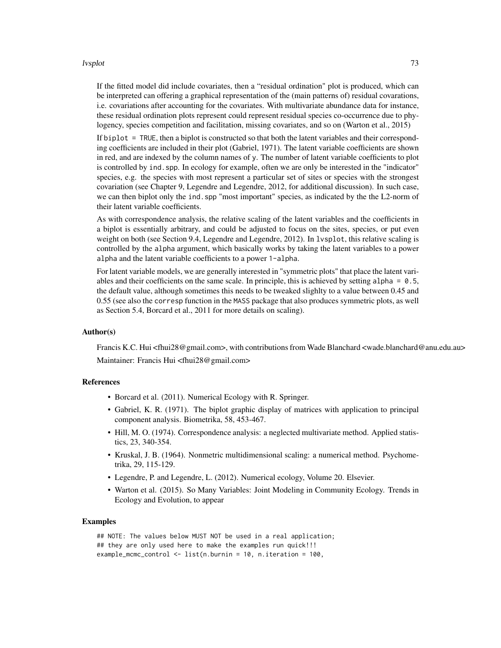#### lvsplot that the contract of the contract of the contract of the contract of the contract of the contract of the contract of the contract of the contract of the contract of the contract of the contract of the contract of t

If the fitted model did include covariates, then a "residual ordination" plot is produced, which can be interpreted can offering a graphical representation of the (main patterns of) residual covarations, i.e. covariations after accounting for the covariates. With multivariate abundance data for instance, these residual ordination plots represent could represent residual species co-occurrence due to phylogency, species competition and facilitation, missing covariates, and so on (Warton et al., 2015)

If biplot = TRUE, then a biplot is constructed so that both the latent variables and their corresponding coefficients are included in their plot (Gabriel, 1971). The latent variable coefficients are shown in red, and are indexed by the column names of y. The number of latent variable coefficients to plot is controlled by ind.spp. In ecology for example, often we are only be interested in the "indicator" species, e.g. the species with most represent a particular set of sites or species with the strongest covariation (see Chapter 9, Legendre and Legendre, 2012, for additional discussion). In such case, we can then biplot only the ind.spp "most important" species, as indicated by the the L2-norm of their latent variable coefficients.

As with correspondence analysis, the relative scaling of the latent variables and the coefficients in a biplot is essentially arbitrary, and could be adjusted to focus on the sites, species, or put even weight on both (see Section 9.4, Legendre and Legendre, 2012). In lvsplot, this relative scaling is controlled by the alpha argument, which basically works by taking the latent variables to a power alpha and the latent variable coefficients to a power 1-alpha.

For latent variable models, we are generally interested in "symmetric plots" that place the latent variables and their coefficients on the same scale. In principle, this is achieved by setting alpha =  $0.5$ , the default value, although sometimes this needs to be tweaked slighlty to a value between 0.45 and 0.55 (see also the corresp function in the MASS package that also produces symmetric plots, as well as Section 5.4, Borcard et al., 2011 for more details on scaling).

# Author(s)

Francis K.C. Hui <fhui28@gmail.com>, with contributions from Wade Blanchard <wade.blanchard@anu.edu.au> Maintainer: Francis Hui <fhui28@gmail.com>

#### References

- Borcard et al. (2011). Numerical Ecology with R. Springer.
- Gabriel, K. R. (1971). The biplot graphic display of matrices with application to principal component analysis. Biometrika, 58, 453-467.
- Hill, M. O. (1974). Correspondence analysis: a neglected multivariate method. Applied statistics, 23, 340-354.
- Kruskal, J. B. (1964). Nonmetric multidimensional scaling: a numerical method. Psychometrika, 29, 115-129.
- Legendre, P. and Legendre, L. (2012). Numerical ecology, Volume 20. Elsevier.
- Warton et al. (2015). So Many Variables: Joint Modeling in Community Ecology. Trends in Ecology and Evolution, to appear

```
## NOTE: The values below MUST NOT be used in a real application;
## they are only used here to make the examples run quick!!!
example_mcmc_control <- list(n.burnin = 10, n.iteration = 100,
```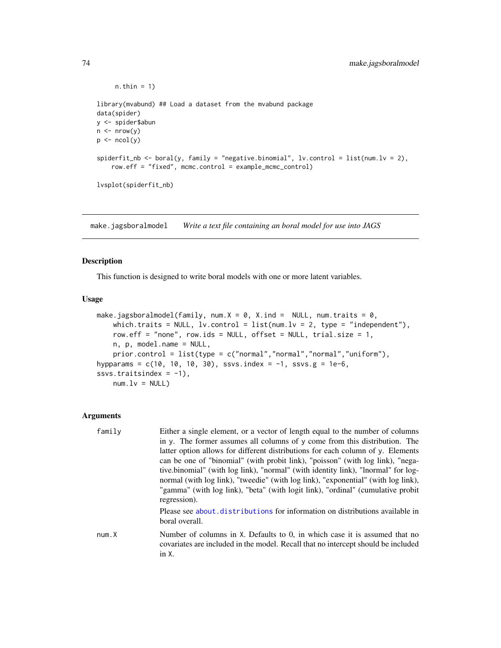```
n.thin = 1)
library(mvabund) ## Load a dataset from the mvabund package
data(spider)
y <- spider$abun
n \leq -nrow(y)p \leftarrow \text{ncol}(y)spiderfit_nb <- boral(y, family = "negative.binomial", lv.control = list(num.lv = 2),
    row.eff = "fixed", mcmc.control = example_mcmc_control)
lvsplot(spiderfit_nb)
```
<span id="page-73-0"></span>make.jagsboralmodel *Write a text file containing an boral model for use into JAGS*

# Description

This function is designed to write boral models with one or more latent variables.

#### Usage

```
make.jagsboralmodel(family, num.X = 0, X.ind = NULL, num.traits = 0,
    which.traits = NULL, lv.control = list(num.lv = 2, type = "independent"),
    row.eff = "none", row.ids = NULL, offset = NULL, trial.size = 1,
    n, p, model.name = NULL,
    prior.control = list(type = c("normal","normal","normal","uniform"),
hypparams = c(10, 10, 10, 30), ssvs.index = -1, ssvs.g = 1e-6,
ssvs.traitsindex = -1),
   num.lv = NULL)
```
#### Arguments

| family | Either a single element, or a vector of length equal to the number of columns<br>in y. The former assumes all columns of y come from this distribution. The<br>latter option allows for different distributions for each column of y. Elements<br>can be one of "binomial" (with probit link), "poisson" (with log link), "nega-<br>tive.binomial" (with log link), "normal" (with identity link), "lnormal" for log-<br>normal (with log link), "tweedie" (with log link), "exponential" (with log link),<br>"gamma" (with log link), "beta" (with logit link), "ordinal" (cumulative probit<br>regression). |
|--------|---------------------------------------------------------------------------------------------------------------------------------------------------------------------------------------------------------------------------------------------------------------------------------------------------------------------------------------------------------------------------------------------------------------------------------------------------------------------------------------------------------------------------------------------------------------------------------------------------------------|
|        | Please see about distributions for information on distributions available in<br>boral overall.                                                                                                                                                                                                                                                                                                                                                                                                                                                                                                                |
| num.X  | Number of columns in X. Defaults to 0, in which case it is assumed that no<br>covariates are included in the model. Recall that no intercept should be included<br>in X.                                                                                                                                                                                                                                                                                                                                                                                                                                      |

<span id="page-73-1"></span>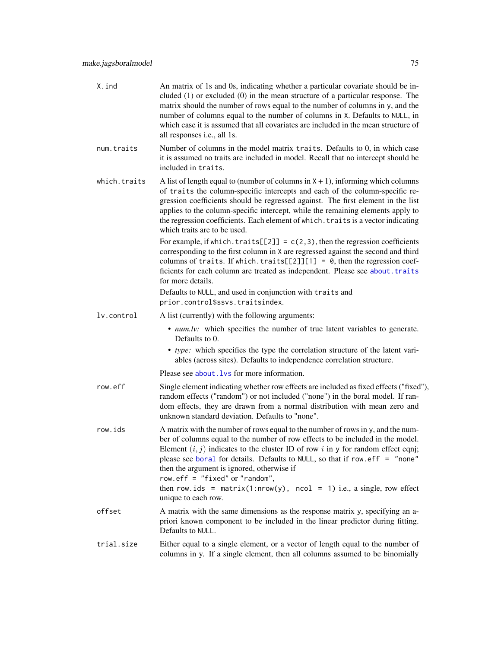<span id="page-74-0"></span>

| X.ind        | An matrix of 1s and 0s, indicating whether a particular covariate should be in-<br>cluded $(1)$ or excluded $(0)$ in the mean structure of a particular response. The<br>matrix should the number of rows equal to the number of columns in y, and the<br>number of columns equal to the number of columns in X. Defaults to NULL, in<br>which case it is assumed that all covariates are included in the mean structure of<br>all responses i.e., all 1s.     |
|--------------|----------------------------------------------------------------------------------------------------------------------------------------------------------------------------------------------------------------------------------------------------------------------------------------------------------------------------------------------------------------------------------------------------------------------------------------------------------------|
| num.traits   | Number of columns in the model matrix traits. Defaults to 0, in which case<br>it is assumed no traits are included in model. Recall that no intercept should be<br>included in traits.                                                                                                                                                                                                                                                                         |
| which.traits | A list of length equal to (number of columns in $X + 1$ ), informing which columns<br>of traits the column-specific intercepts and each of the column-specific re-<br>gression coefficients should be regressed against. The first element in the list<br>applies to the column-specific intercept, while the remaining elements apply to<br>the regression coefficients. Each element of which. traits is a vector indicating<br>which traits are to be used. |
|              | For example, if which. traits $[2]$ = $c(2,3)$ , then the regression coefficients<br>corresponding to the first column in X are regressed against the second and third<br>columns of traits. If which. traits $[2]$ ][1] = 0, then the regression coef-<br>ficients for each column are treated as independent. Please see about. traits<br>for more details.                                                                                                  |
|              | Defaults to NULL, and used in conjunction with traits and<br>prior.control\$ssvs.traitsindex.                                                                                                                                                                                                                                                                                                                                                                  |
| lv.control   | A list (currently) with the following arguments:                                                                                                                                                                                                                                                                                                                                                                                                               |
|              | • num.lv: which specifies the number of true latent variables to generate.<br>Defaults to 0.                                                                                                                                                                                                                                                                                                                                                                   |
|              | • type: which specifies the type the correlation structure of the latent vari-<br>ables (across sites). Defaults to independence correlation structure.                                                                                                                                                                                                                                                                                                        |
|              | Please see about . Lys for more information.                                                                                                                                                                                                                                                                                                                                                                                                                   |
| row.eff      | Single element indicating whether row effects are included as fixed effects ("fixed"),<br>random effects ("random") or not included ("none") in the boral model. If ran-<br>dom effects, they are drawn from a normal distribution with mean zero and<br>unknown standard deviation. Defaults to "none".                                                                                                                                                       |
| row.ids      | A matrix with the number of rows equal to the number of rows in y, and the num-<br>ber of columns equal to the number of row effects to be included in the model.<br>Element $(i, j)$ indicates to the cluster ID of row i in y for random effect eqnj;<br>please see boral for details. Defaults to NULL, so that if row. eff = "none"<br>then the argument is ignored, otherwise if<br>row.eff = $"fixed"$ or $"random",$                                    |
|              | then row.ids = matrix(1:nrow(y), ncol = 1) i.e., a single, row effect<br>unique to each row.                                                                                                                                                                                                                                                                                                                                                                   |
| offset       | A matrix with the same dimensions as the response matrix y, specifying an a-<br>priori known component to be included in the linear predictor during fitting.<br>Defaults to NULL.                                                                                                                                                                                                                                                                             |
| trial.size   | Either equal to a single element, or a vector of length equal to the number of<br>columns in y. If a single element, then all columns assumed to be binomially                                                                                                                                                                                                                                                                                                 |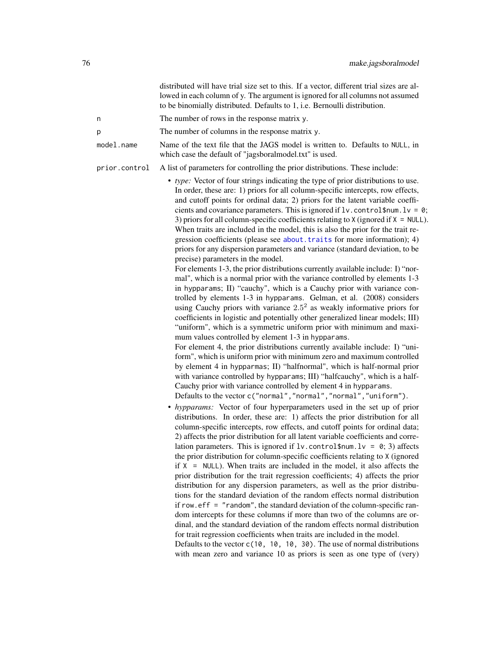<span id="page-75-0"></span>

|               | distributed will have trial size set to this. If a vector, different trial sizes are al-<br>lowed in each column of y. The argument is ignored for all columns not assumed<br>to be binomially distributed. Defaults to 1, i.e. Bernoulli distribution.                                                                                                                                                                                                                                                                                                                                                                                                                                                                                                                                                                                                                                                                                                                                                                                                                                                                                                                                                                                                                                                                                                                                                                                                                                                                                                                                                                                                                                                                                                                                                                                                                                                                                                                                                                                                                                                                                                                                                                                                                                                                                                                                                                                                                                                                                                                                                                                                                                                                                                                                                                                                                                                                                                                     |
|---------------|-----------------------------------------------------------------------------------------------------------------------------------------------------------------------------------------------------------------------------------------------------------------------------------------------------------------------------------------------------------------------------------------------------------------------------------------------------------------------------------------------------------------------------------------------------------------------------------------------------------------------------------------------------------------------------------------------------------------------------------------------------------------------------------------------------------------------------------------------------------------------------------------------------------------------------------------------------------------------------------------------------------------------------------------------------------------------------------------------------------------------------------------------------------------------------------------------------------------------------------------------------------------------------------------------------------------------------------------------------------------------------------------------------------------------------------------------------------------------------------------------------------------------------------------------------------------------------------------------------------------------------------------------------------------------------------------------------------------------------------------------------------------------------------------------------------------------------------------------------------------------------------------------------------------------------------------------------------------------------------------------------------------------------------------------------------------------------------------------------------------------------------------------------------------------------------------------------------------------------------------------------------------------------------------------------------------------------------------------------------------------------------------------------------------------------------------------------------------------------------------------------------------------------------------------------------------------------------------------------------------------------------------------------------------------------------------------------------------------------------------------------------------------------------------------------------------------------------------------------------------------------------------------------------------------------------------------------------------------------|
| n             | The number of rows in the response matrix y.                                                                                                                                                                                                                                                                                                                                                                                                                                                                                                                                                                                                                                                                                                                                                                                                                                                                                                                                                                                                                                                                                                                                                                                                                                                                                                                                                                                                                                                                                                                                                                                                                                                                                                                                                                                                                                                                                                                                                                                                                                                                                                                                                                                                                                                                                                                                                                                                                                                                                                                                                                                                                                                                                                                                                                                                                                                                                                                                |
| р             | The number of columns in the response matrix y.                                                                                                                                                                                                                                                                                                                                                                                                                                                                                                                                                                                                                                                                                                                                                                                                                                                                                                                                                                                                                                                                                                                                                                                                                                                                                                                                                                                                                                                                                                                                                                                                                                                                                                                                                                                                                                                                                                                                                                                                                                                                                                                                                                                                                                                                                                                                                                                                                                                                                                                                                                                                                                                                                                                                                                                                                                                                                                                             |
| model.name    | Name of the text file that the JAGS model is written to. Defaults to NULL, in<br>which case the default of "jagsboralmodel.txt" is used.                                                                                                                                                                                                                                                                                                                                                                                                                                                                                                                                                                                                                                                                                                                                                                                                                                                                                                                                                                                                                                                                                                                                                                                                                                                                                                                                                                                                                                                                                                                                                                                                                                                                                                                                                                                                                                                                                                                                                                                                                                                                                                                                                                                                                                                                                                                                                                                                                                                                                                                                                                                                                                                                                                                                                                                                                                    |
| prior.control | A list of parameters for controlling the prior distributions. These include:                                                                                                                                                                                                                                                                                                                                                                                                                                                                                                                                                                                                                                                                                                                                                                                                                                                                                                                                                                                                                                                                                                                                                                                                                                                                                                                                                                                                                                                                                                                                                                                                                                                                                                                                                                                                                                                                                                                                                                                                                                                                                                                                                                                                                                                                                                                                                                                                                                                                                                                                                                                                                                                                                                                                                                                                                                                                                                |
|               | • type: Vector of four strings indicating the type of prior distributions to use.<br>In order, these are: 1) priors for all column-specific intercepts, row effects,<br>and cutoff points for ordinal data; 2) priors for the latent variable coeffi-<br>cients and covariance parameters. This is ignored if $1v$ . control\$num. $1v = 0$ ;<br>3) priors for all column-specific coefficients relating to $X$ (ignored if $X = NULL$ ).<br>When traits are included in the model, this is also the prior for the trait re-<br>gression coefficients (please see about traits for more information); 4)<br>priors for any dispersion parameters and variance (standard deviation, to be<br>precise) parameters in the model.<br>For elements 1-3, the prior distributions currently available include: I) "nor-<br>mal", which is a normal prior with the variance controlled by elements 1-3<br>in hypparams; II) "cauchy", which is a Cauchy prior with variance con-<br>trolled by elements 1-3 in hypparams. Gelman, et al. (2008) considers<br>using Cauchy priors with variance $2.5^2$ as weakly informative priors for<br>coefficients in logistic and potentially other generalized linear models; III)<br>"uniform", which is a symmetric uniform prior with minimum and maxi-<br>mum values controlled by element 1-3 in hypparams.<br>For element 4, the prior distributions currently available include: I) "uni-<br>form", which is uniform prior with minimum zero and maximum controlled<br>by element 4 in hypparmas; II) "halfnormal", which is half-normal prior<br>with variance controlled by hypparams; III) "halfcauchy", which is a half-<br>Cauchy prior with variance controlled by element 4 in hypparams.<br>Defaults to the vector c("normal","normal","normal","uniform").<br>• hypparams: Vector of four hyperparameters used in the set up of prior<br>distributions. In order, these are: 1) affects the prior distribution for all<br>column-specific intercepts, row effects, and cutoff points for ordinal data;<br>2) affects the prior distribution for all latent variable coefficients and corre-<br>lation parameters. This is ignored if $1v$ . control \$num. $1v = 0$ ; 3) affects<br>the prior distribution for column-specific coefficients relating to X (ignored<br>if $X = NULL$ . When traits are included in the model, it also affects the<br>prior distribution for the trait regression coefficients; 4) affects the prior<br>distribution for any dispersion parameters, as well as the prior distribu-<br>tions for the standard deviation of the random effects normal distribution<br>if row. $\text{eff} =$ "random", the standard deviation of the column-specific ran-<br>dom intercepts for these columns if more than two of the columns are or-<br>dinal, and the standard deviation of the random effects normal distribution<br>for trait regression coefficients when traits are included in the model. |

Defaults to the vector c(10, 10, 10, 30). The use of normal distributions with mean zero and variance 10 as priors is seen as one type of (very)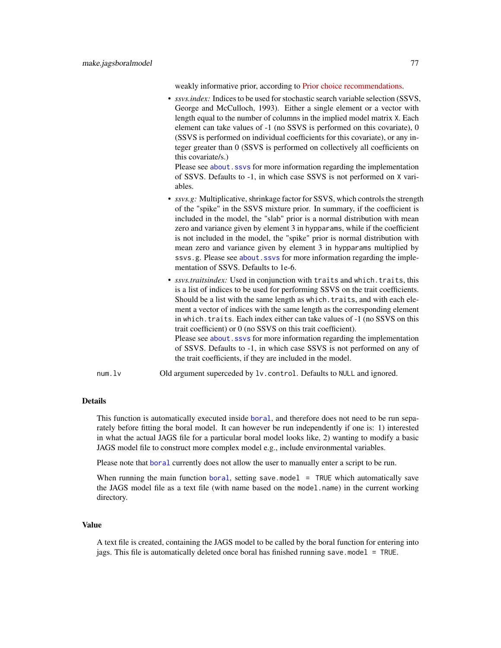weakly informative prior, according to [Prior choice recommendations.](https://github.com/stan-dev/stan/wiki/Prior-Choice-Recommendations)

<span id="page-76-0"></span>• *ssvs.index:* Indices to be used for stochastic search variable selection (SSVS, George and McCulloch, 1993). Either a single element or a vector with length equal to the number of columns in the implied model matrix X. Each element can take values of -1 (no SSVS is performed on this covariate), 0 (SSVS is performed on individual coefficients for this covariate), or any integer greater than 0 (SSVS is performed on collectively all coefficients on this covariate/s.)

Please see about. ssvs for more information regarding the implementation of SSVS. Defaults to -1, in which case SSVS is not performed on X variables.

- *ssvs.g:* Multiplicative, shrinkage factor for SSVS, which controls the strength of the "spike" in the SSVS mixture prior. In summary, if the coefficient is included in the model, the "slab" prior is a normal distribution with mean zero and variance given by element 3 in hypparams, while if the coefficient is not included in the model, the "spike" prior is normal distribution with mean zero and variance given by element 3 in hypparams multiplied by ssvs.g. Please see about. ssvs for more information regarding the implementation of SSVS. Defaults to 1e-6.
- *ssvs.traitsindex:* Used in conjunction with traits and which.traits, this is a list of indices to be used for performing SSVS on the trait coefficients. Should be a list with the same length as which.traits, and with each element a vector of indices with the same length as the corresponding element in which.traits. Each index either can take values of -1 (no SSVS on this trait coefficient) or 0 (no SSVS on this trait coefficient). Please see about. ssvs for more information regarding the implementation of SSVS. Defaults to -1, in which case SSVS is not performed on any of the trait coefficients, if they are included in the model.
- num.lv Old argument superceded by lv.control. Defaults to NULL and ignored.

# Details

This function is automatically executed inside [boral](#page-13-0), and therefore does not need to be run separately before fitting the boral model. It can however be run independently if one is: 1) interested in what the actual JAGS file for a particular boral model looks like, 2) wanting to modify a basic JAGS model file to construct more complex model e.g., include environmental variables.

Please note that [boral](#page-13-0) currently does not allow the user to manually enter a script to be run.

When running the main function [boral](#page-13-0), setting save.model  $=$  TRUE which automatically save the JAGS model file as a text file (with name based on the model.name) in the current working directory.

#### Value

A text file is created, containing the JAGS model to be called by the boral function for entering into jags. This file is automatically deleted once boral has finished running save.model = TRUE.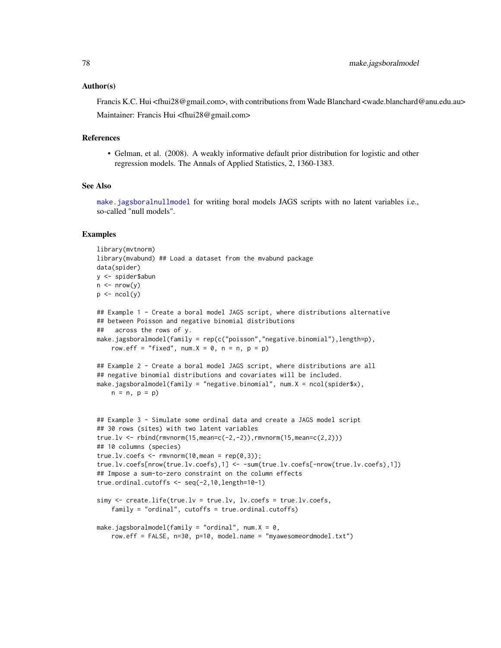## <span id="page-77-0"></span>Author(s)

Francis K.C. Hui <fhui28@gmail.com>, with contributions from Wade Blanchard <wade.blanchard@anu.edu.au> Maintainer: Francis Hui <fhui28@gmail.com>

#### References

• Gelman, et al. (2008). A weakly informative default prior distribution for logistic and other regression models. The Annals of Applied Statistics, 2, 1360-1383.

# See Also

[make.jagsboralnullmodel](#page-78-0) for writing boral models JAGS scripts with no latent variables i.e., so-called "null models".

```
library(mvtnorm)
library(mvabund) ## Load a dataset from the mvabund package
data(spider)
y <- spider$abun
n \leq -nrow(y)p \leftarrow \text{ncol}(y)## Example 1 - Create a boral model JAGS script, where distributions alternative
## between Poisson and negative binomial distributions
## across the rows of y.
make.jagsboralmodel(family = rep(c("poisson","negative.binomial"),length=p),
    row.eff = "fixed", num.X = 0, n = n, p = p)
## Example 2 - Create a boral model JAGS script, where distributions are all
## negative binomial distributions and covariates will be included.
make.jagsboralmodel(family = "negative.binomial", num.X = ncol(spider$x),
    n = n, p = p)
## Example 3 - Simulate some ordinal data and create a JAGS model script
## 30 rows (sites) with two latent variables
true.lv <- rbind(rmvnorm(15, mean=c(-2, -2)), rmvnorm(15, mean=c(2,2)))
## 10 columns (species)
true.lv.coefs \leq rmvnorm(10, mean = rep(0,3));
true.lv.coefs[nrow(true.lv.coefs),1] <- -sum(true.lv.coefs[-nrow(true.lv.coefs),1])
## Impose a sum-to-zero constraint on the column effects
true.ordinal.cutoffs <- seq(-2,10,length=10-1)
simy <- create.life(true.lv = true.lv, lv.coefs = true.lv.coefs,
    family = "ordinal", cutoffs = true.ordinal.cutoffs)
make.jagsboralmodel(family = "ordinal", num.X = 0,
    row.eff = FALSE, n=30, p=10, model.name = "myawesomeordmodel.txt")
```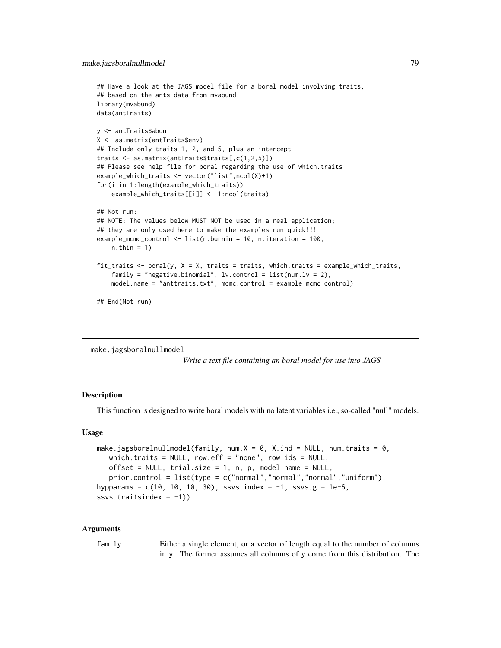```
## Have a look at the JAGS model file for a boral model involving traits,
## based on the ants data from mvabund.
library(mvabund)
data(antTraits)
y <- antTraits$abun
X <- as.matrix(antTraits$env)
## Include only traits 1, 2, and 5, plus an intercept
traits <- as.matrix(antTraits$traits[,c(1,2,5)])
## Please see help file for boral regarding the use of which.traits
example_which_traits <- vector("list",ncol(X)+1)
for(i in 1:length(example_which_traits))
    example_which_traits[[i]] <- 1:ncol(traits)
## Not run:
## NOTE: The values below MUST NOT be used in a real application;
## they are only used here to make the examples run quick!!!
example_mcmc_control <- list(n.burnin = 10, n.iteration = 100,
   n.thin = 1)
fit_traits \le boral(y, X = X, traits = traits, which.traits = example_which_traits,
    family = "negative.binomial", lv.contrib = list(num.lv = 2),
   model.name = "anttraits.txt", mcmc.control = example_mcmc_control)
## End(Not run)
```
<span id="page-78-0"></span>make.jagsboralnullmodel

*Write a text file containing an boral model for use into JAGS*

# **Description**

This function is designed to write boral models with no latent variables i.e., so-called "null" models.

# Usage

```
make.jagsboralnullmodel(family, num.X = 0, X.ind = NULL, num.traits = 0,
   which.traits = NULL, row.eff = "none", row.ids = NULL,
   offset = NULL, trial.size = 1, n, p, model.name = NULL,
   prior.control = list(type = c("normal","normal","normal","uniform"),
hypparams = c(10, 10, 10, 30), ssvs.index = -1, ssvs.g = 1e-6,
ssvs.traitsindex = -1))
```
#### Arguments

family Either a single element, or a vector of length equal to the number of columns in y. The former assumes all columns of y come from this distribution. The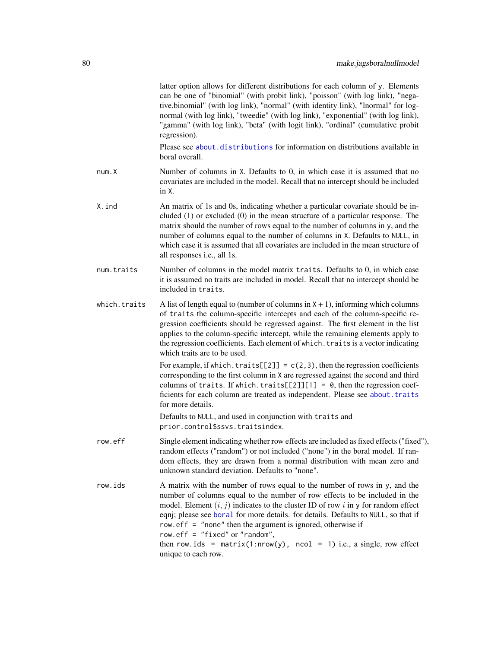<span id="page-79-0"></span>

|              | latter option allows for different distributions for each column of y. Elements<br>can be one of "binomial" (with probit link), "poisson" (with log link), "nega-<br>tive.binomial" (with log link), "normal" (with identity link), "lnormal" for log-<br>normal (with log link), "tweedie" (with log link), "exponential" (with log link),<br>"gamma" (with log link), "beta" (with logit link), "ordinal" (cumulative probit<br>regression).                                                                                              |
|--------------|---------------------------------------------------------------------------------------------------------------------------------------------------------------------------------------------------------------------------------------------------------------------------------------------------------------------------------------------------------------------------------------------------------------------------------------------------------------------------------------------------------------------------------------------|
|              | Please see about distributions for information on distributions available in<br>boral overall.                                                                                                                                                                                                                                                                                                                                                                                                                                              |
| num.X        | Number of columns in X. Defaults to 0, in which case it is assumed that no<br>covariates are included in the model. Recall that no intercept should be included<br>in X.                                                                                                                                                                                                                                                                                                                                                                    |
| X.ind        | An matrix of 1s and 0s, indicating whether a particular covariate should be in-<br>cluded $(1)$ or excluded $(0)$ in the mean structure of a particular response. The<br>matrix should the number of rows equal to the number of columns in y, and the<br>number of columns equal to the number of columns in X. Defaults to NULL, in<br>which case it is assumed that all covariates are included in the mean structure of<br>all responses i.e., all 1s.                                                                                  |
| num.traits   | Number of columns in the model matrix traits. Defaults to 0, in which case<br>it is assumed no traits are included in model. Recall that no intercept should be<br>included in traits.                                                                                                                                                                                                                                                                                                                                                      |
| which.traits | A list of length equal to (number of columns in $X + 1$ ), informing which columns<br>of traits the column-specific intercepts and each of the column-specific re-<br>gression coefficients should be regressed against. The first element in the list<br>applies to the column-specific intercept, while the remaining elements apply to<br>the regression coefficients. Each element of which. traits is a vector indicating<br>which traits are to be used.                                                                              |
|              | For example, if which. traits $[2]$ = $c(2,3)$ , then the regression coefficients<br>corresponding to the first column in X are regressed against the second and third<br>columns of traits. If which.traits[ $[2]$ ][1] = 0, then the regression coef-<br>ficients for each column are treated as independent. Please see about. traits<br>for more details.                                                                                                                                                                               |
|              | Defaults to NULL, and used in conjunction with traits and<br>prior.control\$ssvs.traitsindex.                                                                                                                                                                                                                                                                                                                                                                                                                                               |
| row.eff      | Single element indicating whether row effects are included as fixed effects ("fixed"),<br>random effects ("random") or not included ("none") in the boral model. If ran-<br>dom effects, they are drawn from a normal distribution with mean zero and<br>unknown standard deviation. Defaults to "none".                                                                                                                                                                                                                                    |
| row.ids      | A matrix with the number of rows equal to the number of rows in y, and the<br>number of columns equal to the number of row effects to be included in the<br>model. Element $(i, j)$ indicates to the cluster ID of row i in y for random effect<br>eqnj; please see boral for more details. for details. Defaults to NULL, so that if<br>row.eff $=$ "none" then the argument is ignored, otherwise if<br>row.eff = "fixed" or "random",<br>then row.ids = $matrix(1: nrow(y), ncol = 1)$ i.e., a single, row effect<br>unique to each row. |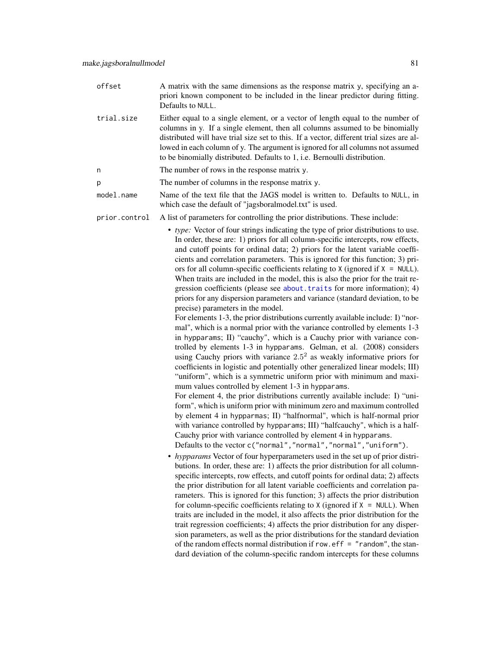- <span id="page-80-0"></span>offset A matrix with the same dimensions as the response matrix y, specifying an apriori known component to be included in the linear predictor during fitting. Defaults to NULL.
- trial.size Either equal to a single element, or a vector of length equal to the number of columns in y. If a single element, then all columns assumed to be binomially distributed will have trial size set to this. If a vector, different trial sizes are allowed in each column of y. The argument is ignored for all columns not assumed to be binomially distributed. Defaults to 1, i.e. Bernoulli distribution.
- n The number of rows in the response matrix y.
- p The number of columns in the response matrix y.
- model.name Name of the text file that the JAGS model is written to. Defaults to NULL, in which case the default of "jagsboralmodel.txt" is used.
- prior.control A list of parameters for controlling the prior distributions. These include:
	- *type:* Vector of four strings indicating the type of prior distributions to use. In order, these are: 1) priors for all column-specific intercepts, row effects, and cutoff points for ordinal data; 2) priors for the latent variable coefficients and correlation parameters. This is ignored for this function; 3) priors for all column-specific coefficients relating to  $X$  (ignored if  $X = NULL$ ). When traits are included in the model, this is also the prior for the trait regression coefficients (please see [about.traits](#page-10-0) for more information); 4) priors for any dispersion parameters and variance (standard deviation, to be precise) parameters in the model.

For elements 1-3, the prior distributions currently available include: I) "normal", which is a normal prior with the variance controlled by elements 1-3 in hypparams; II) "cauchy", which is a Cauchy prior with variance controlled by elements 1-3 in hypparams. Gelman, et al. (2008) considers using Cauchy priors with variance  $2.5<sup>2</sup>$  as weakly informative priors for coefficients in logistic and potentially other generalized linear models; III) "uniform", which is a symmetric uniform prior with minimum and maximum values controlled by element 1-3 in hypparams.

For element 4, the prior distributions currently available include: I) "uniform", which is uniform prior with minimum zero and maximum controlled by element 4 in hypparmas; II) "halfnormal", which is half-normal prior with variance controlled by hypparams; III) "halfcauchy", which is a half-Cauchy prior with variance controlled by element 4 in hypparams. Defaults to the vector c("normal","normal","normal","uniform").

• *hypparams* Vector of four hyperparameters used in the set up of prior distributions. In order, these are: 1) affects the prior distribution for all columnspecific intercepts, row effects, and cutoff points for ordinal data; 2) affects the prior distribution for all latent variable coefficients and correlation parameters. This is ignored for this function; 3) affects the prior distribution for column-specific coefficients relating to X (ignored if  $X = NULL$ ). When traits are included in the model, it also affects the prior distribution for the trait regression coefficients; 4) affects the prior distribution for any dispersion parameters, as well as the prior distributions for the standard deviation of the random effects normal distribution if row.  $\epsilon$ ff = "random", the standard deviation of the column-specific random intercepts for these columns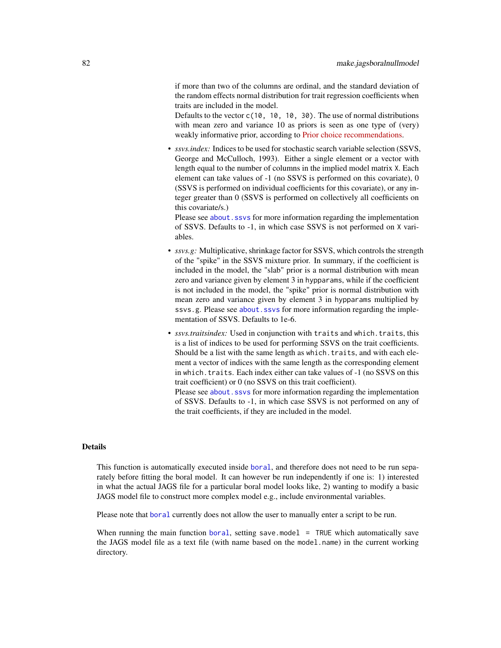<span id="page-81-0"></span>if more than two of the columns are ordinal, and the standard deviation of the random effects normal distribution for trait regression coefficients when traits are included in the model.

Defaults to the vector  $c(10, 10, 10, 30)$ . The use of normal distributions with mean zero and variance 10 as priors is seen as one type of (very) weakly informative prior, according to [Prior choice recommendations.](https://github.com/stan-dev/stan/wiki/Prior-Choice-Recommendations)

• *ssvs.index:* Indices to be used for stochastic search variable selection (SSVS, George and McCulloch, 1993). Either a single element or a vector with length equal to the number of columns in the implied model matrix X. Each element can take values of -1 (no SSVS is performed on this covariate), 0 (SSVS is performed on individual coefficients for this covariate), or any integer greater than 0 (SSVS is performed on collectively all coefficients on this covariate/s.)

Please see about. ssys for more information regarding the implementation of SSVS. Defaults to -1, in which case SSVS is not performed on X variables.

- *ssvs.g:* Multiplicative, shrinkage factor for SSVS, which controls the strength of the "spike" in the SSVS mixture prior. In summary, if the coefficient is included in the model, the "slab" prior is a normal distribution with mean zero and variance given by element 3 in hypparams, while if the coefficient is not included in the model, the "spike" prior is normal distribution with mean zero and variance given by element 3 in hypparams multiplied by ssvs.g. Please see [about.ssvs](#page-7-0) for more information regarding the implementation of SSVS. Defaults to 1e-6.
- *ssvs.traitsindex:* Used in conjunction with traits and which.traits, this is a list of indices to be used for performing SSVS on the trait coefficients. Should be a list with the same length as which.traits, and with each element a vector of indices with the same length as the corresponding element in which.traits. Each index either can take values of -1 (no SSVS on this trait coefficient) or 0 (no SSVS on this trait coefficient).

Please see about. ssvs for more information regarding the implementation of SSVS. Defaults to -1, in which case SSVS is not performed on any of the trait coefficients, if they are included in the model.

#### Details

This function is automatically executed inside [boral](#page-13-0), and therefore does not need to be run separately before fitting the boral model. It can however be run independently if one is: 1) interested in what the actual JAGS file for a particular boral model looks like, 2) wanting to modify a basic JAGS model file to construct more complex model e.g., include environmental variables.

Please note that [boral](#page-13-0) currently does not allow the user to manually enter a script to be run.

When running the main function [boral](#page-13-0), setting save.model = TRUE which automatically save the JAGS model file as a text file (with name based on the model.name) in the current working directory.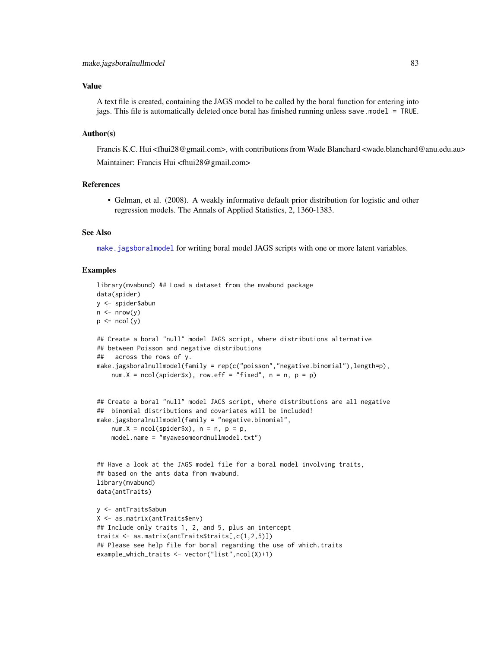#### <span id="page-82-0"></span>Value

A text file is created, containing the JAGS model to be called by the boral function for entering into jags. This file is automatically deleted once boral has finished running unless save.model = TRUE.

# Author(s)

Francis K.C. Hui <fhui28@gmail.com>, with contributions from Wade Blanchard <wade.blanchard@anu.edu.au> Maintainer: Francis Hui <fhui28@gmail.com>

# References

• Gelman, et al. (2008). A weakly informative default prior distribution for logistic and other regression models. The Annals of Applied Statistics, 2, 1360-1383.

# See Also

[make.jagsboralmodel](#page-73-0) for writing boral model JAGS scripts with one or more latent variables.

```
library(mvabund) ## Load a dataset from the mvabund package
data(spider)
y <- spider$abun
n \leq -nrow(y)p \leftarrow \text{ncol}(y)## Create a boral "null" model JAGS script, where distributions alternative
## between Poisson and negative distributions
## across the rows of y.
make.jagsboralnullmodel(family = rep(c("poisson","negative.binomial"),length=p),
    num.X = ncol(spider$x), row.eff = "fixed", n = n, p = p)
## Create a boral "null" model JAGS script, where distributions are all negative
## binomial distributions and covariates will be included!
make.jagsboralnullmodel(family = "negative.binomial",
    num.X = ncol(spider$x), n = n, p = p,model.name = "myawesomeordnullmodel.txt")
## Have a look at the JAGS model file for a boral model involving traits,
## based on the ants data from mvabund.
library(mvabund)
data(antTraits)
y <- antTraits$abun
X <- as.matrix(antTraits$env)
## Include only traits 1, 2, and 5, plus an intercept
traits <- as.matrix(antTraits$traits[,c(1,2,5)])
## Please see help file for boral regarding the use of which.traits
example_which_traits <- vector("list",ncol(X)+1)
```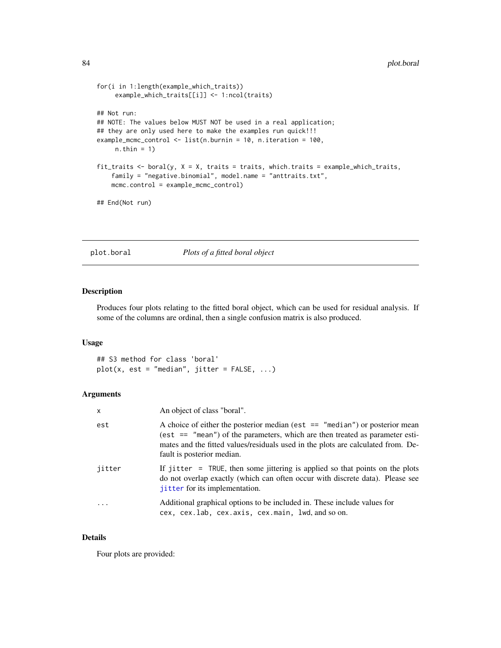```
for(i in 1:length(example_which_traits))
     example_which_traits[[i]] <- 1:ncol(traits)
## Not run:
## NOTE: The values below MUST NOT be used in a real application;
## they are only used here to make the examples run quick!!!
example_mcmc_control <- list(n.burnin = 10, n.iteration = 100,
    n.thin = 1)
fit_traits \le boral(y, X = X, traits = traits, which.traits = example_which_traits,
   family = "negative.binomial", model.name = "anttraits.txt",
   mcmc.control = example_mcmc_control)
## End(Not run)
```
# plot.boral *Plots of a fitted boral object*

#### Description

Produces four plots relating to the fitted boral object, which can be used for residual analysis. If some of the columns are ordinal, then a single confusion matrix is also produced.

#### Usage

## S3 method for class 'boral'  $plot(x, est = "median", jitter = FALSE, ...)$ 

## Arguments

| x      | An object of class "boral".                                                                                                                                                                                                                                                        |
|--------|------------------------------------------------------------------------------------------------------------------------------------------------------------------------------------------------------------------------------------------------------------------------------------|
| est    | A choice of either the posterior median (est $ ==$ "median") or posterior mean<br>(est $==$ "mean") of the parameters, which are then treated as parameter esti-<br>mates and the fitted values/residuals used in the plots are calculated from. De-<br>fault is posterior median. |
| jitter | If jitter = $TRUE$ , then some jittering is applied so that points on the plots<br>do not overlap exactly (which can often occur with discrete data). Please see<br>jitter for its implementation.                                                                                 |
|        | Additional graphical options to be included in. These include values for<br>cex, cex.lab, cex.axis, cex.main, lwd, and so on.                                                                                                                                                      |

#### Details

Four plots are provided: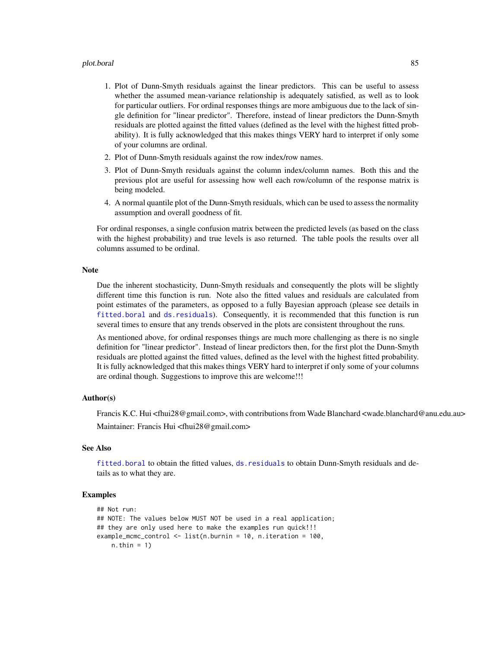#### <span id="page-84-0"></span>plot.boral 85

- 1. Plot of Dunn-Smyth residuals against the linear predictors. This can be useful to assess whether the assumed mean-variance relationship is adequately satisfied, as well as to look for particular outliers. For ordinal responses things are more ambiguous due to the lack of single definition for "linear predictor". Therefore, instead of linear predictors the Dunn-Smyth residuals are plotted against the fitted values (defined as the level with the highest fitted probability). It is fully acknowledged that this makes things VERY hard to interpret if only some of your columns are ordinal.
- 2. Plot of Dunn-Smyth residuals against the row index/row names.
- 3. Plot of Dunn-Smyth residuals against the column index/column names. Both this and the previous plot are useful for assessing how well each row/column of the response matrix is being modeled.
- 4. A normal quantile plot of the Dunn-Smyth residuals, which can be used to assess the normality assumption and overall goodness of fit.

For ordinal responses, a single confusion matrix between the predicted levels (as based on the class with the highest probability) and true levels is aso returned. The table pools the results over all columns assumed to be ordinal.

# **Note**

Due the inherent stochasticity, Dunn-Smyth residuals and consequently the plots will be slightly different time this function is run. Note also the fitted values and residuals are calculated from point estimates of the parameters, as opposed to a fully Bayesian approach (please see details in [fitted.boral](#page-51-0) and [ds.residuals](#page-50-0)). Consequently, it is recommended that this function is run several times to ensure that any trends observed in the plots are consistent throughout the runs.

As mentioned above, for ordinal responses things are much more challenging as there is no single definition for "linear predictor". Instead of linear predictors then, for the first plot the Dunn-Smyth residuals are plotted against the fitted values, defined as the level with the highest fitted probability. It is fully acknowledged that this makes things VERY hard to interpret if only some of your columns are ordinal though. Suggestions to improve this are welcome!!!

# Author(s)

Francis K.C. Hui <fhui28@gmail.com>, with contributions from Wade Blanchard <wade.blanchard@anu.edu.au> Maintainer: Francis Hui <fhui28@gmail.com>

# See Also

[fitted.boral](#page-51-0) to obtain the fitted values, [ds.residuals](#page-50-0) to obtain Dunn-Smyth residuals and details as to what they are.

```
## Not run:
## NOTE: The values below MUST NOT be used in a real application;
## they are only used here to make the examples run quick!!!
example_mcmc_control <- list(n.burnin = 10, n.iteration = 100,
   n.thin = 1)
```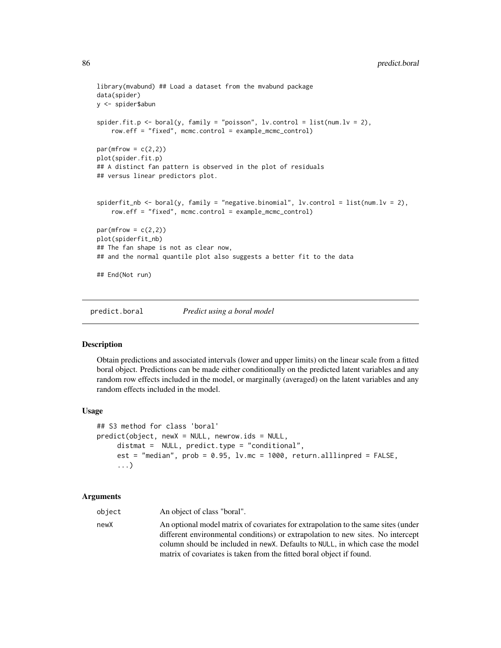```
library(mvabund) ## Load a dataset from the mvabund package
data(spider)
y <- spider$abun
spider.fit.p <- boral(y, family = "poisson", lv.control = list(num.lv = 2),
   row.eff = "fixed", mcmc.control = example_mcmc_control)
par(mfrow = c(2,2))plot(spider.fit.p)
## A distinct fan pattern is observed in the plot of residuals
## versus linear predictors plot.
spiderfit_nb <- boral(y, family = "negative.binomial", lv.control = list(num.lv = 2),
    row.eff = "fixed", mcmc.control = example_mcmc_control)
par(mfrow = c(2,2))plot(spiderfit_nb)
## The fan shape is not as clear now,
## and the normal quantile plot also suggests a better fit to the data
## End(Not run)
```
predict.boral *Predict using a boral model*

#### Description

Obtain predictions and associated intervals (lower and upper limits) on the linear scale from a fitted boral object. Predictions can be made either conditionally on the predicted latent variables and any random row effects included in the model, or marginally (averaged) on the latent variables and any random effects included in the model.

#### Usage

```
## S3 method for class 'boral'
predict(object, newX = NULL, newrow.ids = NULL,
     distmat = NULL, predict.type = "conditional",
     est = "median", prob = 0.95, lv.mc = 1000, return.alllinpred = FALSE,
     ...)
```
#### Arguments

object An object of class "boral". newX An optional model matrix of covariates for extrapolation to the same sites (under different environmental conditions) or extrapolation to new sites. No intercept column should be included in newX. Defaults to NULL, in which case the model matrix of covariates is taken from the fitted boral object if found.

<span id="page-85-0"></span>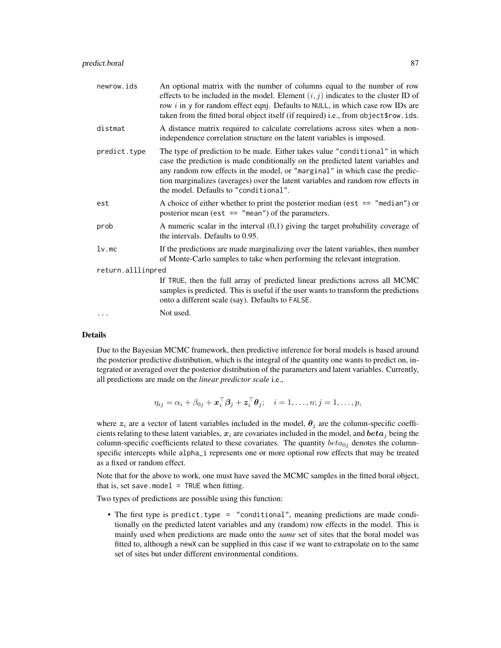| newrow.ids        | An optional matrix with the number of columns equal to the number of row<br>effects to be included in the model. Element $(i, j)$ indicates to the cluster ID of<br>row $i$ in y for random effect eqnj. Defaults to NULL, in which case row IDs are<br>taken from the fitted boral object itself (if required) i.e., from object\$row.ids.                                  |
|-------------------|------------------------------------------------------------------------------------------------------------------------------------------------------------------------------------------------------------------------------------------------------------------------------------------------------------------------------------------------------------------------------|
| distmat           | A distance matrix required to calculate correlations across sites when a non-<br>independence correlation structure on the latent variables is imposed.                                                                                                                                                                                                                      |
| predict.type      | The type of prediction to be made. Either takes value "conditional" in which<br>case the prediction is made conditionally on the predicted latent variables and<br>any random row effects in the model, or "marginal" in which case the predic-<br>tion marginalizes (averages) over the latent variables and random row effects in<br>the model. Defaults to "conditional". |
| est               | A choice of either whether to print the posterior median (est $ == "median")$ or<br>posterior mean (est $==$ "mean") of the parameters.                                                                                                                                                                                                                                      |
| prob              | A numeric scalar in the interval $(0,1)$ giving the target probability coverage of<br>the intervals. Defaults to 0.95.                                                                                                                                                                                                                                                       |
| $lv$ .mc          | If the predictions are made marginalizing over the latent variables, then number<br>of Monte-Carlo samples to take when performing the relevant integration.                                                                                                                                                                                                                 |
| return.alllinpred |                                                                                                                                                                                                                                                                                                                                                                              |
|                   | If TRUE, then the full array of predicted linear predictions across all MCMC<br>samples is predicted. This is useful if the user wants to transform the predictions<br>onto a different scale (say). Defaults to FALSE.                                                                                                                                                      |
|                   | Not used.                                                                                                                                                                                                                                                                                                                                                                    |

#### Details

Due to the Bayesian MCMC framework, then predictive inference for boral models is based around the posterior predictive distribution, which is the integral of the quantity one wants to predict on, integrated or averaged over the posterior distribution of the parameters and latent variables. Currently, all predictions are made on the *linear predictor scale* i.e.,

$$
\eta_{ij} = \alpha_i + \beta_{0j} + \boldsymbol{x}_i^{\top} \boldsymbol{\beta}_j + \boldsymbol{z}_i^{\top} \boldsymbol{\theta}_j; \quad i = 1, \ldots, n; j = 1, \ldots, p,
$$

where  $z_i$  are a vector of latent variables included in the model,  $\theta_j$  are the column-specific coefficients relating to these latent variables,  $x_i$  are covariates included in the model, and  $beta_i$  being the column-specific coefficients related to these covariates. The quantity  $beta_0$  denotes the columnspecific intercepts while alpha\_i represents one or more optional row effects that may be treated as a fixed or random effect.

Note that for the above to work, one must have saved the MCMC samples in the fitted boral object, that is, set save.model = TRUE when fitting.

Two types of predictions are possible using this function:

• The first type is predict.type = "conditional", meaning predictions are made conditionally on the predicted latent variables and any (random) row effects in the model. This is mainly used when predictions are made onto the *same* set of sites that the boral model was fitted to, although a newX can be supplied in this case if we want to extrapolate on to the same set of sites but under different environmental conditions.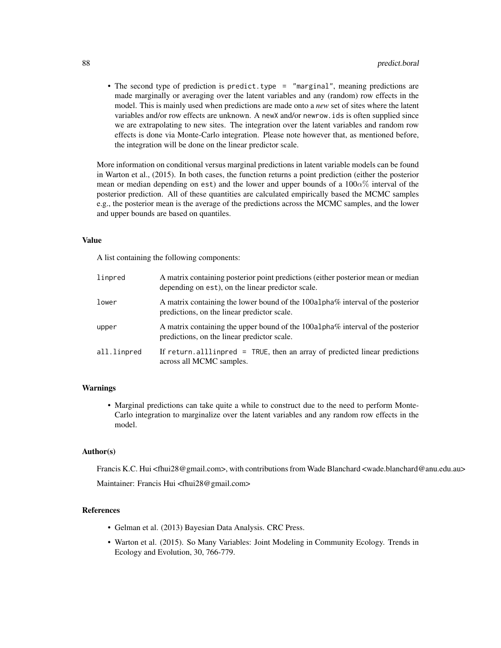• The second type of prediction is predict.type = "marginal", meaning predictions are made marginally or averaging over the latent variables and any (random) row effects in the model. This is mainly used when predictions are made onto a *new* set of sites where the latent variables and/or row effects are unknown. A newX and/or newrow.ids is often supplied since we are extrapolating to new sites. The integration over the latent variables and random row effects is done via Monte-Carlo integration. Please note however that, as mentioned before, the integration will be done on the linear predictor scale.

More information on conditional versus marginal predictions in latent variable models can be found in Warton et al., (2015). In both cases, the function returns a point prediction (either the posterior mean or median depending on est) and the lower and upper bounds of a  $100\alpha\%$  interval of the posterior prediction. All of these quantities are calculated empirically based the MCMC samples e.g., the posterior mean is the average of the predictions across the MCMC samples, and the lower and upper bounds are based on quantiles.

# Value

A list containing the following components:

| linpred     | A matrix containing posterior point predictions (either posterior mean or median<br>depending on est), on the linear predictor scale. |
|-------------|---------------------------------------------------------------------------------------------------------------------------------------|
| lower       | A matrix containing the lower bound of the 100a1pha% interval of the posterior<br>predictions, on the linear predictor scale.         |
| upper       | A matrix containing the upper bound of the 100a1pha% interval of the posterior<br>predictions, on the linear predictor scale.         |
| all.linpred | If return, all ling red $=$ TRUE, then an array of predicted linear predictions<br>across all MCMC samples.                           |

# Warnings

• Marginal predictions can take quite a while to construct due to the need to perform Monte-Carlo integration to marginalize over the latent variables and any random row effects in the model.

#### Author(s)

Francis K.C. Hui <fhui28@gmail.com>, with contributions from Wade Blanchard <wade.blanchard@anu.edu.au> Maintainer: Francis Hui <fhui28@gmail.com>

#### References

- Gelman et al. (2013) Bayesian Data Analysis. CRC Press.
- Warton et al. (2015). So Many Variables: Joint Modeling in Community Ecology. Trends in Ecology and Evolution, 30, 766-779.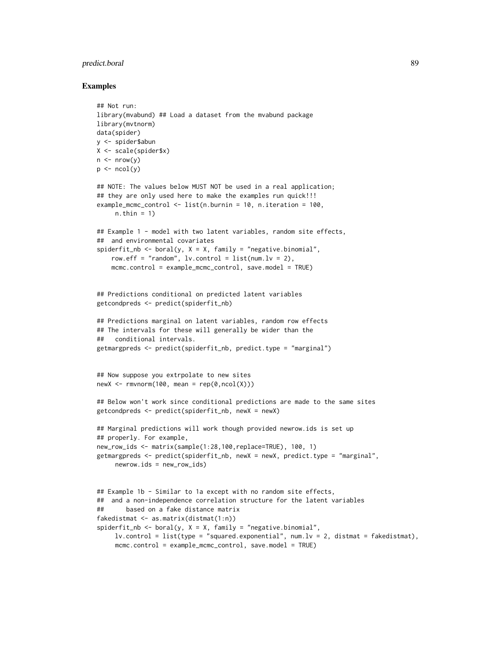# predict.boral 89

```
## Not run:
library(mvabund) ## Load a dataset from the mvabund package
library(mvtnorm)
data(spider)
y <- spider$abun
X <- scale(spider$x)
n \leq -nrow(y)p \leftarrow \text{ncol}(y)## NOTE: The values below MUST NOT be used in a real application;
## they are only used here to make the examples run quick!!!
example_mcmc_control <- list(n.burnin = 10, n.iteration = 100,
     n.thin = 1)
## Example 1 - model with two latent variables, random site effects,
## and environmental covariates
spiderfit_nb <- boral(y, X = X, family = "negative.binomial",
    row.eff = "random", lv.control = list(num.lv = 2),
    mcmc.control = example_mcmc_control, save.model = TRUE)
## Predictions conditional on predicted latent variables
getcondpreds <- predict(spiderfit_nb)
## Predictions marginal on latent variables, random row effects
## The intervals for these will generally be wider than the
## conditional intervals.
getmargpreds <- predict(spiderfit_nb, predict.type = "marginal")
## Now suppose you extrpolate to new sites
newX \leq rmvnorm(100, mean = rep(0,ncol(X)))
## Below won't work since conditional predictions are made to the same sites
getcondpreds <- predict(spiderfit_nb, newX = newX)
## Marginal predictions will work though provided newrow.ids is set up
## properly. For example,
new_row_ids <- matrix(sample(1:28,100,replace=TRUE), 100, 1)
getmargpreds <- predict(spiderfit_nb, newX = newX, predict.type = "marginal",
     newrow.ids = new_row_ids)
## Example 1b - Similar to 1a except with no random site effects,
## and a non-independence correlation structure for the latent variables
## based on a fake distance matrix
fakedistmat <- as.matrix(distmat(1:n))
spiderfit_nb <- boral(y, X = X, family = "negative.binomial",
     lv.control = list(type = "squared.exponential", num.lv = 2, distant = fakedistmat),mcmc.control = example_mcmc_control, save.model = TRUE)
```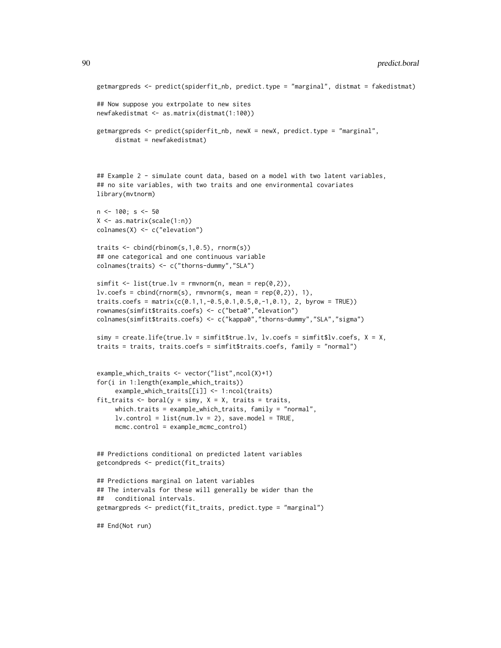```
getmargpreds <- predict(spiderfit_nb, predict.type = "marginal", distmat = fakedistmat)
## Now suppose you extrpolate to new sites
newfakedistmat <- as.matrix(distmat(1:100))
getmargpreds <- predict(spiderfit_nb, newX = newX, predict.type = "marginal",
     distmat = newfakedistmat)
## Example 2 - simulate count data, based on a model with two latent variables,
## no site variables, with two traits and one environmental covariates
library(mvtnorm)
n < -100; s < -50X <- as.matrix(scale(1:n))
colnames(X) <- c("elevation")
traits <- cbind(rbinom(s,1,0.5), rnorm(s))
## one categorical and one continuous variable
colnames(traits) <- c("thorns-dummy","SLA")
simfit <- list(true.lv = rmvnorm(n, mean = rep(0,2)),
lv.\text{coeffs} = \text{cbind}(\text{rnorm}(s), \text{rmvnorm}(s, \text{mean} = \text{rep}(0,2)), 1),traits.coefs = matrix(c(0.1, 1, -0.5, 0.1, 0.5, 0, -1, 0.1), 2, byrow = TRUE))
rownames(simfit$traits.coefs) <- c("beta0","elevation")
colnames(simfit$traits.coefs) <- c("kappa0","thorns-dummy","SLA","sigma")
simy = createuif (true.lv = simfit$true.lv, lw.coefs = simfit$lv.coefs, X = X,traits = traits, traits.coefs = simfit$traits.coefs, family = "normal")
example_which_traits <- vector("list",ncol(X)+1)
for(i in 1:length(example_which_traits))
     example_which_traits[[i]] <- 1:ncol(traits)
fit_traits <- boral(y = simy, X = X, traits = traits,
     which.traits = example_which_traits, family = "normal",
     lv. control = list(num.lv = 2), save.model = TRUE,
     mcmc.control = example_mcmc_control)
## Predictions conditional on predicted latent variables
getcondpreds <- predict(fit_traits)
## Predictions marginal on latent variables
## The intervals for these will generally be wider than the
## conditional intervals.
getmargpreds <- predict(fit_traits, predict.type = "marginal")
## End(Not run)
```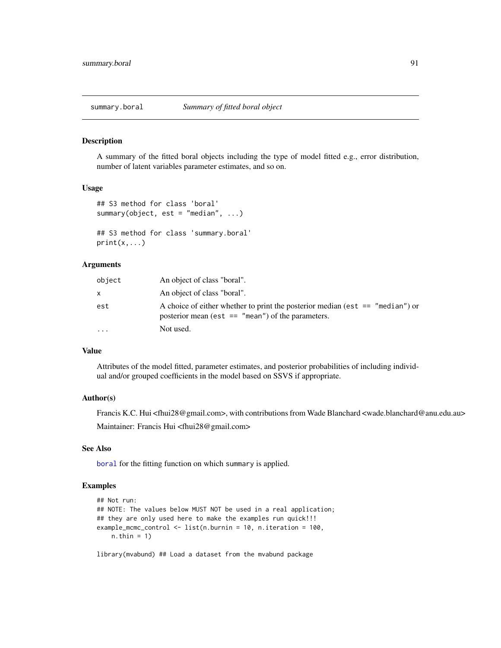#### <span id="page-90-0"></span>Description

A summary of the fitted boral objects including the type of model fitted e.g., error distribution, number of latent variables parameter estimates, and so on.

# Usage

```
## S3 method for class 'boral'
summary(object, est = "median", \ldots)
```

```
## S3 method for class 'summary.boral'
print(x, \ldots)
```
# Arguments

| object    | An object of class "boral".                                                                                                             |
|-----------|-----------------------------------------------------------------------------------------------------------------------------------------|
| x         | An object of class "boral".                                                                                                             |
| est       | A choice of either whether to print the posterior median (est $ == "median")$ or<br>posterior mean (est $==$ "mean") of the parameters. |
| $\ddotsc$ | Not used.                                                                                                                               |

# Value

Attributes of the model fitted, parameter estimates, and posterior probabilities of including individual and/or grouped coefficients in the model based on SSVS if appropriate.

# Author(s)

Francis K.C. Hui <fhui28@gmail.com>, with contributions from Wade Blanchard <wade.blanchard@anu.edu.au> Maintainer: Francis Hui <fhui28@gmail.com>

# See Also

[boral](#page-13-0) for the fitting function on which summary is applied.

# Examples

```
## Not run:
## NOTE: The values below MUST NOT be used in a real application;
## they are only used here to make the examples run quick!!!
example_mcmc_control <- list(n.burnin = 10, n.iteration = 100,
   n.thin = 1)
```
library(mvabund) ## Load a dataset from the mvabund package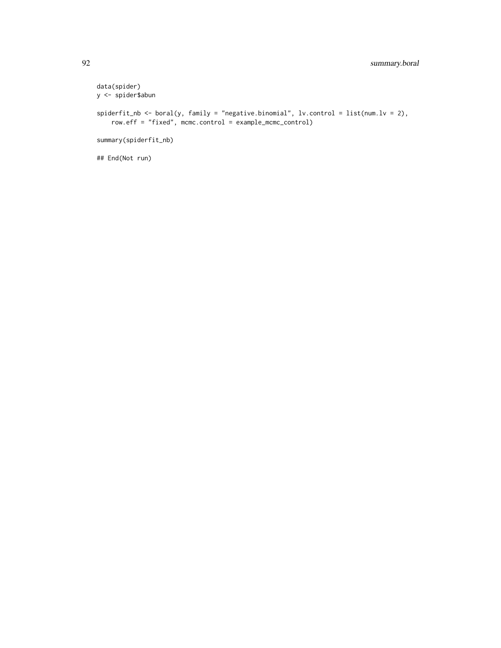```
data(spider)
y <- spider$abun
spiderfit_nb <- boral(y, family = "negative.binomial", lv.control = list(num.lv = 2),
   row.eff = "fixed", mcmc.control = example_mcmc_control)
summary(spiderfit_nb)
```
## End(Not run)